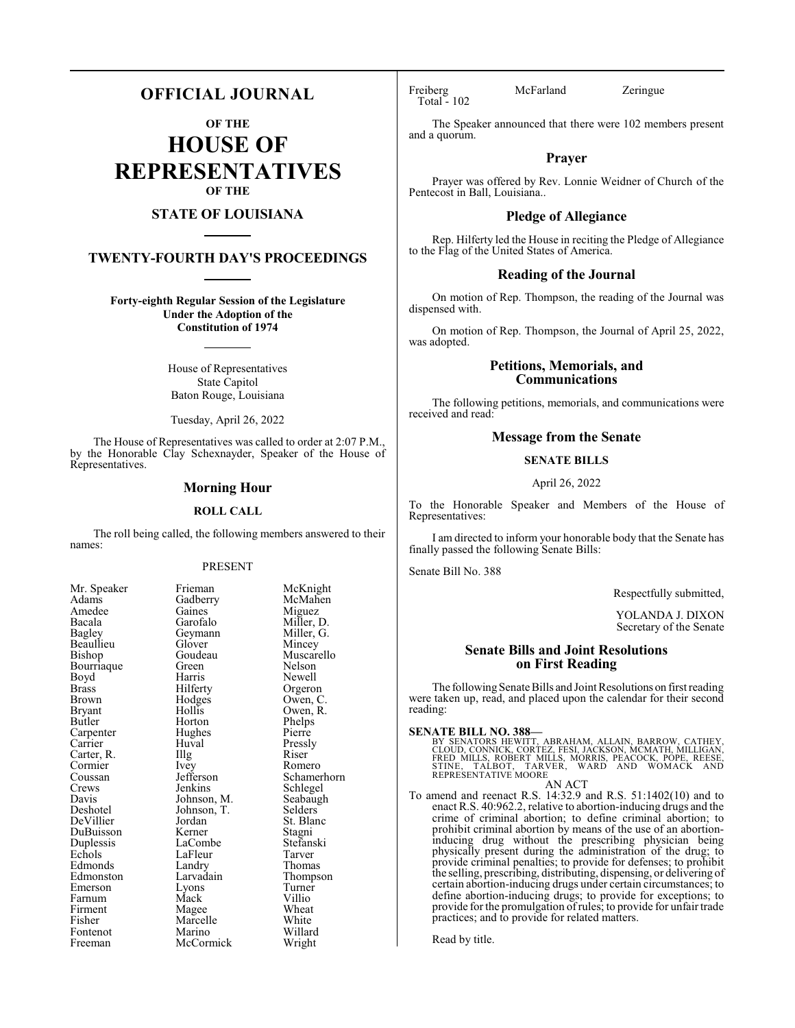# **OFFICIAL JOURNAL**

**OF THE**

**HOUSE OF REPRESENTATIVES OF THE**

# **STATE OF LOUISIANA**

# **TWENTY-FOURTH DAY'S PROCEEDINGS**

**Forty-eighth Regular Session of the Legislature Under the Adoption of the Constitution of 1974**

> House of Representatives State Capitol Baton Rouge, Louisiana

Tuesday, April 26, 2022

The House of Representatives was called to order at 2:07 P.M., by the Honorable Clay Schexnayder, Speaker of the House of Representatives.

### **Morning Hour**

#### **ROLL CALL**

The roll being called, the following members answered to their names:

### PRESENT

Gaines<br>Garofalo

Glover<br>Goudeau

Hughes<br>Huval

Landry<br>Larvadain

Marcelle<br>Marino

| Mr. Speaker                        |
|------------------------------------|
| Adams                              |
| Amedee                             |
| Bacala                             |
| Bagley                             |
| Beaullieu                          |
| Bishop                             |
| Bourriaque                         |
| Boyd                               |
| <b>Brass</b>                       |
| Brown                              |
| Bryant                             |
| Butler                             |
| Carpenter<br>Carrier<br>Carter, R. |
|                                    |
|                                    |
| Cormier                            |
| Coussan                            |
| Crews                              |
| Davis                              |
| Deshotel                           |
| DeVillier                          |
| DuBuisson                          |
| Duplessis                          |
| Echols                             |
| Edmonds                            |
| Edmonston                          |
| Emerson                            |
| Farnum                             |
| Firment                            |
| Fisher                             |
| Fontenot                           |
| Freeman                            |

Frieman McKnight<br>Gadberry McMahen McMahen<br>Miguez Miller, D.<br>Miller, G. Geymann Miller, Glover Mincey Goudeau Muscarello<br>Green Nelson Green Nelson<br>Bourris Newell Harris Newell<br>Hilferty Orgeror Hilferty Orgeron<br>Hodges Owen, C Hodges Owen, C.<br>Hollis Owen, R. Hollis Owen, R.<br>Horton Phelps Phelps<br>Pierre Huval Pressly<br>
Illg Riser Carter, R. **Illg** Riser Ivey Romero<br>Jefferson Schamer Jefferson Schamerhorn<br>Jenkins Schlegel Schlegel<br>Seabaugh Johnson, M. Seabaughten<br>Johnson, T. Selders Johnson, T.<br>Jordan St. Blanc<br>Stagni Kerner Stagni<br>LaCombe Stefanski LaCombe Stefans<br>LaFleur Tarver Example LaFleur Tarver<br>
Example 2011 Landry Thomas Thompson<br>Turner Lyons Turne<br>
Mack Villio Farnum Mack Villio Magee Wheat<br>Marcelle White Willard<br>Wright McCormick

Total - 102

Freiberg McFarland Zeringue

The Speaker announced that there were 102 members present and a quorum.

### **Prayer**

Prayer was offered by Rev. Lonnie Weidner of Church of the Pentecost in Ball, Louisiana..

### **Pledge of Allegiance**

Rep. Hilferty led the House in reciting the Pledge of Allegiance to the Flag of the United States of America.

#### **Reading of the Journal**

On motion of Rep. Thompson, the reading of the Journal was dispensed with.

On motion of Rep. Thompson, the Journal of April 25, 2022, was adopted.

# **Petitions, Memorials, and Communications**

The following petitions, memorials, and communications were received and read:

### **Message from the Senate**

### **SENATE BILLS**

#### April 26, 2022

To the Honorable Speaker and Members of the House of Representatives:

I am directed to inform your honorable body that the Senate has finally passed the following Senate Bills:

Senate Bill No. 388

Respectfully submitted,

YOLANDA J. DIXON Secretary of the Senate

# **Senate Bills and Joint Resolutions on First Reading**

The following Senate Bills and Joint Resolutions on first reading were taken up, read, and placed upon the calendar for their second reading:

**SENATE BILL NO. 388—**<br>BY SENATORS HEWITT, ABRAHAM, ALLAIN, BARROW, CATHEY,<br>CLOUD, CONNICK, CORTEZ, FESI, JACKSON, MCMATH, MILLIGAN,<br>FRED MILLS, ROBERT MILLS, MORRIS, PEACOCK, PÓPE, REESE,<br>STINE, TALBOT, TARVER, WARD AND W AN ACT

To amend and reenact R.S. 14:32.9 and R.S. 51:1402(10) and to enact R.S. 40:962.2, relative to abortion-inducing drugs and the crime of criminal abortion; to define criminal abortion; to prohibit criminal abortion by means of the use of an abortioninducing drug without the prescribing physician being physically present during the administration of the drug; to provide criminal penalties; to provide for defenses; to prohibit the selling, prescribing, distributing, dispensing, or delivering of certain abortion-inducing drugs under certain circumstances; to define abortion-inducing drugs; to provide for exceptions; to provide for the promulgation ofrules; to provide for unfair trade practices; and to provide for related matters.

Read by title.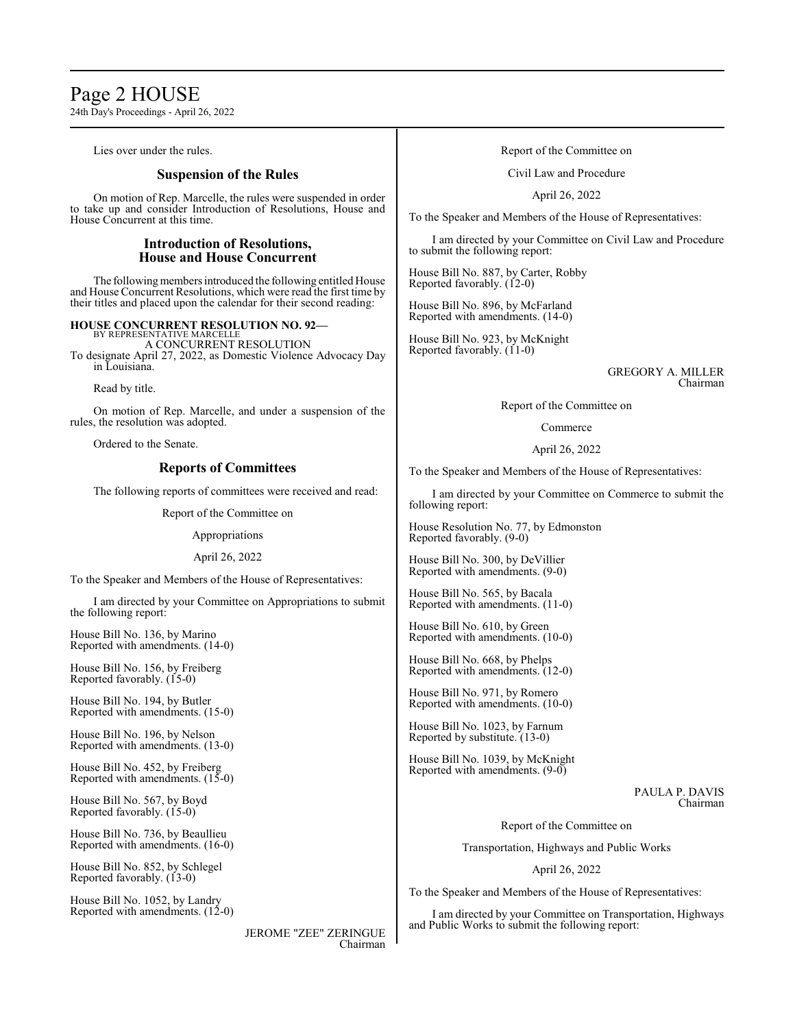# Page 2 HOUSE

24th Day's Proceedings - April 26, 2022

Lies over under the rules.

# **Suspension of the Rules**

On motion of Rep. Marcelle, the rules were suspended in order to take up and consider Introduction of Resolutions, House and House Concurrent at this time.

# **Introduction of Resolutions, House and House Concurrent**

The following members introduced the following entitled House and House Concurrent Resolutions, which were read the first time by their titles and placed upon the calendar for their second reading:

**HOUSE CONCURRENT RESOLUTION NO. 92—**

BY REPRESENTATIVE MARCELLE A CONCURRENT RESOLUTION

To designate April 27, 2022, as Domestic Violence Advocacy Day in Louisiana.

Read by title.

On motion of Rep. Marcelle, and under a suspension of the rules, the resolution was adopted.

Ordered to the Senate.

# **Reports of Committees**

The following reports of committees were received and read:

Report of the Committee on

Appropriations

April 26, 2022

To the Speaker and Members of the House of Representatives:

I am directed by your Committee on Appropriations to submit the following report:

House Bill No. 136, by Marino Reported with amendments. (14-0)

House Bill No. 156, by Freiberg Reported favorably. (15-0)

House Bill No. 194, by Butler Reported with amendments. (15-0)

House Bill No. 196, by Nelson Reported with amendments. (13-0)

House Bill No. 452, by Freiberg Reported with amendments. (15-0)

House Bill No. 567, by Boyd Reported favorably.  $(15-0)$ 

House Bill No. 736, by Beaullieu Reported with amendments. (16-0)

House Bill No. 852, by Schlegel Reported favorably. (13-0)

House Bill No. 1052, by Landry Reported with amendments. (12-0)

> JEROME "ZEE" ZERINGUE Chairman

### Report of the Committee on

Civil Law and Procedure

April 26, 2022

To the Speaker and Members of the House of Representatives:

I am directed by your Committee on Civil Law and Procedure to submit the following report:

House Bill No. 887, by Carter, Robby Reported favorably. (12-0)

House Bill No. 896, by McFarland Reported with amendments. (14-0)

House Bill No. 923, by McKnight Reported favorably. (11-0)

> GREGORY A. MILLER Chairman

Report of the Committee on

Commerce

April 26, 2022

To the Speaker and Members of the House of Representatives:

I am directed by your Committee on Commerce to submit the following report:

House Resolution No. 77, by Edmonston Reported favorably. (9-0)

House Bill No. 300, by DeVillier Reported with amendments. (9-0)

House Bill No. 565, by Bacala Reported with amendments. (11-0)

House Bill No. 610, by Green Reported with amendments. (10-0)

House Bill No. 668, by Phelps Reported with amendments. (12-0)

House Bill No. 971, by Romero Reported with amendments. (10-0)

House Bill No. 1023, by Farnum Reported by substitute. (13-0)

House Bill No. 1039, by McKnight Reported with amendments. (9-0)

> PAULA P. DAVIS Chairman

Report of the Committee on

Transportation, Highways and Public Works

April 26, 2022

To the Speaker and Members of the House of Representatives:

I am directed by your Committee on Transportation, Highways and Public Works to submit the following report: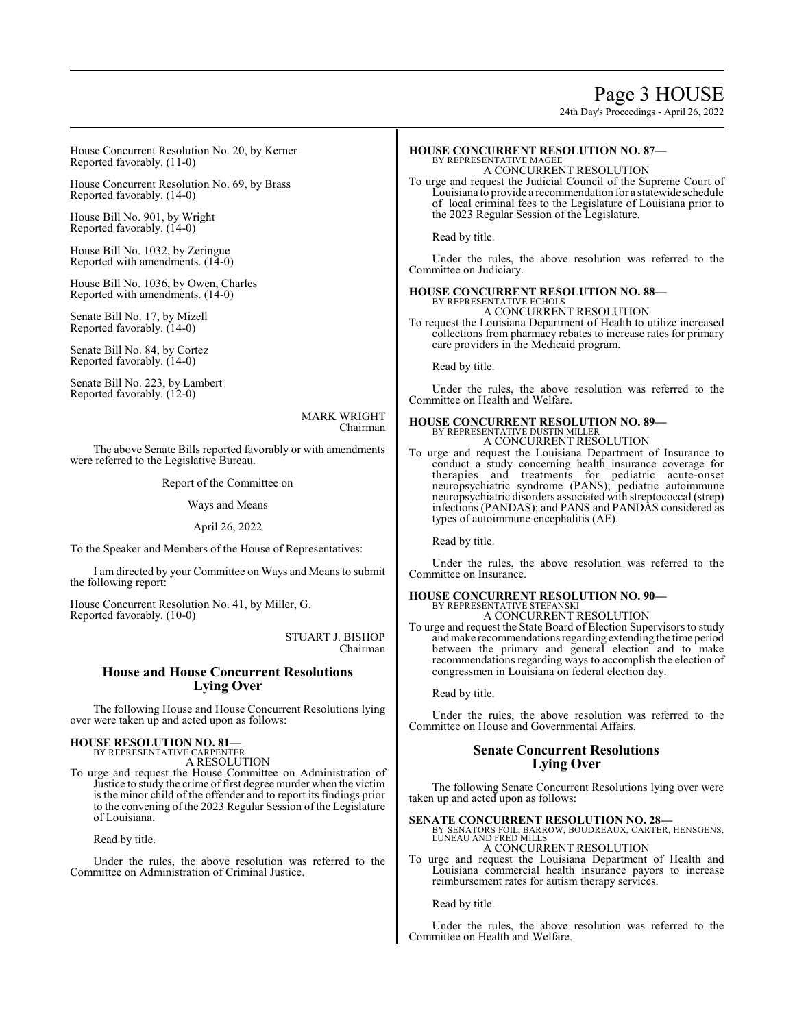# Page 3 HOUSE

24th Day's Proceedings - April 26, 2022

House Concurrent Resolution No. 20, by Kerner Reported favorably. (11-0)

House Concurrent Resolution No. 69, by Brass Reported favorably. (14-0)

House Bill No. 901, by Wright Reported favorably. (14-0)

House Bill No. 1032, by Zeringue Reported with amendments. (14-0)

House Bill No. 1036, by Owen, Charles Reported with amendments. (14-0)

Senate Bill No. 17, by Mizell Reported favorably. (14-0)

Senate Bill No. 84, by Cortez Reported favorably. (14-0)

Senate Bill No. 223, by Lambert Reported favorably. (12-0)

> MARK WRIGHT Chairman

The above Senate Bills reported favorably or with amendments were referred to the Legislative Bureau.

Report of the Committee on

#### Ways and Means

April 26, 2022

To the Speaker and Members of the House of Representatives:

I am directed by your Committee on Ways and Means to submit the following report:

House Concurrent Resolution No. 41, by Miller, G. Reported favorably. (10-0)

> STUART J. BISHOP Chairman

# **House and House Concurrent Resolutions Lying Over**

The following House and House Concurrent Resolutions lying over were taken up and acted upon as follows:

# **HOUSE RESOLUTION NO. 81—** BY REPRESENTATIVE CARPENTER

A RESOLUTION

To urge and request the House Committee on Administration of Justice to study the crime of first degree murder when the victim is the minor child of the offender and to report its findings prior to the convening of the 2023 Regular Session of the Legislature of Louisiana.

Read by title.

Under the rules, the above resolution was referred to the Committee on Administration of Criminal Justice.

#### **HOUSE CONCURRENT RESOLUTION NO. 87—** BY REPRESENTATIVE MAGEE

A CONCURRENT RESOLUTION

To urge and request the Judicial Council of the Supreme Court of Louisiana to provide a recommendation for a statewide schedule of local criminal fees to the Legislature of Louisiana prior to the 2023 Regular Session of the Legislature.

Read by title.

Under the rules, the above resolution was referred to the Committee on Judiciary.

# **HOUSE CONCURRENT RESOLUTION NO. 88—** BY REPRESENTATIVE ECHOLS

A CONCURRENT RESOLUTION

To request the Louisiana Department of Health to utilize increased collections from pharmacy rebates to increase rates for primary care providers in the Medicaid program.

Read by title.

Under the rules, the above resolution was referred to the Committee on Health and Welfare.

# **HOUSE CONCURRENT RESOLUTION NO. 89—** BY REPRESENTATIVE DUSTIN MILLER

A CONCURRENT RESOLUTION

To urge and request the Louisiana Department of Insurance to conduct a study concerning health insurance coverage for therapies and treatments for pediatric acute-onset neuropsychiatric syndrome (PANS); pediatric autoimmune neuropsychiatric disorders associated with streptococcal (strep) infections (PANDAS); and PANS and PANDAS considered as types of autoimmune encephalitis (AE).

Read by title.

Under the rules, the above resolution was referred to the Committee on Insurance.

#### **HOUSE CONCURRENT RESOLUTION NO. 90—** BY REPRESENTATIVE STEFANSKI

A CONCURRENT RESOLUTION

To urge and request the State Board of Election Supervisors to study andmake recommendations regarding extending the time period between the primary and general election and to make recommendations regarding ways to accomplish the election of congressmen in Louisiana on federal election day.

Read by title.

Under the rules, the above resolution was referred to the Committee on House and Governmental Affairs.

# **Senate Concurrent Resolutions Lying Over**

The following Senate Concurrent Resolutions lying over were taken up and acted upon as follows:

**SENATE CONCURRENT RESOLUTION NO. 28—**<br>BY SENATORS FOIL, BARROW, BOUDREAUX, CARTER, HENSGENS,<br>LUNEAU AND FRED MILLS A CONCURRENT RESOLUTION

To urge and request the Louisiana Department of Health and Louisiana commercial health insurance payors to increase reimbursement rates for autism therapy services.

Read by title.

Under the rules, the above resolution was referred to the Committee on Health and Welfare.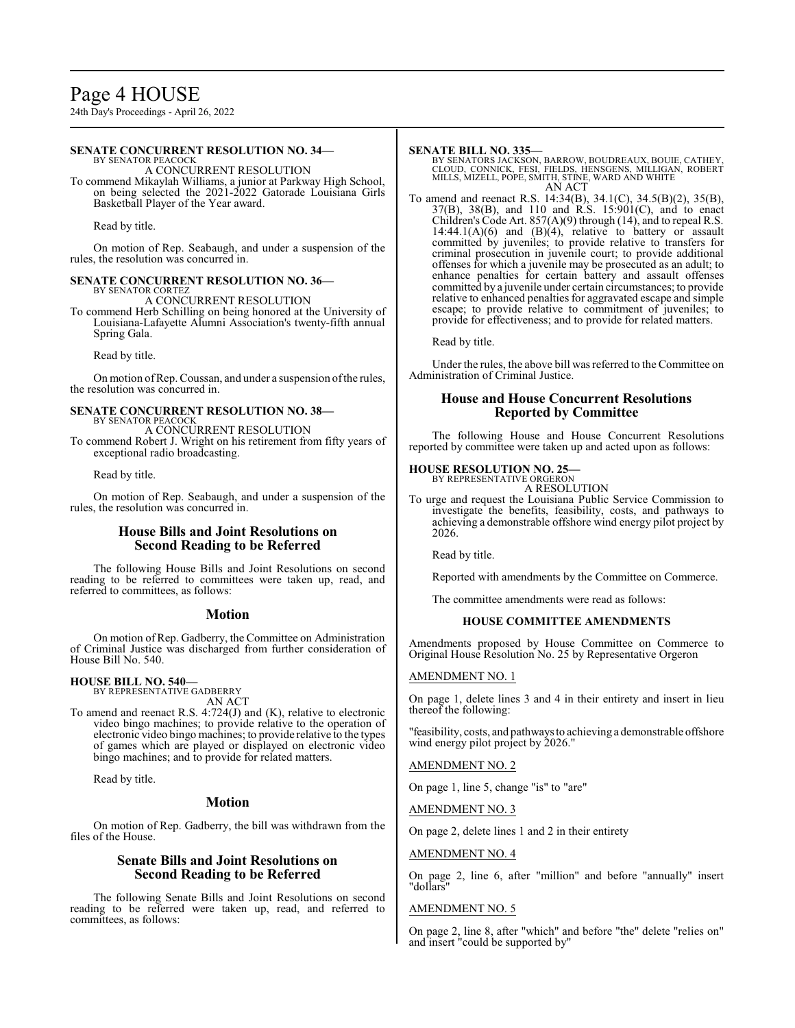# Page 4 HOUSE

24th Day's Proceedings - April 26, 2022

#### **SENATE CONCURRENT RESOLUTION NO. 34—** BY SENATOR PEACOCK

A CONCURRENT RESOLUTION

To commend Mikaylah Williams, a junior at Parkway High School, on being selected the 2021-2022 Gatorade Louisiana Girls Basketball Player of the Year award.

Read by title.

On motion of Rep. Seabaugh, and under a suspension of the rules, the resolution was concurred in.

#### **SENATE CONCURRENT RESOLUTION NO. 36—**

BY SENATOR CORTEZ A CONCURRENT RESOLUTION

To commend Herb Schilling on being honored at the University of Louisiana-Lafayette Alumni Association's twenty-fifth annual Spring Gala.

Read by title.

On motion of Rep. Coussan, and under a suspension of the rules, the resolution was concurred in.

#### **SENATE CONCURRENT RESOLUTION NO. 38—** BY SENATOR PEACOCK

A CONCURRENT RESOLUTION To commend Robert J. Wright on his retirement from fifty years of exceptional radio broadcasting.

Read by title.

On motion of Rep. Seabaugh, and under a suspension of the rules, the resolution was concurred in.

# **House Bills and Joint Resolutions on Second Reading to be Referred**

The following House Bills and Joint Resolutions on second reading to be referred to committees were taken up, read, and referred to committees, as follows:

#### **Motion**

On motion of Rep. Gadberry, the Committee on Administration of Criminal Justice was discharged from further consideration of House Bill No. 540.

# **HOUSE BILL NO. 540—**

BY REPRESENTATIVE GADBERRY AN ACT

To amend and reenact R.S. 4:724(J) and (K), relative to electronic video bingo machines; to provide relative to the operation of electronic video bingo machines; to provide relative to the types of games which are played or displayed on electronic video bingo machines; and to provide for related matters.

Read by title.

#### **Motion**

On motion of Rep. Gadberry, the bill was withdrawn from the files of the House.

# **Senate Bills and Joint Resolutions on Second Reading to be Referred**

The following Senate Bills and Joint Resolutions on second reading to be referred were taken up, read, and referred to committees, as follows:

#### **SENATE BILL NO. 335—**

BY SENATORS JACKSON, BARROW, BOUDREAUX, BOUIE, CATHEY,<br>CLOUD, CONNICK, FESI, FIELDS, HENSGENS, MILLIGAN, ROBERT<br>MILLS, MIZELL, POPE, SMITH, STINE, WARD AND WHITE AN ACT

To amend and reenact R.S. 14:34(B), 34.1(C), 34.5(B)(2), 35(B), 37(B), 38(B), and 110 and R.S. 15:901(C), and to enact Children's Code Art. 857(A)(9) through (14), and to repeal R.S.  $14:44.1(A)(6)$  and  $(B)(4)$ , relative to battery or assault committed by juveniles; to provide relative to transfers for criminal prosecution in juvenile court; to provide additional offenses for which a juvenile may be prosecuted as an adult; to enhance penalties for certain battery and assault offenses committed by a juvenile under certain circumstances; to provide relative to enhanced penalties for aggravated escape and simple escape; to provide relative to commitment of juveniles; to provide for effectiveness; and to provide for related matters.

Read by title.

Under the rules, the above bill was referred to the Committee on Administration of Criminal Justice.

# **House and House Concurrent Resolutions Reported by Committee**

The following House and House Concurrent Resolutions reported by committee were taken up and acted upon as follows:

# **HOUSE RESOLUTION NO. 25—**

BY REPRESENTATIVE ORGERON A RESOLUTION

To urge and request the Louisiana Public Service Commission to investigate the benefits, feasibility, costs, and pathways to achieving a demonstrable offshore wind energy pilot project by 2026.

Read by title.

Reported with amendments by the Committee on Commerce.

The committee amendments were read as follows:

# **HOUSE COMMITTEE AMENDMENTS**

Amendments proposed by House Committee on Commerce to Original House Resolution No. 25 by Representative Orgeron

# AMENDMENT NO. 1

On page 1, delete lines 3 and 4 in their entirety and insert in lieu thereof the following:

"feasibility, costs, and pathwaysto achieving a demonstrable offshore wind energy pilot project by 2026."

AMENDMENT NO. 2

On page 1, line 5, change "is" to "are"

AMENDMENT NO. 3

On page 2, delete lines 1 and 2 in their entirety

#### AMENDMENT NO. 4

On page 2, line 6, after "million" and before "annually" insert "dollars"

#### AMENDMENT NO. 5

On page 2, line 8, after "which" and before "the" delete "relies on" and insert "could be supported by"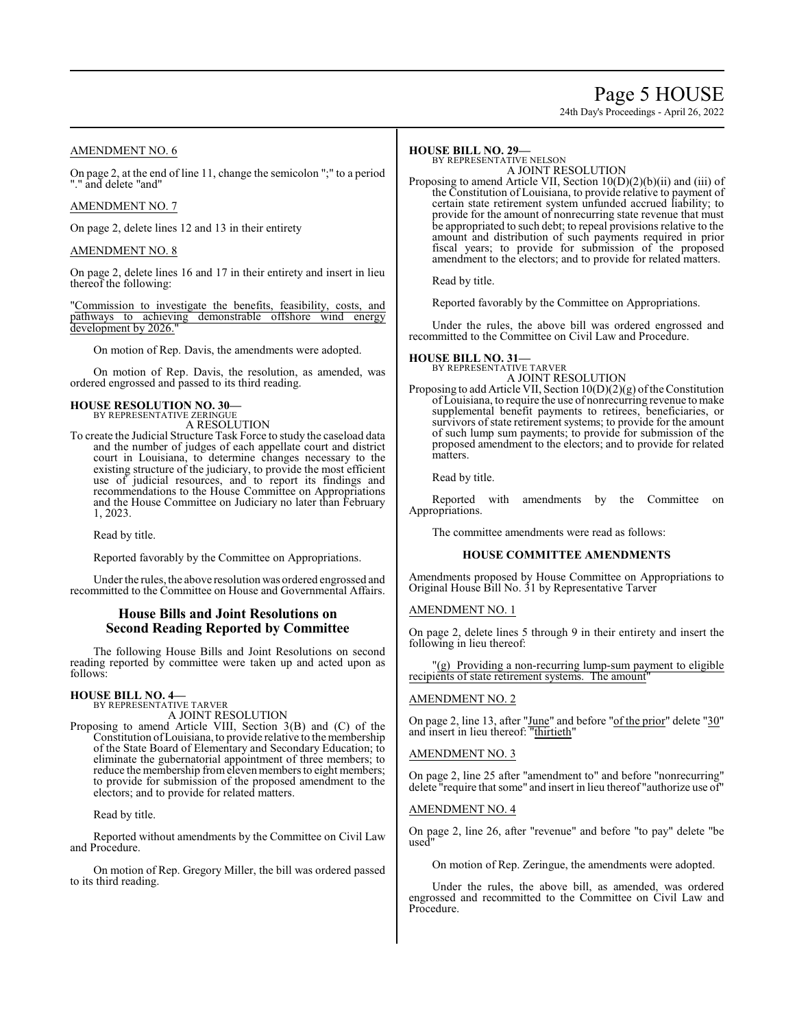# Page 5 HOUSE

24th Day's Proceedings - April 26, 2022

# AMENDMENT NO. 6

On page 2, at the end of line 11, change the semicolon ";" to a period "." and delete "and"

### AMENDMENT NO. 7

On page 2, delete lines 12 and 13 in their entirety

# AMENDMENT NO. 8

On page 2, delete lines 16 and 17 in their entirety and insert in lieu thereof the following:

"Commission to investigate the benefits, feasibility, costs, and pathways to achieving demonstrable offshore wind energy development by 2026.

On motion of Rep. Davis, the amendments were adopted.

On motion of Rep. Davis, the resolution, as amended, was ordered engrossed and passed to its third reading.

#### **HOUSE RESOLUTION NO. 30—** BY REPRESENTATIVE ZERINGUE

A RESOLUTION

To create the Judicial Structure Task Force to study the caseload data and the number of judges of each appellate court and district court in Louisiana, to determine changes necessary to the existing structure of the judiciary, to provide the most efficient use of judicial resources, and to report its findings and recommendations to the House Committee on Appropriations and the House Committee on Judiciary no later than February 1, 2023.

Read by title.

Reported favorably by the Committee on Appropriations.

Under the rules, the above resolution was ordered engrossed and recommitted to the Committee on House and Governmental Affairs.

# **House Bills and Joint Resolutions on Second Reading Reported by Committee**

The following House Bills and Joint Resolutions on second reading reported by committee were taken up and acted upon as follows:

#### **HOUSE BILL NO. 4—** BY REPRESENTATIVE TARVER

A JOINT RESOLUTION

Proposing to amend Article VIII, Section 3(B) and (C) of the Constitution ofLouisiana, to provide relative to the membership of the State Board of Elementary and Secondary Education; to eliminate the gubernatorial appointment of three members; to reduce the membership from eleven members to eight members; to provide for submission of the proposed amendment to the electors; and to provide for related matters.

Read by title.

Reported without amendments by the Committee on Civil Law and Procedure.

On motion of Rep. Gregory Miller, the bill was ordered passed to its third reading.

# **HOUSE BILL NO. 29—**

BY REPRESENTATIVE NELSON A JOINT RESOLUTION

Proposing to amend Article VII, Section 10(D)(2)(b)(ii) and (iii) of the Constitution of Louisiana, to provide relative to payment of certain state retirement system unfunded accrued liability; to provide for the amount of nonrecurring state revenue that must be appropriated to such debt; to repeal provisions relative to the amount and distribution of such payments required in prior fiscal years; to provide for submission of the proposed amendment to the electors; and to provide for related matters.

Read by title.

Reported favorably by the Committee on Appropriations.

Under the rules, the above bill was ordered engrossed and recommitted to the Committee on Civil Law and Procedure.

### **HOUSE BILL NO. 31—**

BY REPRESENTATIVE TARVER A JOINT RESOLUTION

Proposing to add Article VII, Section  $10(D)(2)(g)$  of the Constitution ofLouisiana, to require the use of nonrecurring revenue to make supplemental benefit payments to retirees, beneficiaries, or survivors of state retirement systems; to provide for the amount of such lump sum payments; to provide for submission of the proposed amendment to the electors; and to provide for related matters.

Read by title.

Reported with amendments by the Committee on Appropriations.

The committee amendments were read as follows:

### **HOUSE COMMITTEE AMENDMENTS**

Amendments proposed by House Committee on Appropriations to Original House Bill No. 31 by Representative Tarver

#### AMENDMENT NO. 1

On page 2, delete lines 5 through 9 in their entirety and insert the following in lieu thereof:

"(g) Providing a non-recurring lump-sum payment to eligible recipients of state retirement systems. The amount"

#### AMENDMENT NO. 2

On page 2, line 13, after "June" and before "of the prior" delete "30" and insert in lieu thereof: "thirtieth"

#### AMENDMENT NO. 3

On page 2, line 25 after "amendment to" and before "nonrecurring" delete "require that some" and insert in lieu thereof "authorize use of"

#### AMENDMENT NO. 4

On page 2, line 26, after "revenue" and before "to pay" delete "be used"

On motion of Rep. Zeringue, the amendments were adopted.

Under the rules, the above bill, as amended, was ordered engrossed and recommitted to the Committee on Civil Law and Procedure.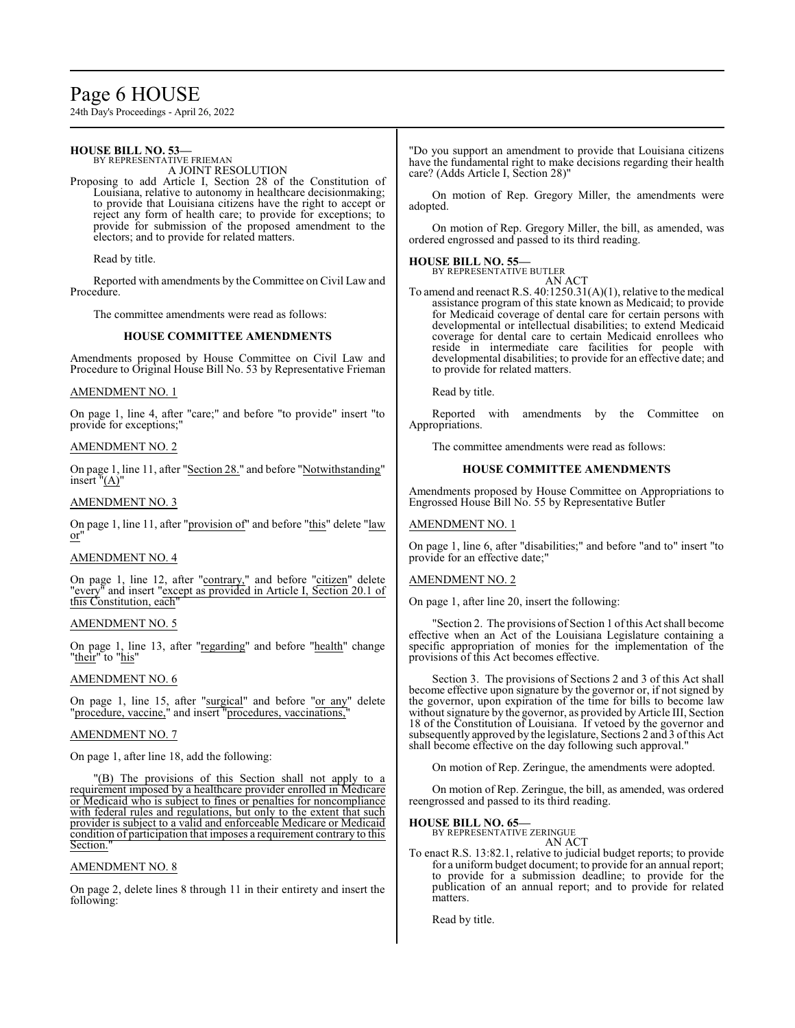# Page 6 HOUSE

24th Day's Proceedings - April 26, 2022

#### **HOUSE BILL NO. 53—** BY REPRESENTATIVE FRIEMAN A JOINT RESOLUTION Proposing to add Article I, Section 28 of the Constitution of Louisiana, relative to autonomy in healthcare decisionmaking; to provide that Louisiana citizens have the right to accept or reject any form of health care; to provide for exceptions; to provide for submission of the proposed amendment to the electors; and to provide for related matters. Read by title. Reported with amendments by the Committee on Civil Law and Procedure. The committee amendments were read as follows: **HOUSE COMMITTEE AMENDMENTS** Amendments proposed by House Committee on Civil Law and Procedure to Original House Bill No. 53 by Representative Frieman AMENDMENT NO. 1 On page 1, line 4, after "care;" and before "to provide" insert "to provide for exceptions;" AMENDMENT NO. 2 On page 1, line 11, after "Section 28." and before "Notwithstanding" insert  $<sup>n</sup>(A)<sup>n</sup>$ </sup> AMENDMENT NO. 3 On page 1, line 11, after "provision of" and before "this" delete "law or" AMENDMENT NO. 4 On page 1, line 12, after "contrary," and before "citizen" delete "every" and insert "except as provided in Article I, Section 20.1 of this Constitution, each" "Do you support an amendment to provide that Louisiana citizens have the fundamental right to make decisions regarding their health care? (Adds Article I, Section 28)" On motion of Rep. Gregory Miller, the amendments were adopted. On motion of Rep. Gregory Miller, the bill, as amended, was ordered engrossed and passed to its third reading. **HOUSE BILL NO. 55—** BY REPRESENTATIVE BUTLER AN ACT To amend and reenact R.S. 40:1250.31(A)(1), relative to the medical assistance program of this state known as Medicaid; to provide for Medicaid coverage of dental care for certain persons with developmental or intellectual disabilities; to extend Medicaid coverage for dental care to certain Medicaid enrollees who reside in intermediate care facilities for people with developmental disabilities; to provide for an effective date; and to provide for related matters. Read by title. Reported with amendments by the Committee on Appropriations. The committee amendments were read as follows: **HOUSE COMMITTEE AMENDMENTS** Amendments proposed by House Committee on Appropriations to Engrossed House Bill No. 55 by Representative Butler AMENDMENT NO. 1 On page 1, line 6, after "disabilities;" and before "and to" insert "to provide for an effective date;" AMENDMENT NO. 2

AMENDMENT NO. 5

On page 1, line 13, after "regarding" and before "health" change "their" to "his"

# AMENDMENT NO. 6

On page 1, line 15, after "surgical" and before "or any" delete "procedure, vaccine," and insert "procedures, vaccinations,"

### AMENDMENT NO. 7

On page 1, after line 18, add the following:

"(B) The provisions of this Section shall not apply to a requirement imposed by a healthcare provider enrolled in Medicare or Medicaid who is subject to fines or penalties for noncompliance with federal rules and regulations, but only to the extent that such provider is subject to a valid and enforceable Medicare or Medicaid condition of participation that imposes a requirement contrary to this Section.

# AMENDMENT NO. 8

On page 2, delete lines 8 through 11 in their entirety and insert the following:

On page 1, after line 20, insert the following:

Section 2. The provisions of Section 1 of this Act shall become effective when an Act of the Louisiana Legislature containing a specific appropriation of monies for the implementation of the provisions of this Act becomes effective.

Section 3. The provisions of Sections 2 and 3 of this Act shall become effective upon signature by the governor or, if not signed by the governor, upon expiration of the time for bills to become law without signature by the governor, as provided by Article III, Section 18 of the Constitution of Louisiana. If vetoed by the governor and subsequently approved by the legislature, Sections 2 and 3 ofthis Act shall become effective on the day following such approval."

On motion of Rep. Zeringue, the amendments were adopted.

On motion of Rep. Zeringue, the bill, as amended, was ordered reengrossed and passed to its third reading.

#### **HOUSE BILL NO. 65—**

BY REPRESENTATIVE ZERINGUE AN ACT

To enact R.S. 13:82.1, relative to judicial budget reports; to provide for a uniform budget document; to provide for an annual report; to provide for a submission deadline; to provide for the publication of an annual report; and to provide for related matters.

Read by title.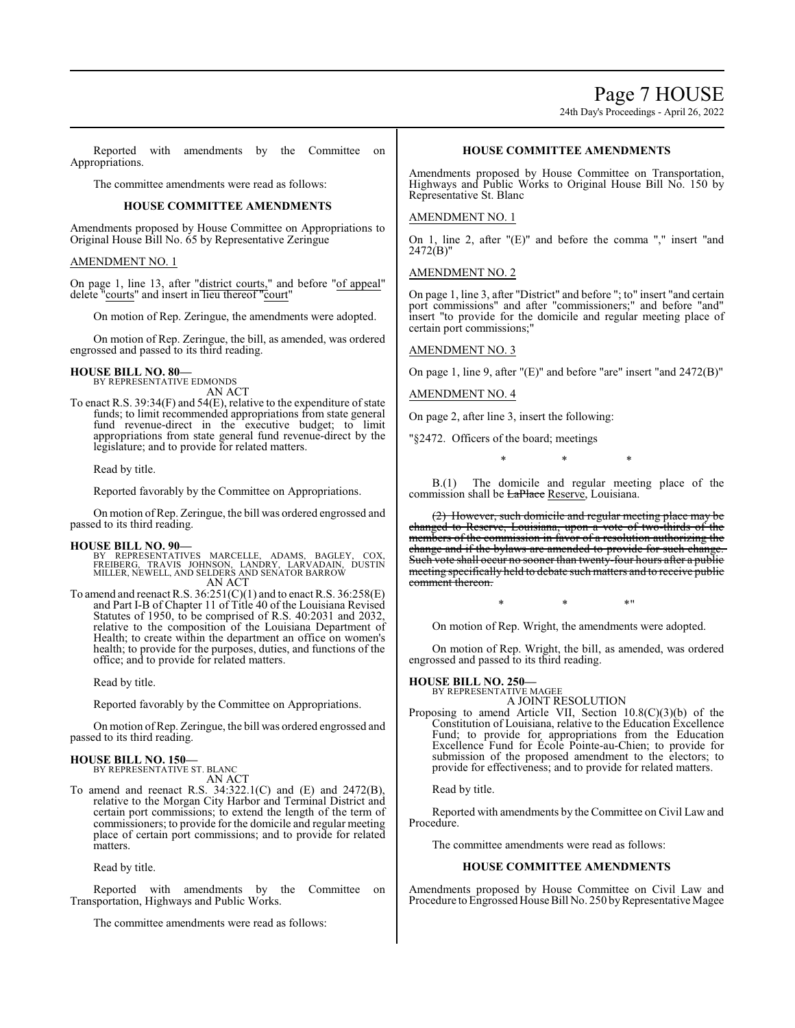Page 7 HOUSE

24th Day's Proceedings - April 26, 2022

Reported with amendments by the Committee on Appropriations.

The committee amendments were read as follows:

# **HOUSE COMMITTEE AMENDMENTS**

Amendments proposed by House Committee on Appropriations to Original House Bill No. 65 by Representative Zeringue

#### AMENDMENT NO. 1

On page 1, line 13, after "district courts," and before "of appeal" delete "courts" and insert in lieu thereof "court"

On motion of Rep. Zeringue, the amendments were adopted.

On motion of Rep. Zeringue, the bill, as amended, was ordered engrossed and passed to its third reading.

# **HOUSE BILL NO. 80—** BY REPRESENTATIVE EDMONDS

AN ACT

To enact R.S. 39:34(F) and 54(E), relative to the expenditure of state funds; to limit recommended appropriations from state general fund revenue-direct in the executive budget; to limit appropriations from state general fund revenue-direct by the legislature; and to provide for related matters.

Read by title.

Reported favorably by the Committee on Appropriations.

On motion ofRep. Zeringue, the bill was ordered engrossed and passed to its third reading.

#### **HOUSE BILL NO. 90—**

BY REPRESENTATIVES MARCELLE, ADAMS, BAGLEY, COX,<br>FREIBERG, TRAVIS JOHNSON, LANDRY, LARVADAIN, DUSTIN<br>MILLER,NEWELL,AND SELDERS AND SENATOR BARROW AN ACT

To amend and reenact R.S.  $36:251(C)(1)$  and to enact R.S.  $36:258(E)$ and Part I-B of Chapter 11 of Title 40 of the Louisiana Revised Statutes of 1950, to be comprised of R.S. 40:2031 and 2032, relative to the composition of the Louisiana Department of Health; to create within the department an office on women's health; to provide for the purposes, duties, and functions of the office; and to provide for related matters.

Read by title.

Reported favorably by the Committee on Appropriations.

On motion ofRep. Zeringue, the bill was ordered engrossed and passed to its third reading.

# **HOUSE BILL NO. 150—**

BY REPRESENTATIVE ST. BLANC AN ACT

To amend and reenact R.S. 34:322.1(C) and (E) and 2472(B), relative to the Morgan City Harbor and Terminal District and certain port commissions; to extend the length of the term of commissioners; to provide for the domicile and regular meeting place of certain port commissions; and to provide for related matters.

Read by title.

Reported with amendments by the Committee on Transportation, Highways and Public Works.

The committee amendments were read as follows:

# **HOUSE COMMITTEE AMENDMENTS**

Amendments proposed by House Committee on Transportation, Highways and Public Works to Original House Bill No. 150 by Representative St. Blanc

#### AMENDMENT NO. 1

On 1, line 2, after "(E)" and before the comma "," insert "and  $2472(B)$ "

AMENDMENT NO. 2

On page 1, line 3, after "District" and before "; to" insert "and certain port commissions" and after "commissioners;" and before "and" insert "to provide for the domicile and regular meeting place of certain port commissions;"

#### AMENDMENT NO. 3

On page 1, line 9, after "(E)" and before "are" insert "and 2472(B)"

AMENDMENT NO. 4

On page 2, after line 3, insert the following:

"§2472. Officers of the board; meetings

\* \* \*

B.(1) The domicile and regular meeting place of the commission shall be **LaPlace** Reserve, Louisiana.

(2) However, such domicile and regular meeting place may be changed to Reserve, Louisiana, upon a vote of two-thirds of the members of the commission in favor of a resolution authorizing the change and if the bylaws are amended to provide for such change Such vote shall occur no sooner than twenty-four hours after a public meeting specifically held to debate such matters and to receive public comment thereon.

 $*$  \*  $*$  \*

On motion of Rep. Wright, the amendments were adopted.

On motion of Rep. Wright, the bill, as amended, was ordered engrossed and passed to its third reading.

#### **HOUSE BILL NO. 250—**

BY REPRESENTATIVE MAGEE A JOINT RESOLUTION

Proposing to amend Article VII, Section 10.8(C)(3)(b) of the Constitution of Louisiana, relative to the Education Excellence Fund; to provide for appropriations from the Education Excellence Fund for École Pointe-au-Chien; to provide for submission of the proposed amendment to the electors; to provide for effectiveness; and to provide for related matters.

Read by title.

Reported with amendments by the Committee on Civil Law and Procedure.

The committee amendments were read as follows:

#### **HOUSE COMMITTEE AMENDMENTS**

Amendments proposed by House Committee on Civil Law and Procedure to Engrossed House Bill No. 250 by Representative Magee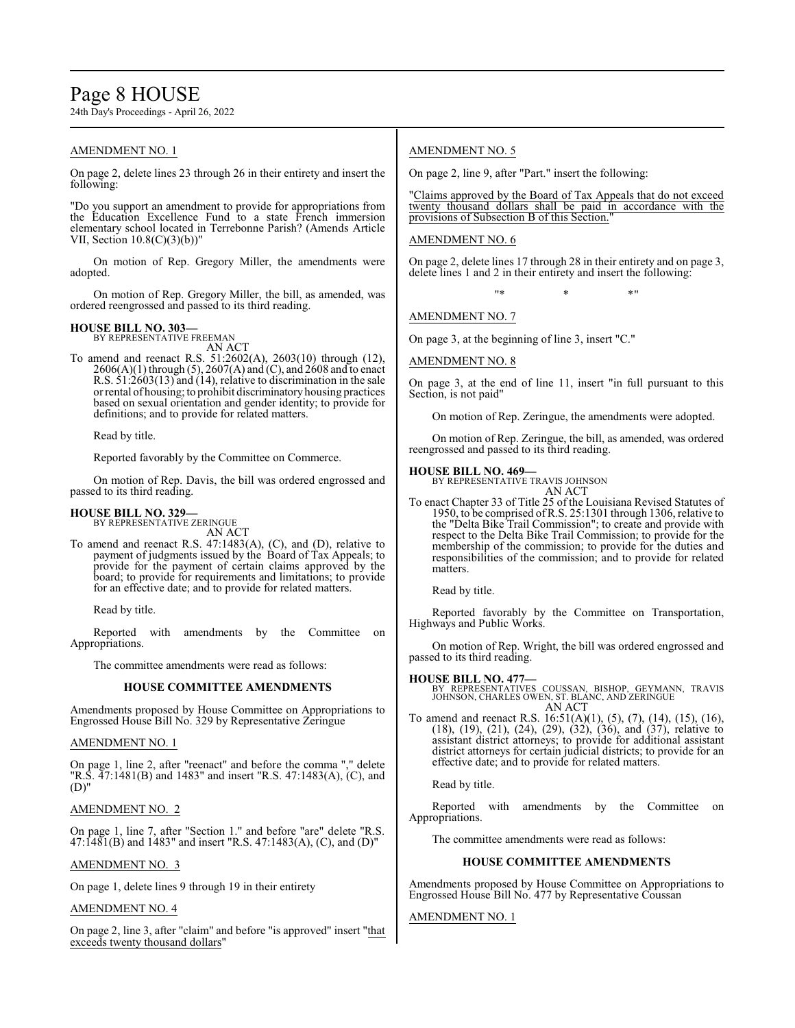# Page 8 HOUSE

24th Day's Proceedings - April 26, 2022

# AMENDMENT NO. 1

On page 2, delete lines 23 through 26 in their entirety and insert the following:

"Do you support an amendment to provide for appropriations from the Education Excellence Fund to a state French immersion elementary school located in Terrebonne Parish? (Amends Article VII, Section  $10.8(C)(3)(b)$ 

On motion of Rep. Gregory Miller, the amendments were adopted.

On motion of Rep. Gregory Miller, the bill, as amended, was ordered reengrossed and passed to its third reading.

#### **HOUSE BILL NO. 303—** BY REPRESENTATIVE FREEMAN

AN ACT

To amend and reenact R.S. 51:2602(A), 2603(10) through (12), 2606(A)(1) through (5), 2607(A) and (C), and 2608 and to enact R.S. 51:2603(13) and (14), relative to discrimination in the sale orrental of housing; to prohibit discriminatory housing practices based on sexual orientation and gender identity; to provide for definitions; and to provide for related matters.

Read by title.

Reported favorably by the Committee on Commerce.

On motion of Rep. Davis, the bill was ordered engrossed and passed to its third reading.

#### **HOUSE BILL NO. 329—** BY REPRESENTATIVE ZERINGUE

AN ACT

To amend and reenact R.S. 47:1483(A), (C), and (D), relative to payment of judgments issued by the Board of Tax Appeals; to provide for the payment of certain claims approved by the board; to provide for requirements and limitations; to provide for an effective date; and to provide for related matters.

Read by title.

Reported with amendments by the Committee on Appropriations.

The committee amendments were read as follows:

# **HOUSE COMMITTEE AMENDMENTS**

Amendments proposed by House Committee on Appropriations to Engrossed House Bill No. 329 by Representative Zeringue

# AMENDMENT NO. 1

On page 1, line 2, after "reenact" and before the comma "," delete "R.S. 47:1481(B) and 1483" and insert "R.S. 47:1483(A), (C), and (D)"

# AMENDMENT NO. 2

On page 1, line 7, after "Section 1." and before "are" delete "R.S. 47:1481(B) and 1483" and insert "R.S. 47:1483(A), (C), and (D)"

# AMENDMENT NO. 3

On page 1, delete lines 9 through 19 in their entirety

# AMENDMENT NO. 4

On page 2, line 3, after "claim" and before "is approved" insert "that exceeds twenty thousand dollars"

# AMENDMENT NO. 5

On page 2, line 9, after "Part." insert the following:

"Claims approved by the Board of Tax Appeals that do not exceed twenty thousand dollars shall be paid in accordance with the provisions of Subsection B of this Section."

# AMENDMENT NO. 6

On page 2, delete lines 17 through 28 in their entirety and on page 3, delete lines 1 and 2 in their entirety and insert the following:

"\* \* \*"

AMENDMENT NO. 7

On page 3, at the beginning of line 3, insert "C."

# AMENDMENT NO. 8

On page 3, at the end of line 11, insert "in full pursuant to this Section, is not paid"

On motion of Rep. Zeringue, the amendments were adopted.

On motion of Rep. Zeringue, the bill, as amended, was ordered reengrossed and passed to its third reading.

### **HOUSE BILL NO. 469—**

BY REPRESENTATIVE TRAVIS JOHNSON AN ACT

To enact Chapter 33 of Title 25 of the Louisiana Revised Statutes of 1950, to be comprised ofR.S. 25:1301 through 1306, relative to the "Delta Bike Trail Commission"; to create and provide with respect to the Delta Bike Trail Commission; to provide for the membership of the commission; to provide for the duties and responsibilities of the commission; and to provide for related matters.

Read by title.

Reported favorably by the Committee on Transportation, Highways and Public Works.

On motion of Rep. Wright, the bill was ordered engrossed and passed to its third reading.

**HOUSE BILL NO. 477—** BY REPRESENTATIVES COUSSAN, BISHOP, GEYMANN, TRAVIS JOHNSON, CHARLES OWEN, ST. BLANC, AND ZERINGUE AN ACT

To amend and reenact R.S. 16:51(A)(1), (5), (7), (14), (15), (16), (18), (19), (21), (24), (29), (32), (36), and (37), relative to assistant district attorneys; to provide for additional assistant district attorneys for certain judicial districts; to provide for an effective date; and to provide for related matters.

Read by title.

Reported with amendments by the Committee on Appropriations.

The committee amendments were read as follows:

# **HOUSE COMMITTEE AMENDMENTS**

Amendments proposed by House Committee on Appropriations to Engrossed House Bill No. 477 by Representative Coussan

# AMENDMENT NO. 1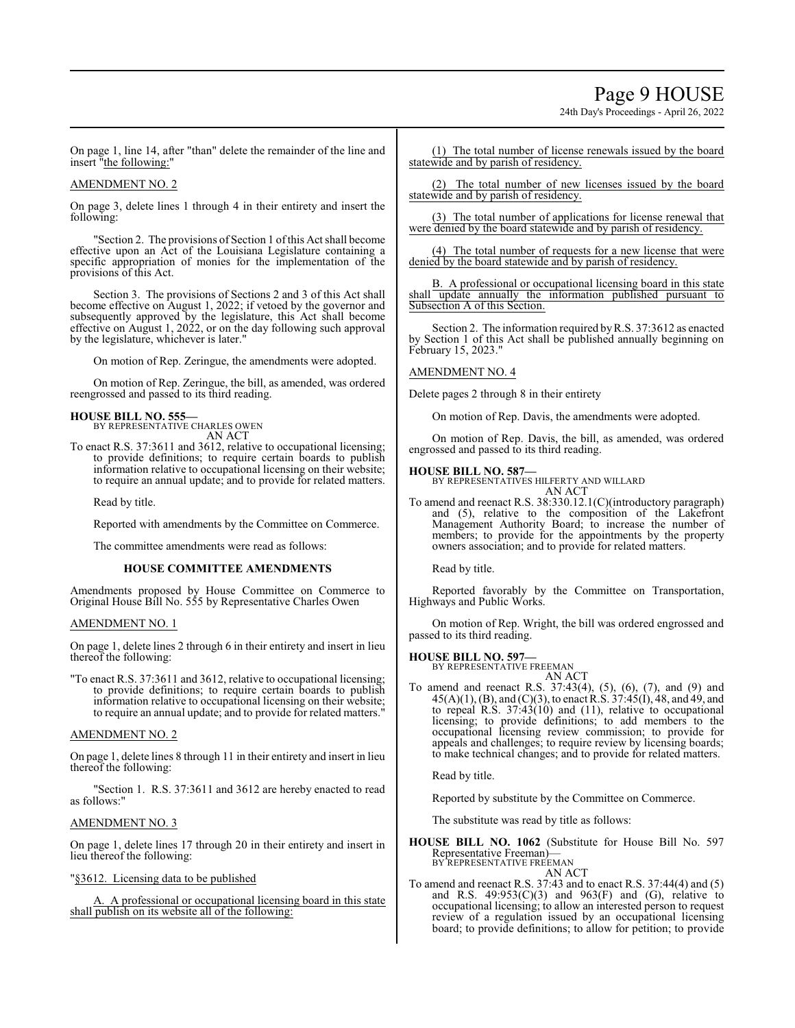# Page 9 HOUSE

24th Day's Proceedings - April 26, 2022

On page 1, line 14, after "than" delete the remainder of the line and insert "the following:"

#### AMENDMENT NO. 2

On page 3, delete lines 1 through 4 in their entirety and insert the following:

"Section 2. The provisions of Section 1 ofthis Act shall become effective upon an Act of the Louisiana Legislature containing a specific appropriation of monies for the implementation of the provisions of this Act.

Section 3. The provisions of Sections 2 and 3 of this Act shall become effective on August 1, 2022; if vetoed by the governor and subsequently approved by the legislature, this Act shall become effective on August 1, 2022, or on the day following such approval by the legislature, whichever is later."

On motion of Rep. Zeringue, the amendments were adopted.

On motion of Rep. Zeringue, the bill, as amended, was ordered reengrossed and passed to its third reading.

# **HOUSE BILL NO. 555—**

BY REPRESENTATIVE CHARLES OWEN AN ACT

To enact R.S. 37:3611 and 3612, relative to occupational licensing; to provide definitions; to require certain boards to publish information relative to occupational licensing on their website; to require an annual update; and to provide for related matters.

Read by title.

Reported with amendments by the Committee on Commerce.

The committee amendments were read as follows:

#### **HOUSE COMMITTEE AMENDMENTS**

Amendments proposed by House Committee on Commerce to Original House Bill No. 555 by Representative Charles Owen

#### AMENDMENT NO. 1

On page 1, delete lines 2 through 6 in their entirety and insert in lieu thereof the following:

"To enact R.S. 37:3611 and 3612, relative to occupational licensing; to provide definitions; to require certain boards to publish information relative to occupational licensing on their website; to require an annual update; and to provide for related matters."

#### AMENDMENT NO. 2

On page 1, delete lines 8 through 11 in their entirety and insert in lieu thereof the following:

"Section 1. R.S. 37:3611 and 3612 are hereby enacted to read as follows:"

#### AMENDMENT NO. 3

On page 1, delete lines 17 through 20 in their entirety and insert in lieu thereof the following:

"§3612. Licensing data to be published

A. A professional or occupational licensing board in this state shall publish on its website all of the following:

(1) The total number of license renewals issued by the board statewide and by parish of residency.

(2) The total number of new licenses issued by the board statewide and by parish of residency.

(3) The total number of applications for license renewal that were denied by the board statewide and by parish of residency.

(4) The total number of requests for a new license that were denied by the board statewide and by parish of residency.

B. A professional or occupational licensing board in this state shall update annually the information published pursuant to Subsection A of this Section.

Section 2. The information required by R.S. 37:3612 as enacted by Section 1 of this Act shall be published annually beginning on February 15, 2023."

# AMENDMENT NO. 4

Delete pages 2 through 8 in their entirety

On motion of Rep. Davis, the amendments were adopted.

On motion of Rep. Davis, the bill, as amended, was ordered engrossed and passed to its third reading.

#### **HOUSE BILL NO. 587—**

BY REPRESENTATIVES HILFERTY AND WILLARD AN ACT

To amend and reenact R.S. 38:330.12.1(C)(introductory paragraph) and (5), relative to the composition of the Lakefront Management Authority Board; to increase the number of members; to provide for the appointments by the property owners association; and to provide for related matters.

Read by title.

Reported favorably by the Committee on Transportation, Highways and Public Works.

On motion of Rep. Wright, the bill was ordered engrossed and passed to its third reading.

# **HOUSE BILL NO. 597—**

BY REPRESENTATIVE FREEMAN AN ACT

To amend and reenact R.S. 37:43(4), (5), (6), (7), and (9) and 45(A)(1), (B), and (C)(3), to enact R.S. 37:45(I), 48, and 49, and to repeal R.S. 37:43(10) and (11), relative to occupational licensing; to provide definitions; to add members to the occupational licensing review commission; to provide for appeals and challenges; to require review by licensing boards; to make technical changes; and to provide for related matters.

Read by title.

Reported by substitute by the Committee on Commerce.

The substitute was read by title as follows:

**HOUSE BILL NO. 1062** (Substitute for House Bill No. 597 Representative Freeman) BY REPRESENTATIVE FREEMAN

AN ACT

To amend and reenact R.S. 37:43 and to enact R.S. 37:44(4) and (5) and R.S.  $49:953(C)(3)$  and  $963(F)$  and  $(G)$ , relative to occupational licensing; to allow an interested person to request review of a regulation issued by an occupational licensing board; to provide definitions; to allow for petition; to provide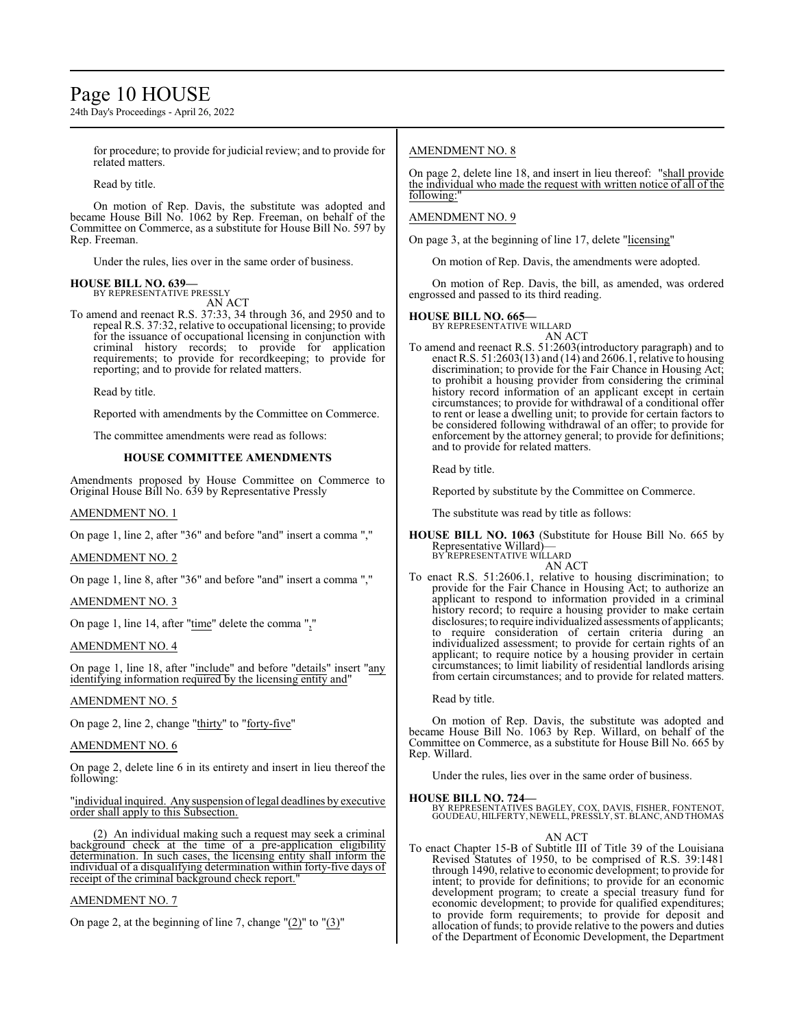# Page 10 HOUSE

24th Day's Proceedings - April 26, 2022

for procedure; to provide for judicial review; and to provide for related matters.

Read by title.

On motion of Rep. Davis, the substitute was adopted and became House Bill No. 1062 by Rep. Freeman, on behalf of the Committee on Commerce, as a substitute for House Bill No. 597 by Rep. Freeman.

Under the rules, lies over in the same order of business.

#### **HOUSE BILL NO. 639—** BY REPRESENTATIVE PRESSLY

AN ACT

To amend and reenact R.S. 37:33, 34 through 36, and 2950 and to repeal R.S. 37:32, relative to occupational licensing; to provide for the issuance of occupational licensing in conjunction with criminal history records; to provide for application requirements; to provide for recordkeeping; to provide for reporting; and to provide for related matters.

Read by title.

Reported with amendments by the Committee on Commerce.

The committee amendments were read as follows:

#### **HOUSE COMMITTEE AMENDMENTS**

Amendments proposed by House Committee on Commerce to Original House Bill No. 639 by Representative Pressly

AMENDMENT NO. 1

On page 1, line 2, after "36" and before "and" insert a comma ","

AMENDMENT NO. 2

On page 1, line 8, after "36" and before "and" insert a comma ","

AMENDMENT NO. 3

On page 1, line 14, after "time" delete the comma ","

#### AMENDMENT NO. 4

On page 1, line 18, after "include" and before "details" insert "any identifying information required by the licensing entity and"

#### AMENDMENT NO. 5

On page 2, line 2, change "thirty" to "forty-five"

#### AMENDMENT NO. 6

On page 2, delete line 6 in its entirety and insert in lieu thereof the following:

"individual inquired. Any suspension oflegal deadlines by executive order shall apply to this Subsection.

(2) An individual making such a request may seek a criminal background check at the time of a pre-application eligibility determination. In such cases, the licensing entity shall inform the individual of a disqualifying determination within forty-five days of receipt of the criminal background check report.

#### AMENDMENT NO. 7

On page 2, at the beginning of line 7, change  $\frac{1}{2}$  to  $\frac{1}{3}$ "

#### AMENDMENT NO. 8

On page 2, delete line 18, and insert in lieu thereof: "shall provide the individual who made the request with written notice of all of the following:"

#### AMENDMENT NO. 9

On page 3, at the beginning of line 17, delete "licensing"

On motion of Rep. Davis, the amendments were adopted.

On motion of Rep. Davis, the bill, as amended, was ordered engrossed and passed to its third reading.

#### **HOUSE BILL NO. 665—**

BY REPRESENTATIVE WILLARD AN ACT

To amend and reenact R.S. 51:2603(introductory paragraph) and to enact R.S.  $51:2603(13)$  and  $(14)$  and  $2606.1$ , relative to housing discrimination; to provide for the Fair Chance in Housing Act; to prohibit a housing provider from considering the criminal history record information of an applicant except in certain circumstances; to provide for withdrawal of a conditional offer to rent or lease a dwelling unit; to provide for certain factors to be considered following withdrawal of an offer; to provide for enforcement by the attorney general; to provide for definitions; and to provide for related matters.

Read by title.

Reported by substitute by the Committee on Commerce.

The substitute was read by title as follows:

**HOUSE BILL NO. 1063** (Substitute for House Bill No. 665 by Representative Willard)— BY REPRESENTATIVE WILLARD

AN ACT

To enact R.S. 51:2606.1, relative to housing discrimination; to provide for the Fair Chance in Housing Act; to authorize an applicant to respond to information provided in a criminal history record; to require a housing provider to make certain disclosures; to require individualized assessments of applicants; to require consideration of certain criteria during an individualized assessment; to provide for certain rights of an applicant; to require notice by a housing provider in certain circumstances; to limit liability of residential landlords arising from certain circumstances; and to provide for related matters.

Read by title.

On motion of Rep. Davis, the substitute was adopted and became House Bill No. 1063 by Rep. Willard, on behalf of the Committee on Commerce, as a substitute for House Bill No. 665 by Rep. Willard.

Under the rules, lies over in the same order of business.

#### **HOUSE BILL NO. 724—**

BY REPRESENTATIVES BAGLEY, COX, DAVIS, FISHER, FONTENOT, GOUDEAU, HILFERTY, NEWELL, PRESSLY, ST. BLANC, AND THOMAS

#### AN ACT

To enact Chapter 15-B of Subtitle III of Title 39 of the Louisiana Revised Statutes of 1950, to be comprised of R.S. 39:1481 through 1490, relative to economic development; to provide for intent; to provide for definitions; to provide for an economic development program; to create a special treasury fund for economic development; to provide for qualified expenditures; to provide form requirements; to provide for deposit and allocation of funds; to provide relative to the powers and duties of the Department of Economic Development, the Department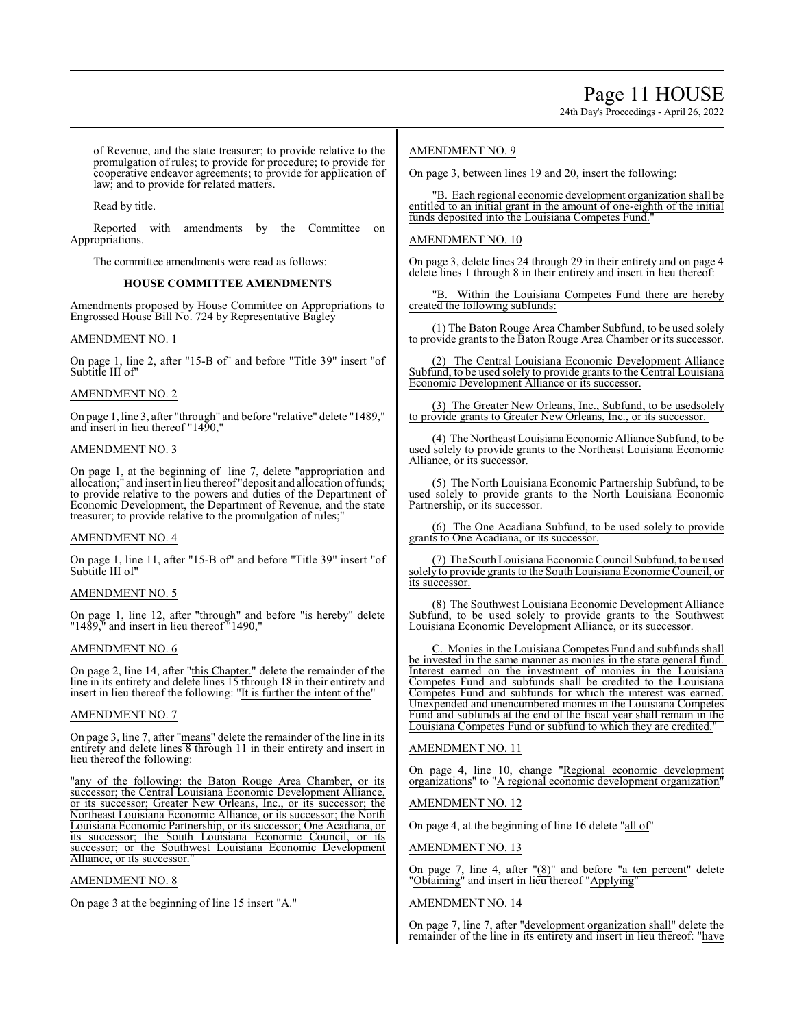24th Day's Proceedings - April 26, 2022

of Revenue, and the state treasurer; to provide relative to the promulgation of rules; to provide for procedure; to provide for cooperative endeavor agreements; to provide for application of law; and to provide for related matters.

Read by title.

Reported with amendments by the Committee on Appropriations.

The committee amendments were read as follows:

### **HOUSE COMMITTEE AMENDMENTS**

Amendments proposed by House Committee on Appropriations to Engrossed House Bill No. 724 by Representative Bagley

### AMENDMENT NO. 1

On page 1, line 2, after "15-B of" and before "Title 39" insert "of Subtitle III of"

### AMENDMENT NO. 2

On page 1, line 3, after "through" and before "relative" delete "1489," and insert in lieu thereof "1490,"

### AMENDMENT NO. 3

On page 1, at the beginning of line 7, delete "appropriation and allocation;" and insert in lieu thereof "deposit and allocation offunds; to provide relative to the powers and duties of the Department of Economic Development, the Department of Revenue, and the state treasurer; to provide relative to the promulgation of rules;"

#### AMENDMENT NO. 4

On page 1, line 11, after "15-B of" and before "Title 39" insert "of Subtitle III of"

# AMENDMENT NO. 5

On page 1, line 12, after "through" and before "is hereby" delete "1489," and insert in lieu thereof "1490,"

#### AMENDMENT NO. 6

On page 2, line 14, after "this Chapter." delete the remainder of the line in its entirety and delete lines 15 through 18 in their entirety and insert in lieu thereof the following: "It is further the intent of the"

# AMENDMENT NO. 7

On page 3, line 7, after "means" delete the remainder of the line in its entirety and delete lines 8 through 11 in their entirety and insert in lieu thereof the following:

"any of the following: the Baton Rouge Area Chamber, or its successor; the Central Louisiana Economic Development Alliance, or its successor; Greater New Orleans, Inc., or its successor; the Northeast Louisiana Economic Alliance, or its successor; the North Louisiana Economic Partnership, or its successor; One Acadiana, or its successor; the South Louisiana Economic Council, or its successor; or the Southwest Louisiana Economic Development Alliance, or its successor.

# AMENDMENT NO. 8

On page 3 at the beginning of line 15 insert " $\underline{A}$ ."

### AMENDMENT NO. 9

On page 3, between lines 19 and 20, insert the following:

"B. Each regional economic development organization shall be entitled to an initial grant in the amount of one-eighth of the initial funds deposited into the Louisiana Competes Fund."

### AMENDMENT NO. 10

On page 3, delete lines 24 through 29 in their entirety and on page 4 delete lines 1 through 8 in their entirety and insert in lieu thereof:

"B. Within the Louisiana Competes Fund there are hereby created the following subfunds:

(1) The Baton Rouge Area Chamber Subfund, to be used solely to provide grants to the Baton Rouge Area Chamber or its successor.

(2) The Central Louisiana Economic Development Alliance Subfund, to be used solely to provide grants to the Central Louisiana Economic Development Alliance or its successor.

(3) The Greater New Orleans, Inc., Subfund, to be usedsolely to provide grants to Greater New Orleans, Inc., or its successor.

(4) The Northeast Louisiana Economic Alliance Subfund, to be used solely to provide grants to the Northeast Louisiana Economic Alliance, or its successor.

(5) The North Louisiana Economic Partnership Subfund, to be used solely to provide grants to the North Louisiana Economic Partnership, or its successor.

(6) The One Acadiana Subfund, to be used solely to provide grants to One Acadiana, or its successor.

(7) The SouthLouisiana Economic Council Subfund, to be used solely to provide grants to the South Louisiana Economic Council, or its successor.

(8) The Southwest Louisiana Economic Development Alliance Subfund, to be used solely to provide grants to the Southwest Louisiana Economic Development Alliance, or its successor.

C. Monies in the Louisiana Competes Fund and subfunds shall be invested in the same manner as monies in the state general fund. Interest earned on the investment of monies in the Louisiana Competes Fund and subfunds shall be credited to the Louisiana Competes Fund and subfunds for which the interest was earned. Unexpended and unencumbered monies in the Louisiana Competes Fund and subfunds at the end of the fiscal year shall remain in the Louisiana Competes Fund or subfund to which they are credited."

# AMENDMENT NO. 11

On page 4, line 10, change "Regional economic development organizations" to "A regional economic development organization"

# AMENDMENT NO. 12

On page 4, at the beginning of line 16 delete "all of"

#### AMENDMENT NO. 13

On page 7, line 4, after "(8)" and before "a ten percent" delete "Obtaining" and insert in lieu thereof "Applying"

#### AMENDMENT NO. 14

On page 7, line 7, after "development organization shall" delete the remainder of the line in its entirety and insert in lieu thereof: "have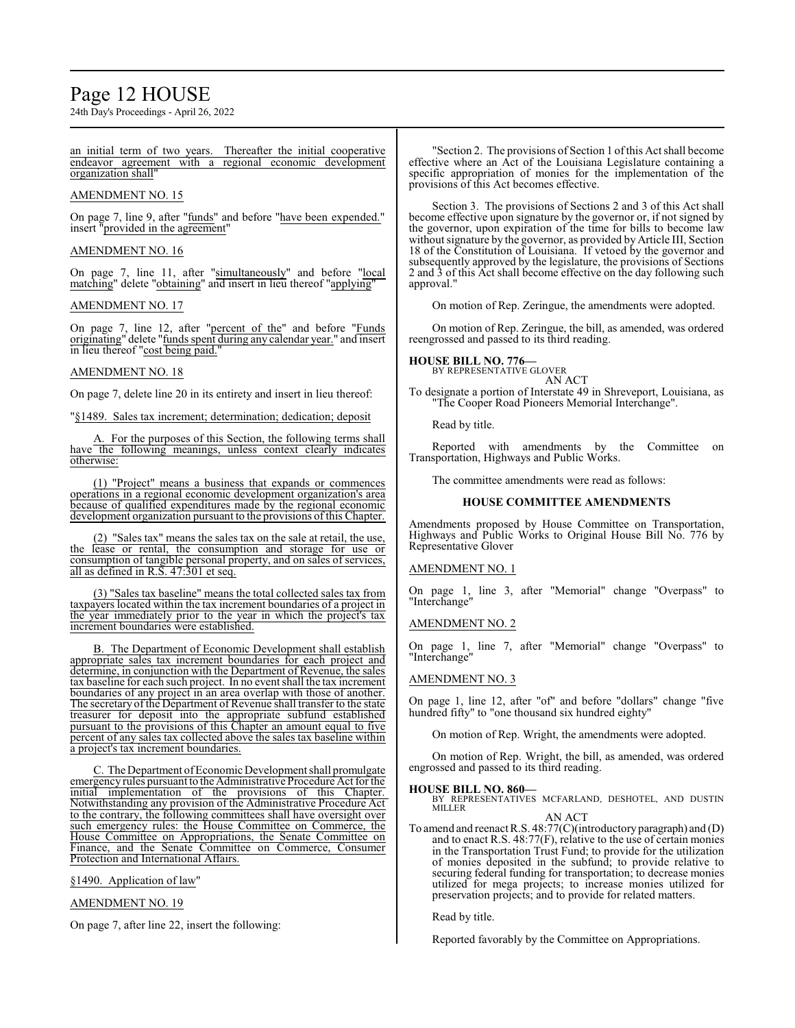# Page 12 HOUSE

24th Day's Proceedings - April 26, 2022

an initial term of two years. Thereafter the initial cooperative endeavor agreement with a regional economic development organization shall"

# AMENDMENT NO. 15

On page 7, line 9, after "funds" and before "have been expended." insert "provided in the agreement"

# AMENDMENT NO. 16

On page 7, line 11, after "simultaneously" and before "local matching" delete "obtaining" and insert in lieu thereof "applying"

# AMENDMENT NO. 17

On page 7, line 12, after "percent of the" and before "Funds originating" delete "funds spent during any calendar year." and insert in lieu thereof "cost being paid."

### AMENDMENT NO. 18

On page 7, delete line 20 in its entirety and insert in lieu thereof:

"§1489. Sales tax increment; determination; dedication; deposit

For the purposes of this Section, the following terms shall have the following meanings, unless context clearly indicates otherwise:

(1) "Project" means a business that expands or commences operations in a regional economic development organization's area because of qualified expenditures made by the regional economic development organization pursuant to the provisions of this Chapter.

(2) "Sales tax" means the sales tax on the sale at retail, the use, the lease or rental, the consumption and storage for use or consumption of tangible personal property, and on sales of services, all as defined in R.S. 47:301 et seq.

(3) "Sales tax baseline" means the total collected sales tax from taxpayers located within the tax increment boundaries of a project in the year immediately prior to the year in which the project's tax increment boundaries were established.

B. The Department of Economic Development shall establish appropriate sales tax increment boundaries for each project and determine, in conjunction with the Department of Revenue, the sales tax baseline for each such project. In no event shall the tax increment boundaries of any project in an area overlap with those of another. The secretary of the Department of Revenue shall transfer to the state treasurer for deposit into the appropriate subfund established pursuant to the provisions of this Chapter an amount equal to five percent of any sales tax collected above the sales tax baseline within a project's tax increment boundaries.

C. The Department ofEconomic Development shall promulgate emergency rules pursuant to the Administrative Procedure Act for the initial implementation of the provisions of this Chapter. Notwithstanding any provision of the Administrative Procedure Act to the contrary, the following committees shall have oversight over such emergency rules: the House Committee on Commerce, the House Committee on Appropriations, the Senate Committee on Finance, and the Senate Committee on Commerce, Consumer Protection and International Affairs.

§1490. Application of law"

# AMENDMENT NO. 19

On page 7, after line 22, insert the following:

"Section 2. The provisions of Section 1 ofthis Act shall become effective where an Act of the Louisiana Legislature containing a specific appropriation of monies for the implementation of the provisions of this Act becomes effective.

Section 3. The provisions of Sections 2 and 3 of this Act shall become effective upon signature by the governor or, if not signed by the governor, upon expiration of the time for bills to become law without signature by the governor, as provided by Article III, Section 18 of the Constitution of Louisiana. If vetoed by the governor and subsequently approved by the legislature, the provisions of Sections 2 and 3 of this Act shall become effective on the day following such approval."

On motion of Rep. Zeringue, the amendments were adopted.

On motion of Rep. Zeringue, the bill, as amended, was ordered reengrossed and passed to its third reading.

**HOUSE BILL NO. 776—** BY REPRESENTATIVE GLOVER AN ACT

To designate a portion of Interstate 49 in Shreveport, Louisiana, as "The Cooper Road Pioneers Memorial Interchange".

Read by title.

Reported with amendments by the Committee on Transportation, Highways and Public Works.

The committee amendments were read as follows:

### **HOUSE COMMITTEE AMENDMENTS**

Amendments proposed by House Committee on Transportation, Highways and Public Works to Original House Bill No. 776 by Representative Glover

# AMENDMENT NO. 1

On page 1, line 3, after "Memorial" change "Overpass" to "Interchange"

#### AMENDMENT NO. 2

On page 1, line 7, after "Memorial" change "Overpass" to "Interchange"

# AMENDMENT NO. 3

On page 1, line 12, after "of" and before "dollars" change "five hundred fifty" to "one thousand six hundred eighty"

On motion of Rep. Wright, the amendments were adopted.

On motion of Rep. Wright, the bill, as amended, was ordered engrossed and passed to its third reading.

#### **HOUSE BILL NO. 860—**

BY REPRESENTATIVES MCFARLAND, DESHOTEL, AND DUSTIN MILLER

AN ACT

To amend and reenact R.S. 48:77(C)(introductory paragraph) and (D) and to enact R.S. 48:77(F), relative to the use of certain monies in the Transportation Trust Fund; to provide for the utilization of monies deposited in the subfund; to provide relative to securing federal funding for transportation; to decrease monies utilized for mega projects; to increase monies utilized for preservation projects; and to provide for related matters.

Read by title.

Reported favorably by the Committee on Appropriations.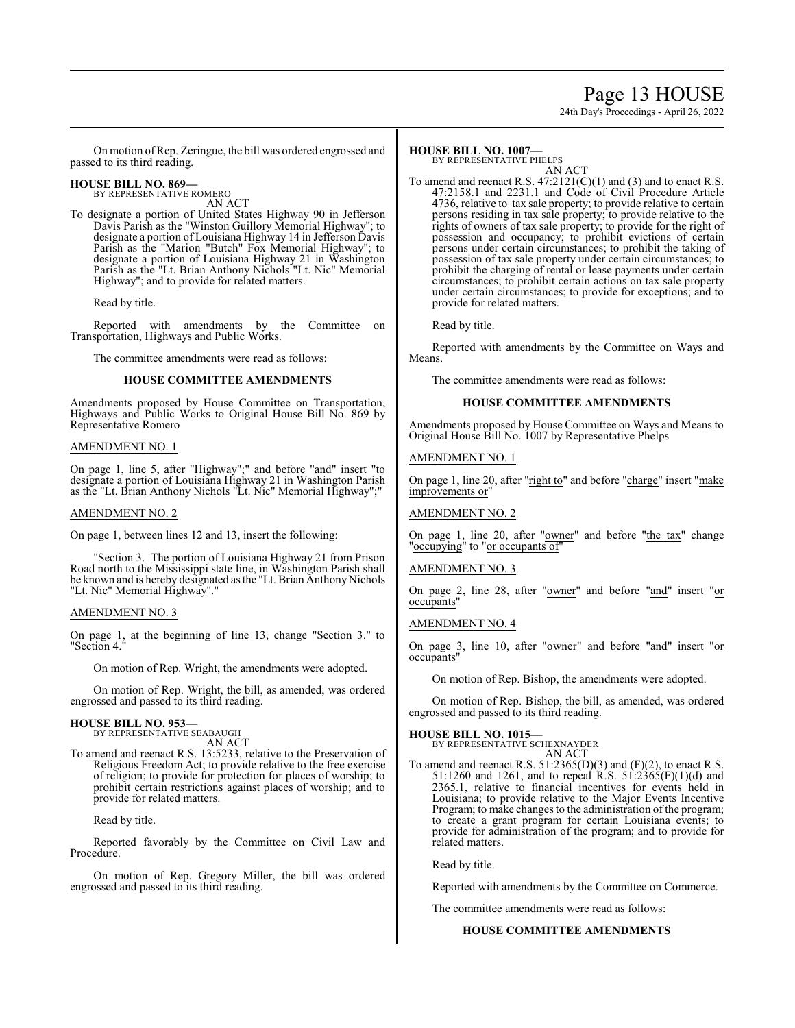# Page 13 HOUSE

24th Day's Proceedings - April 26, 2022

On motion ofRep. Zeringue, the bill was ordered engrossed and passed to its third reading.

#### **HOUSE BILL NO. 869—** BY REPRESENTATIVE ROMERO

AN ACT

To designate a portion of United States Highway 90 in Jefferson Davis Parish as the "Winston Guillory Memorial Highway"; to designate a portion of Louisiana Highway 14 in Jefferson Davis Parish as the "Marion "Butch" Fox Memorial Highway"; to designate a portion of Louisiana Highway 21 in Washington Parish as the "Lt. Brian Anthony Nichols "Lt. Nic" Memorial Highway"; and to provide for related matters.

Read by title.

Reported with amendments by the Committee on Transportation, Highways and Public Works.

The committee amendments were read as follows:

#### **HOUSE COMMITTEE AMENDMENTS**

Amendments proposed by House Committee on Transportation, Highways and Public Works to Original House Bill No. 869 by Representative Romero

#### AMENDMENT NO. 1

On page 1, line 5, after "Highway";" and before "and" insert "to designate a portion of Louisiana Highway 21 in Washington Parish as the "Lt. Brian Anthony Nichols "Lt. Nic" Memorial Highway";"

#### AMENDMENT NO. 2

On page 1, between lines 12 and 13, insert the following:

"Section 3. The portion of Louisiana Highway 21 from Prison Road north to the Mississippi state line, in Washington Parish shall be known and is hereby designated as the "Lt. Brian Anthony Nichols "Lt. Nic" Memorial Highway"."

#### AMENDMENT NO. 3

On page 1, at the beginning of line 13, change "Section 3." to "Section 4."

On motion of Rep. Wright, the amendments were adopted.

On motion of Rep. Wright, the bill, as amended, was ordered engrossed and passed to its third reading.

# **HOUSE BILL NO. 953—**

BY REPRESENTATIVE SEABAUGH AN ACT

To amend and reenact R.S. 13:5233, relative to the Preservation of Religious Freedom Act; to provide relative to the free exercise of religion; to provide for protection for places of worship; to prohibit certain restrictions against places of worship; and to provide for related matters.

Read by title.

Reported favorably by the Committee on Civil Law and Procedure.

On motion of Rep. Gregory Miller, the bill was ordered engrossed and passed to its third reading.

#### **HOUSE BILL NO. 1007—** BY REPRESENTATIVE PHELPS

AN ACT

To amend and reenact R.S.  $47:2121(C)(1)$  and (3) and to enact R.S. 47:2158.1 and 2231.1 and Code of Civil Procedure Article 4736, relative to tax sale property; to provide relative to certain persons residing in tax sale property; to provide relative to the rights of owners of tax sale property; to provide for the right of possession and occupancy; to prohibit evictions of certain persons under certain circumstances; to prohibit the taking of possession of tax sale property under certain circumstances; to prohibit the charging of rental or lease payments under certain circumstances; to prohibit certain actions on tax sale property under certain circumstances; to provide for exceptions; and to provide for related matters.

Read by title.

Reported with amendments by the Committee on Ways and Means.

The committee amendments were read as follows:

#### **HOUSE COMMITTEE AMENDMENTS**

Amendments proposed by House Committee on Ways and Means to Original House Bill No. 1007 by Representative Phelps

#### AMENDMENT NO. 1

On page 1, line 20, after "right to" and before "charge" insert "make improvements or"

# AMENDMENT NO. 2

On page 1, line 20, after "owner" and before "the tax" change "occupying" to "or occupants of"

# AMENDMENT NO. 3

On page 2, line 28, after "<u>owner</u>" and before "and" insert "or occupants"

# AMENDMENT NO. 4

On page 3, line 10, after "owner" and before "and" insert "or occupants"

On motion of Rep. Bishop, the amendments were adopted.

On motion of Rep. Bishop, the bill, as amended, was ordered engrossed and passed to its third reading.

### **HOUSE BILL NO. 1015—**

BY REPRESENTATIVE SCHEXNAYDER AN ACT

To amend and reenact R.S.  $51:2365(D)(3)$  and  $(F)(2)$ , to enact R.S. 51:1260 and 1261, and to repeal R.S. 51:2365(F)(1)(d) and 2365.1, relative to financial incentives for events held in Louisiana; to provide relative to the Major Events Incentive Program; to make changes to the administration of the program; to create a grant program for certain Louisiana events; to provide for administration of the program; and to provide for related matters.

Read by title.

Reported with amendments by the Committee on Commerce.

The committee amendments were read as follows:

#### **HOUSE COMMITTEE AMENDMENTS**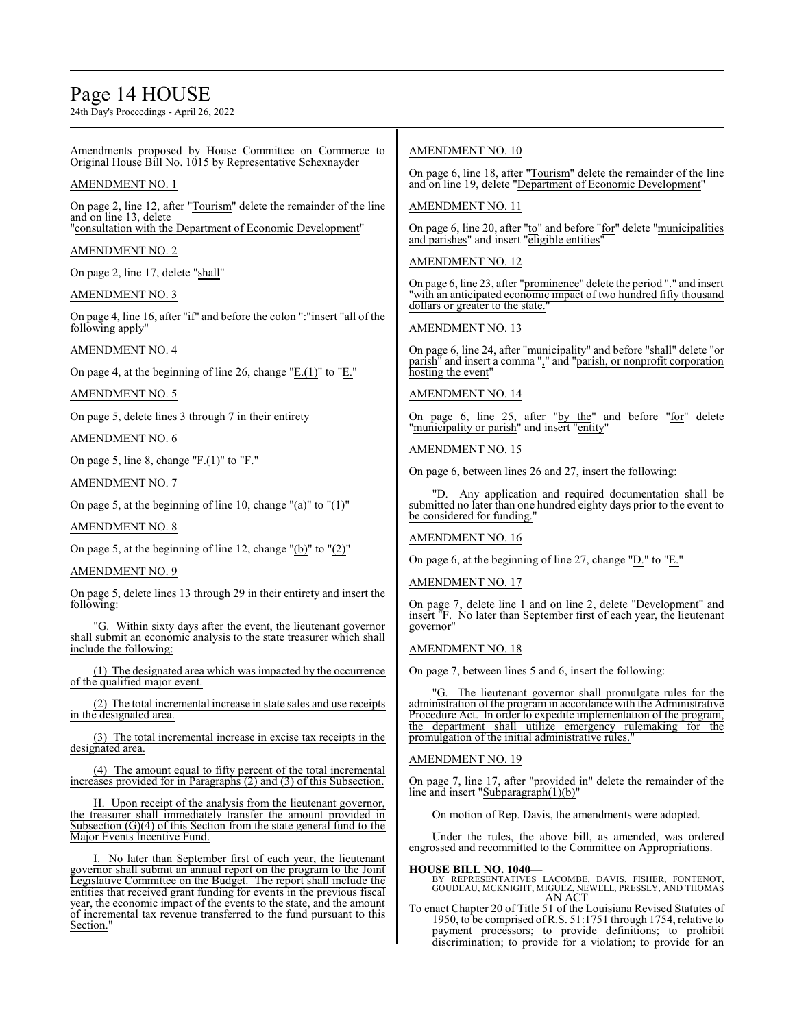# Page 14 HOUSE

24th Day's Proceedings - April 26, 2022

Amendments proposed by House Committee on Commerce to Original House Bill No. 1015 by Representative Schexnayder

# AMENDMENT NO. 1

On page 2, line 12, after "Tourism" delete the remainder of the line and on line 13, delete "consultation with the Department of Economic Development"

# AMENDMENT NO. 2

On page 2, line 17, delete "shall"

# AMENDMENT NO. 3

On page 4, line 16, after "if" and before the colon ":"insert "all of the following apply"

# AMENDMENT NO. 4

On page 4, at the beginning of line 26, change "E.(1)" to "E."

AMENDMENT NO. 5

On page 5, delete lines 3 through 7 in their entirety

AMENDMENT NO. 6

On page 5, line 8, change "F.(1)" to "F."

### AMENDMENT NO. 7

On page 5, at the beginning of line 10, change " $(a)$ " to " $(1)$ "

# AMENDMENT NO. 8

On page 5, at the beginning of line 12, change "(b)" to "(2)"

#### AMENDMENT NO. 9

On page 5, delete lines 13 through 29 in their entirety and insert the following:

G. Within sixty days after the event, the lieutenant governor shall submit an economic analysis to the state treasurer which shall include the following:

(1) The designated area which was impacted by the occurrence of the qualified major event.

(2) The total incremental increase in state sales and use receipts in the designated area.

(3) The total incremental increase in excise tax receipts in the designated area.

(4) The amount equal to fifty percent of the total incremental increases provided for in Paragraphs (2) and (3) of this Subsection.

H. Upon receipt of the analysis from the lieutenant governor, the treasurer shall immediately transfer the amount provided in Subsection  $(G)(4)$  of this Section from the state general fund to the Major Events Incentive Fund.

I. No later than September first of each year, the lieutenant governor shall submit an annual report on the program to the Joint Legislative Committee on the Budget. The report shall include the entities that received grant funding for events in the previous fiscal year, the economic impact of the events to the state, and the amount of incremental tax revenue transferred to the fund pursuant to this Section.

# AMENDMENT NO. 10

On page 6, line 18, after "Tourism" delete the remainder of the line and on line 19, delete "Department of Economic Development"

### AMENDMENT NO. 11

On page 6, line 20, after "to" and before "for" delete "municipalities and parishes" and insert "eligible entities"

# AMENDMENT NO. 12

On page 6, line 23, after "prominence" delete the period "." and insert "with an anticipated economic impact of two hundred fifty thousand dollars or greater to the state.

# AMENDMENT NO. 13

On page 6, line 24, after "municipality" and before "shall" delete "or parish" and insert a comma "," and "parish, or nonprofit corporation hosting the event"

# AMENDMENT NO. 14

On page 6, line 25, after "by the" and before "for" delete "municipality or parish" and insert "entity"

# AMENDMENT NO. 15

On page 6, between lines 26 and 27, insert the following:

Any application and required documentation shall be submitted no later than one hundred eighty days prior to the event to be considered for funding.

#### AMENDMENT NO. 16

On page 6, at the beginning of line 27, change "D." to "E."

#### AMENDMENT NO. 17

On page 7, delete line 1 and on line 2, delete "Development" and insert <sup>"</sup>F. No later than September first of each year, the lieutenant governor"

# AMENDMENT NO. 18

On page 7, between lines 5 and 6, insert the following:

"G. The lieutenant governor shall promulgate rules for the administration of the program in accordance with the Administrative Procedure Act. In order to expedite implementation of the program, the department shall utilize emergency rulemaking for the promulgation of the initial administrative rules."

# AMENDMENT NO. 19

On page 7, line 17, after "provided in" delete the remainder of the line and insert "Subparagraph(1)(b)"

On motion of Rep. Davis, the amendments were adopted.

Under the rules, the above bill, as amended, was ordered engrossed and recommitted to the Committee on Appropriations.

#### **HOUSE BILL NO. 1040—**

BY REPRESENTATIVES LACOMBE, DAVIS, FISHER, FONTENOT, GOUDEAU, MCKNIGHT, MIGUEZ, NEWELL, PRESSLY, AND THOMAS AN ACT

To enact Chapter 20 of Title 51 of the Louisiana Revised Statutes of 1950, to be comprised ofR.S. 51:1751 through 1754, relative to payment processors; to provide definitions; to prohibit discrimination; to provide for a violation; to provide for an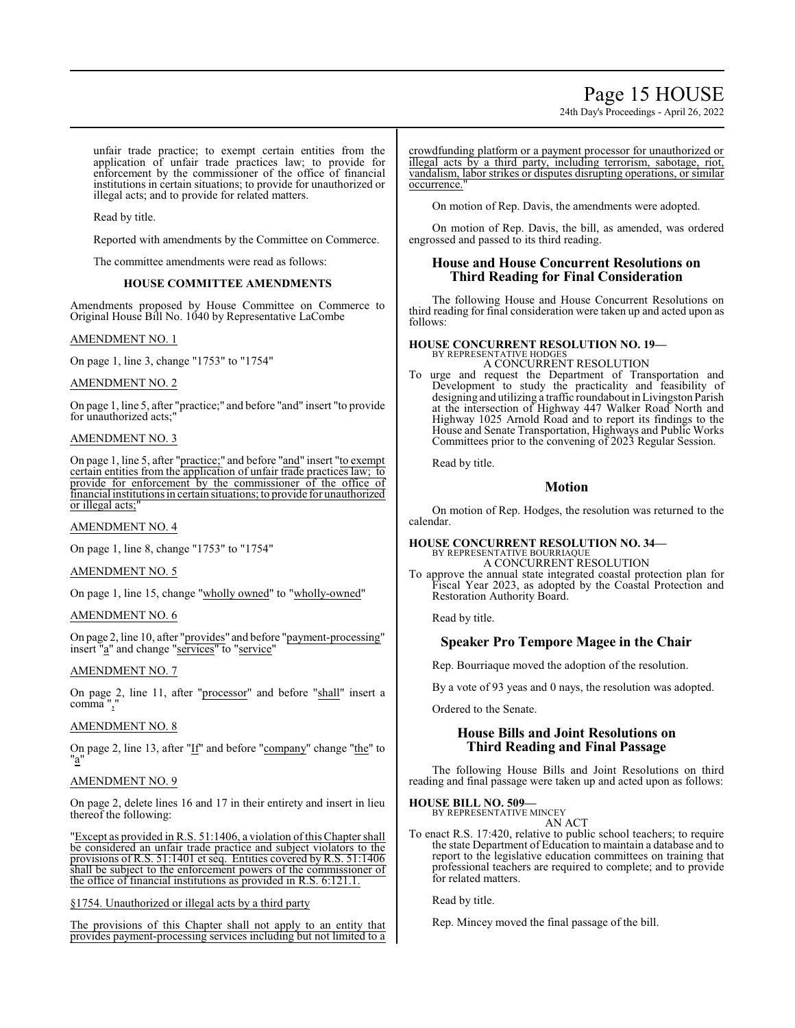# Page 15 HOUSE

24th Day's Proceedings - April 26, 2022

unfair trade practice; to exempt certain entities from the application of unfair trade practices law; to provide for enforcement by the commissioner of the office of financial institutions in certain situations; to provide for unauthorized or illegal acts; and to provide for related matters.

Read by title.

Reported with amendments by the Committee on Commerce.

The committee amendments were read as follows:

### **HOUSE COMMITTEE AMENDMENTS**

Amendments proposed by House Committee on Commerce to Original House Bill No. 1040 by Representative LaCombe

### AMENDMENT NO. 1

On page 1, line 3, change "1753" to "1754"

#### AMENDMENT NO. 2

On page 1, line 5, after "practice;" and before "and" insert "to provide for unauthorized acts;"

### AMENDMENT NO. 3

On page 1, line 5, after "practice;" and before "and" insert "to exempt certain entities from the application of unfair trade practices law; to provide for enforcement by the commissioner of the office of financial institutions in certain situations; to provide for unauthorized or illegal acts;

# AMENDMENT NO. 4

On page 1, line 8, change "1753" to "1754"

#### AMENDMENT NO. 5

On page 1, line 15, change "wholly owned" to "wholly-owned"

#### AMENDMENT NO. 6

On page 2, line 10, after "provides" and before "payment-processing" insert "a" and change "services" to "service"

#### AMENDMENT NO. 7

On page 2, line 11, after "processor" and before "shall" insert a comma ","

### AMENDMENT NO. 8

On page 2, line 13, after "If" and before "company" change "the" to "a"

#### AMENDMENT NO. 9

On page 2, delete lines 16 and 17 in their entirety and insert in lieu thereof the following:

'Except as provided in R.S. 51:1406, a violation of this Chapter shall be considered an unfair trade practice and subject violators to the provisions of R.S. 51:1401 et seq. Entities covered by R.S. 51:1406 shall be subject to the enforcement powers of the commissioner of the office of financial institutions as provided in R.S. 6:121.1.

§1754. Unauthorized or illegal acts by a third party

The provisions of this Chapter shall not apply to an entity that provides payment-processing services including but not limited to a

crowdfunding platform or a payment processor for unauthorized or illegal acts by a third party, including terrorism, sabotage, riot, vandalism, labor strikes or disputes disrupting operations, or similar occurrence."

On motion of Rep. Davis, the amendments were adopted.

On motion of Rep. Davis, the bill, as amended, was ordered engrossed and passed to its third reading.

# **House and House Concurrent Resolutions on Third Reading for Final Consideration**

The following House and House Concurrent Resolutions on third reading for final consideration were taken up and acted upon as follows:

# **HOUSE CONCURRENT RESOLUTION NO. 19—** BY REPRESENTATIVE HODGES

A CONCURRENT RESOLUTION

To urge and request the Department of Transportation and Development to study the practicality and feasibility of designing and utilizing a traffic roundabout inLivingston Parish at the intersection of Highway 447 Walker Road North and Highway 1025 Arnold Road and to report its findings to the House and Senate Transportation, Highways and Public Works Committees prior to the convening of 2023 Regular Session.

Read by title.

# **Motion**

On motion of Rep. Hodges, the resolution was returned to the calendar.

# **HOUSE CONCURRENT RESOLUTION NO. 34—**

BY REPRESENTATIVE BOURRIAQUE A CONCURRENT RESOLUTION

To approve the annual state integrated coastal protection plan for Fiscal Year 2023, as adopted by the Coastal Protection and Restoration Authority Board.

Read by title.

# **Speaker Pro Tempore Magee in the Chair**

Rep. Bourriaque moved the adoption of the resolution.

By a vote of 93 yeas and 0 nays, the resolution was adopted.

Ordered to the Senate.

# **House Bills and Joint Resolutions on Third Reading and Final Passage**

The following House Bills and Joint Resolutions on third reading and final passage were taken up and acted upon as follows:

# **HOUSE BILL NO. 509—** BY REPRESENTATIVE MINCEY

AN ACT

To enact R.S. 17:420, relative to public school teachers; to require the state Department of Education to maintain a database and to report to the legislative education committees on training that professional teachers are required to complete; and to provide for related matters.

Read by title.

Rep. Mincey moved the final passage of the bill.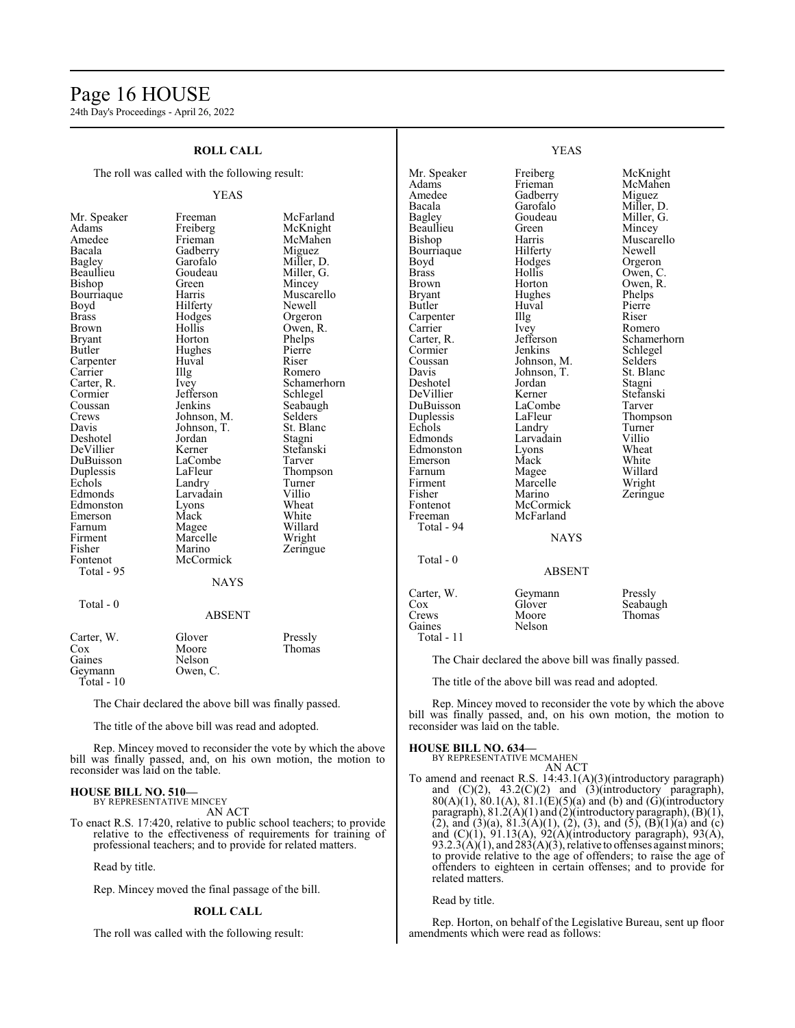# Page 16 HOUSE

24th Day's Proceedings - April 26, 2022

| <b>ROLL CALL</b>                                                                                                                                                                                                                                                                                                                                               |                                                                                                                                                                                                                                                                                                                                                       |                                                                                                                                                                                                                                                                                                                                                                  | <b>YEAS</b>                                                                                                                                                                                                                                                                                                                                                                    |                                                                                                                                                                                                                                                                                                                                     |                                                                                                                                                                                                                                                                                                             |
|----------------------------------------------------------------------------------------------------------------------------------------------------------------------------------------------------------------------------------------------------------------------------------------------------------------------------------------------------------------|-------------------------------------------------------------------------------------------------------------------------------------------------------------------------------------------------------------------------------------------------------------------------------------------------------------------------------------------------------|------------------------------------------------------------------------------------------------------------------------------------------------------------------------------------------------------------------------------------------------------------------------------------------------------------------------------------------------------------------|--------------------------------------------------------------------------------------------------------------------------------------------------------------------------------------------------------------------------------------------------------------------------------------------------------------------------------------------------------------------------------|-------------------------------------------------------------------------------------------------------------------------------------------------------------------------------------------------------------------------------------------------------------------------------------------------------------------------------------|-------------------------------------------------------------------------------------------------------------------------------------------------------------------------------------------------------------------------------------------------------------------------------------------------------------|
| The roll was called with the following result:                                                                                                                                                                                                                                                                                                                 |                                                                                                                                                                                                                                                                                                                                                       | Mr. Speaker<br>Adams                                                                                                                                                                                                                                                                                                                                             | Freiberg<br>Frieman                                                                                                                                                                                                                                                                                                                                                            | McKnight<br>McMahen                                                                                                                                                                                                                                                                                                                 |                                                                                                                                                                                                                                                                                                             |
|                                                                                                                                                                                                                                                                                                                                                                | <b>YEAS</b>                                                                                                                                                                                                                                                                                                                                           |                                                                                                                                                                                                                                                                                                                                                                  | Amedee                                                                                                                                                                                                                                                                                                                                                                         | Gadberry                                                                                                                                                                                                                                                                                                                            | Miguez                                                                                                                                                                                                                                                                                                      |
| Mr. Speaker<br>Adams<br>Amedee<br>Bacala<br>Bagley<br>Beaullieu<br>Bishop<br>Bourriaque<br>Boyd<br>Brass<br>Brown<br>Bryant<br>Butler<br>Carpenter<br>Carrier<br>Carter, R.<br>Cormier<br>Coussan<br>Crews<br>Davis<br>Deshotel<br>DeVillier<br>DuBuisson<br>Duplessis<br>Echols<br>Edmonds<br>Edmonston<br>Emerson<br>Farnum<br>Firment<br>Fisher<br>Fontenot | Freeman<br>Freiberg<br>Frieman<br>Gadberry<br>Garofalo<br>Goudeau<br>Green<br>Harris<br>Hilferty<br>Hodges<br>Hollis<br>Horton<br>Hughes<br>Huval<br>Illg<br>Ivey<br>Jefferson<br>Jenkins<br>Johnson, M.<br>Johnson, T.<br>Jordan<br>Kerner<br>LaCombe<br>LaFleur<br>Landry<br>Larvadain<br>Lyons<br>Mack<br>Magee<br>Marcelle<br>Marino<br>McCormick | McFarland<br>McKnight<br>McMahen<br>Miguez<br>Miller, D.<br>Miller, G.<br>Mincey<br>Muscarello<br>Newell<br>Orgeron<br>Owen, R.<br>Phelps<br>Pierre<br>Riser<br>Romero<br>Schamerhorn<br>Schlegel<br>Seabaugh<br><b>Selders</b><br>St. Blanc<br>Stagni<br>Stefanski<br>Tarver<br>Thompson<br>Turner<br>Villio<br>Wheat<br>White<br>Willard<br>Wright<br>Zeringue | Bacala<br>Bagley<br>Beaullieu<br>Bishop<br>Bourriaque<br>Boyd<br><b>Brass</b><br><b>Brown</b><br><b>Bryant</b><br>Butler<br>Carpenter<br>Carrier<br>Carter, R.<br>Cormier<br>Coussan<br>Davis<br>Deshotel<br>DeVillier<br>DuBuisson<br>Duplessis<br>Echols<br>Edmonds<br>Edmonston<br>Emerson<br>Farnum<br>Firment<br>Fisher<br>Fontenot<br>Freeman<br>Total - 94<br>Total - 0 | Garofalo<br>Goudeau<br>Green<br>Harris<br>Hilferty<br>Hodges<br>Hollis<br>Horton<br>Hughes<br>Huval<br>Illg<br>Ivey<br>Jefferson<br>Jenkins<br>Johnson, M.<br>Johnson, T.<br>Jordan<br>Kerner<br>LaCombe<br>LaFleur<br>Landry<br>Larvadain<br>Lyons<br>Mack<br>Magee<br>Marcelle<br>Marino<br>McCormick<br>McFarland<br><b>NAYS</b> | Miller, D.<br>Miller, G.<br>Mincey<br>Muscarello<br>Newell<br>Orgeron<br>Owen, C.<br>Owen, R.<br>Phelps<br>Pierre<br>Riser<br>Romero<br>Schamerhorn<br>Schlegel<br>Selders<br>St. Blanc<br>Stagni<br>Stefanski<br>Tarver<br>Thompson<br>Turner<br>Villio<br>Wheat<br>White<br>Willard<br>Wright<br>Zeringue |
| Total - 95                                                                                                                                                                                                                                                                                                                                                     | <b>NAYS</b>                                                                                                                                                                                                                                                                                                                                           |                                                                                                                                                                                                                                                                                                                                                                  |                                                                                                                                                                                                                                                                                                                                                                                | <b>ABSENT</b>                                                                                                                                                                                                                                                                                                                       |                                                                                                                                                                                                                                                                                                             |
| Total - 0                                                                                                                                                                                                                                                                                                                                                      | <b>ABSENT</b>                                                                                                                                                                                                                                                                                                                                         |                                                                                                                                                                                                                                                                                                                                                                  | Carter, W.<br>Cox<br>Crews<br>Gaines                                                                                                                                                                                                                                                                                                                                           | Geymann<br>Glover<br>Moore<br>Nelson                                                                                                                                                                                                                                                                                                | Pressly<br>Seabaugh<br>Thomas                                                                                                                                                                                                                                                                               |
| Carter, W.<br>Cox<br>Gaines<br>Geymann<br>Total - 10                                                                                                                                                                                                                                                                                                           | Glover<br>Moore<br>Nelson<br>Owen, C.                                                                                                                                                                                                                                                                                                                 | Pressly<br>Thomas                                                                                                                                                                                                                                                                                                                                                | Total - 11                                                                                                                                                                                                                                                                                                                                                                     | The Chair declared the above bill was finally passed.<br>The title of the above bill was read and adopted.                                                                                                                                                                                                                          |                                                                                                                                                                                                                                                                                                             |
| The Chair declared the above bill was finally passed.<br>The title of the above bill was read and adopted.                                                                                                                                                                                                                                                     |                                                                                                                                                                                                                                                                                                                                                       | reconsider was laid on the table.                                                                                                                                                                                                                                                                                                                                |                                                                                                                                                                                                                                                                                                                                                                                | Rep. Mincey moved to reconsider the vote by which the above<br>bill was finally passed, and, on his own motion, the motion to                                                                                                                                                                                                       |                                                                                                                                                                                                                                                                                                             |

Rep. Mincey moved to reconsider the vote by which the above bill was finally passed, and, on his own motion, the motion to reconsider was laid on the table.

#### **HOUSE BILL NO. 510—** BY REPRESENTATIVE MINCEY

AN ACT

To enact R.S. 17:420, relative to public school teachers; to provide relative to the effectiveness of requirements for training of professional teachers; and to provide for related matters.

Read by title.

Rep. Mincey moved the final passage of the bill.

#### **ROLL CALL**

The roll was called with the following result:

BY REPRESENTATIVE MCMAHEN AN ACT To amend and reenact R.S. 14:43.1(A)(3)(introductory paragraph) and  $(C)(2)$ ,  $43.2(C)(2)$  and  $(3)(introductory)$  paragraph),  $80(A)(1)$ ,  $80.1(A)$ ,  $81.1(E)(5)(a)$  and (b) and (G)(introductory paragraph), 81.2(A)(1) and (2)(introductory paragraph), (B)(1), (2), and (3)(a), 81.3(A)(1), (2), (3), and (5), (B)(1)(a) and (c) and (C)(1), 91.13(A), 92(A)(introductory paragraph), 93(A),  $93.2.\overline{3(A)}(1)$ , and  $\overline{283(A)}(3)$ , relative to offenses against minors; to provide relative to the age of offenders; to raise the age of offenders to eighteen in certain offenses; and to provide for related matters.

Read by title.

**HOUSE BILL NO. 634—**

Rep. Horton, on behalf of the Legislative Bureau, sent up floor amendments which were read as follows: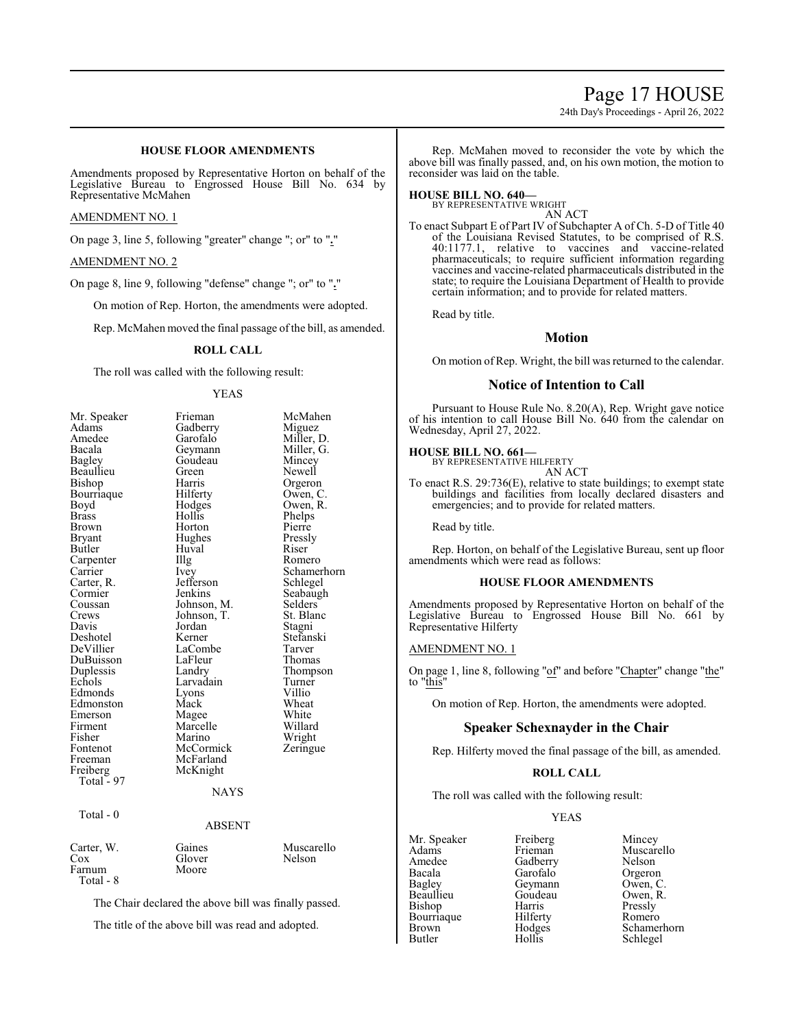# Page 17 HOUSE

24th Day's Proceedings - April 26, 2022

# **HOUSE FLOOR AMENDMENTS**

Amendments proposed by Representative Horton on behalf of the Legislative Bureau to Engrossed House Bill No. 634 by Representative McMahen

#### AMENDMENT NO. 1

On page 3, line 5, following "greater" change "; or" to "**.**"

#### AMENDMENT NO. 2

On page 8, line 9, following "defense" change "; or" to "**.**"

On motion of Rep. Horton, the amendments were adopted.

Rep. McMahen moved the final passage of the bill, as amended.

#### **ROLL CALL**

The roll was called with the following result:

#### YEAS

| Mr. Speaker   | Frieman       | McMahen     |
|---------------|---------------|-------------|
| Adams         | Gadberry      | Miguez      |
| Amedee        | Garofalo      | Miller, D.  |
| Bacala        | Geymann       | Miller, G.  |
| <b>Bagley</b> | Goudeau       | Mincey      |
| Beaullieu     | Green         | Newell      |
| Bishop        | Harris        | Orgeron     |
| Bourriaque    | Hilferty      | Owen, C.    |
| Boyd          | Hodges        | Owen, R.    |
| <b>Brass</b>  | Hollis        | Phelps      |
| Brown         | Horton        | Pierre      |
| Bryant        | Hughes        | Pressly     |
| Butler        | Huval         | Riser       |
| Carpenter     | Illg          | Romero      |
| Carrier       | Ivey          | Schamerhorn |
| Carter, R.    | Jefferson     | Schlegel    |
| Cormier       | Jenkins       | Seabaugh    |
| Coussan       | Johnson, M.   | Selders     |
| Crews         | Johnson, T.   | St. Blanc   |
| Davis         | Jordan        | Stagni      |
| Deshotel      | Kerner        | Stefanski   |
| DeVillier     | LaCombe       | Tarver      |
| DuBuisson     | LaFleur       | Thomas      |
| Duplessis     | Landry        | Thompson    |
| Echols        | Larvadain     | Turner      |
| Edmonds       | Lyons         | Villio      |
| Edmonston     | Mack          | Wheat       |
| Emerson       | Magee         | White       |
| Firment       | Marcelle      | Willard     |
| Fisher        | Marino        | Wright      |
| Fontenot      | McCormick     | Zeringue    |
| Freeman       | McFarland     |             |
| Freiberg      | McKnight      |             |
| Total - 97    |               |             |
|               | <b>NAYS</b>   |             |
| Total - 0     |               |             |
|               | <b>ABSENT</b> |             |
| Carter, W.    | Gaines        | Muscarello  |
| $\cos$        | Glover        | Nelson      |
| Farnum        | Moore         |             |
| Total - 8     |               |             |

The Chair declared the above bill was finally passed.

The title of the above bill was read and adopted.

Rep. McMahen moved to reconsider the vote by which the above bill was finally passed, and, on his own motion, the motion to reconsider was laid on the table.

#### **HOUSE BILL NO. 640—**

BY REPRESENTATIVE WRIGHT AN ACT

To enact Subpart E of Part IV of Subchapter A of Ch. 5-D of Title 40 of the Louisiana Revised Statutes, to be comprised of R.S. 40:1177.1, relative to vaccines and vaccine-related pharmaceuticals; to require sufficient information regarding vaccines and vaccine-related pharmaceuticals distributed in the state; to require the Louisiana Department of Health to provide certain information; and to provide for related matters.

Read by title.

# **Motion**

On motion of Rep. Wright, the bill was returned to the calendar.

### **Notice of Intention to Call**

Pursuant to House Rule No. 8.20(A), Rep. Wright gave notice of his intention to call House Bill No. 640 from the calendar on Wednesday, April 27, 2022.

#### **HOUSE BILL NO. 661—**

BY REPRESENTATIVE HILFERTY AN ACT

To enact R.S. 29:736(E), relative to state buildings; to exempt state buildings and facilities from locally declared disasters and emergencies; and to provide for related matters.

Read by title.

Rep. Horton, on behalf of the Legislative Bureau, sent up floor amendments which were read as follows:

#### **HOUSE FLOOR AMENDMENTS**

Amendments proposed by Representative Horton on behalf of the Legislative Bureau to Engrossed House Bill No. 661 by Representative Hilferty

#### AMENDMENT NO. 1

On page 1, line 8, following "of" and before "Chapter" change "the" to "this"

On motion of Rep. Horton, the amendments were adopted.

# **Speaker Schexnayder in the Chair**

Rep. Hilferty moved the final passage of the bill, as amended.

# **ROLL CALL**

The roll was called with the following result:

#### YEAS

Mr. Speaker Freiberg Mincey<br>Adams Frieman Muscare Adams Frieman Muscarello<br>Amedee Gadberry Nelson Amedee Gadberry Nelson<br>Bacala Garofalo Orgeron Bacala Garofalo Orgeron Bagley Geymann Owen, C.<br>Beaullieu Goudeau Owen, R. Bishop Harris Pressly<br>Bourriaque Hilferty Romero Bourriaque Hilferty<br>Brown Hodges

Goudeau Owen, I<br>Harris Pressly Brown Hodges Schamerhorn<br>Butler Hollis Schlegel Schlegel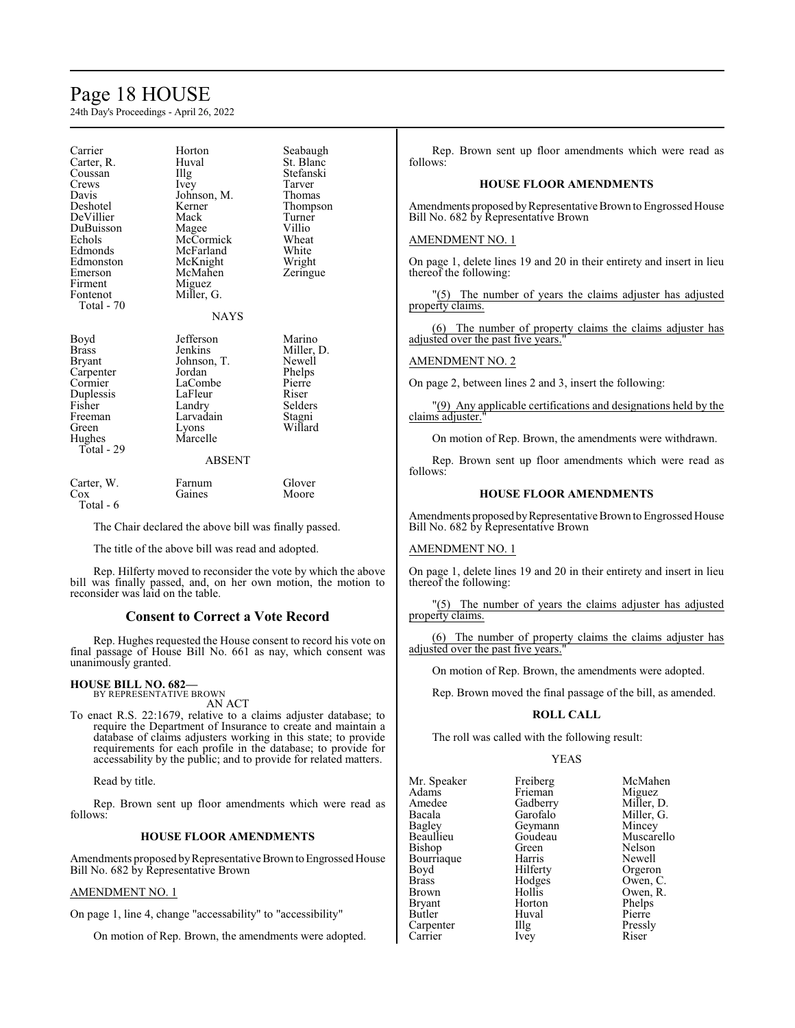# Page 18 HOUSE

24th Day's Proceedings - April 26, 2022

| Carrier<br>Carter, R.<br>Coussan<br>Crews<br>Davis<br>Deshotel<br>DeVillier<br>DuBuisson<br>Echols<br>Edmonds<br>Edmonston<br>Emerson<br>Firment<br>Fontenot<br>Total - 70 | Horton<br>Huval<br>Illg<br>Ivey<br>Johnson, M.<br>Kerner<br>Mack<br>Magee<br>McCormick<br>McFarland<br>McKnight<br>McMahen<br>Miguez<br>Miller, G.<br><b>NAYS</b> | Seabaugh<br>St. Blanc<br>Stefanski<br>Tarver<br>Thomas<br>Thompson<br>Turner<br>Villio<br>Wheat<br>White<br>Wright<br>Zeringue |
|----------------------------------------------------------------------------------------------------------------------------------------------------------------------------|-------------------------------------------------------------------------------------------------------------------------------------------------------------------|--------------------------------------------------------------------------------------------------------------------------------|
| Boyd<br><b>Brass</b><br>Bryant<br>Carpenter<br>Cormier<br>Duplessis<br>Fisher<br>Freeman<br>Green<br>Hughes<br>Total - 29                                                  | Jefferson<br>Jenkins<br>Johnson, T.<br>Jordan<br>LaCombe<br>LaFleur<br>Landry<br>Larvadain<br>Lyons<br>Marcelle<br><b>ABSENT</b>                                  | Marino<br>Miller, D.<br>Newell<br>Phelps<br>Pierre<br>Riser<br>Selders<br>Stagni<br>Willard                                    |
| Carter, W.<br>Cox                                                                                                                                                          | Farnum<br>Gaines                                                                                                                                                  | Glover<br>Moore                                                                                                                |

Total - 6

The Chair declared the above bill was finally passed.

The title of the above bill was read and adopted.

Rep. Hilferty moved to reconsider the vote by which the above bill was finally passed, and, on her own motion, the motion to reconsider was laid on the table.

# **Consent to Correct a Vote Record**

Rep. Hughes requested the House consent to record his vote on final passage of House Bill No. 661 as nay, which consent was unanimously granted.

#### **HOUSE BILL NO. 682—** BY REPRESENTATIVE BROWN

AN ACT

To enact R.S. 22:1679, relative to a claims adjuster database; to require the Department of Insurance to create and maintain a database of claims adjusters working in this state; to provide requirements for each profile in the database; to provide for accessability by the public; and to provide for related matters.

Read by title.

Rep. Brown sent up floor amendments which were read as follows:

# **HOUSE FLOOR AMENDMENTS**

Amendments proposed by Representative Brown to Engrossed House Bill No. 682 by Representative Brown

#### AMENDMENT NO. 1

On page 1, line 4, change "accessability" to "accessibility"

On motion of Rep. Brown, the amendments were adopted.

Rep. Brown sent up floor amendments which were read as follows:

#### **HOUSE FLOOR AMENDMENTS**

Amendments proposed by Representative Brown to Engrossed House Bill No. 682 by Representative Brown

#### AMENDMENT NO. 1

On page 1, delete lines 19 and 20 in their entirety and insert in lieu thereof the following:

 $(5)$  The number of years the claims adjuster has adjusted property claims.

(6) The number of property claims the claims adjuster has adjusted over the past five years."

# AMENDMENT NO. 2

On page 2, between lines 2 and 3, insert the following:

(9) Any applicable certifications and designations held by the claims adjuster.'

On motion of Rep. Brown, the amendments were withdrawn.

Rep. Brown sent up floor amendments which were read as follows:

# **HOUSE FLOOR AMENDMENTS**

Amendments proposed by Representative Brown to Engrossed House Bill No. 682 by Representative Brown

#### AMENDMENT NO. 1

On page 1, delete lines 19 and 20 in their entirety and insert in lieu thereof the following:

"(5) The number of years the claims adjuster has adjusted property claims.

(6) The number of property claims the claims adjuster has adjusted over the past five years."

On motion of Rep. Brown, the amendments were adopted.

Rep. Brown moved the final passage of the bill, as amended.

### **ROLL CALL**

The roll was called with the following result:

#### YEAS

|          | McMahen                                |
|----------|----------------------------------------|
| Frieman  | Miguez                                 |
| Gadberry | Miller, D.                             |
| Garofalo | Miller, G.                             |
| Geymann  | Mincey                                 |
| Goudeau  | Muscarello                             |
| Green    | Nelson                                 |
| Harris   | Newell                                 |
|          | Orgeron                                |
|          | Owen, C.                               |
| Hollis   | Owen, R.                               |
| Horton   | Phelps                                 |
| Huval    | Pierre                                 |
|          | Pressly                                |
| Ivey     | Riser                                  |
|          | Freiberg<br>Hilferty<br>Hodges<br>Illg |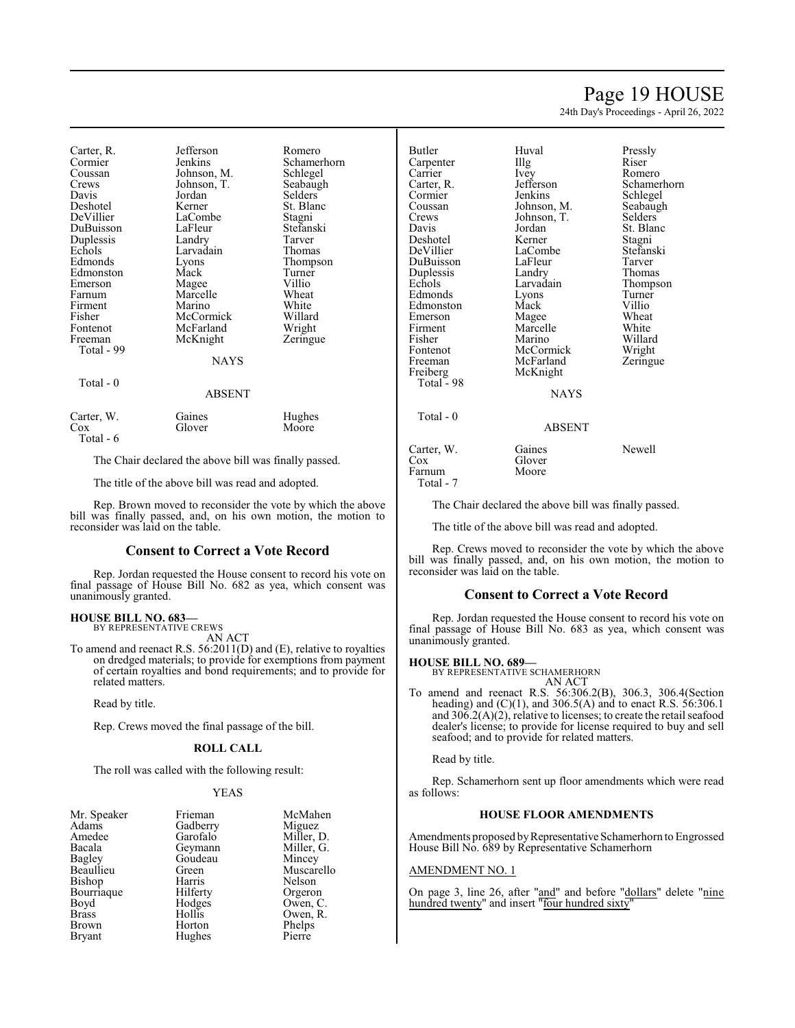# Page 19 HOUSE

24th Day's Proceedings - April 26, 2022

| Carter, R.<br>Cormier<br>Coussan<br>Crews<br>Davis | Jefferson<br>Jenkins<br>Johnson, M.<br>Johnson, T.<br>Jordan | Romero<br>Schamerhorn<br>Schlegel<br>Seabaugh<br>Selders |
|----------------------------------------------------|--------------------------------------------------------------|----------------------------------------------------------|
| Deshotel                                           | Kerner                                                       | St. Blanc                                                |
| DeVillier                                          | LaCombe                                                      | Stagni                                                   |
| DuBuisson                                          | LaFleur                                                      | Stefanski<br>Tarver                                      |
| Duplessis<br>Echols                                | Landry<br>Larvadain                                          | Thomas                                                   |
| Edmonds                                            | Lyons                                                        | Thompson                                                 |
| Edmonston                                          | Mack                                                         | Turner                                                   |
| Emerson                                            | Magee                                                        | Villio                                                   |
| Farnum<br>Firment                                  | Marcelle<br>Marino                                           | Wheat<br>White                                           |
| Fisher                                             | McCormick                                                    | Willard                                                  |
| Fontenot                                           | McFarland                                                    | Wright                                                   |
| Freeman                                            | McKnight                                                     | Zeringue                                                 |
| Total - 99                                         |                                                              |                                                          |
|                                                    | <b>NAYS</b>                                                  |                                                          |
| Total $-0$                                         |                                                              |                                                          |
|                                                    | <b>ABSENT</b>                                                |                                                          |
| Carter, W.<br>Cox<br>Total - 6                     | Gaines<br>Glover                                             | Hughes<br>Moore                                          |
|                                                    |                                                              |                                                          |

The Chair declared the above bill was finally passed.

The title of the above bill was read and adopted.

Rep. Brown moved to reconsider the vote by which the above bill was finally passed, and, on his own motion, the motion to reconsider was laid on the table.

#### **Consent to Correct a Vote Record**

Rep. Jordan requested the House consent to record his vote on final passage of House Bill No. 682 as yea, which consent was unanimously granted.

# **HOUSE BILL NO. 683—** BY REPRESENTATIVE CREWS

AN ACT

To amend and reenact R.S. 56:2011(D) and (E), relative to royalties on dredged materials; to provide for exemptions from payment of certain royalties and bond requirements; and to provide for related matters.

Read by title.

Rep. Crews moved the final passage of the bill.

### **ROLL CALL**

The roll was called with the following result:

### YEAS

| Mr. Speaker   | Frieman  | McMahen    |
|---------------|----------|------------|
| Adams         | Gadberry | Miguez     |
| Amedee        | Garofalo | Miller, D. |
| Bacala        | Geymann  | Miller, G. |
| Bagley        | Goudeau  | Mincey     |
| Beaullieu     | Green    | Muscarello |
| Bishop        | Harris   | Nelson     |
| Bourriaque    | Hilferty | Orgeron    |
| Boyd          | Hodges   | Owen, C.   |
| <b>Brass</b>  | Hollis   | Owen, R.   |
| Brown         | Horton   | Phelps     |
| <b>Bryant</b> | Hughes   | Pierre     |

| Butler<br>Carpenter<br>Carrier<br>Carter, R.<br>Cormier<br>Coussan<br>Crews<br>Davis                                                                   | Huval<br>Illg<br><i>lvey</i><br>Jefferson<br>Jenkins<br>Johnson, M.<br>Johnson, T.<br>Jordan                                                   | Pressly<br>Riser<br>Romero<br>Schamerhorn<br>Schlegel<br>Seabaugh<br>Selders<br>St. Blanc                        |
|--------------------------------------------------------------------------------------------------------------------------------------------------------|------------------------------------------------------------------------------------------------------------------------------------------------|------------------------------------------------------------------------------------------------------------------|
| Deshotel                                                                                                                                               | Kerner                                                                                                                                         | Stagni                                                                                                           |
| DeVillier<br>DuBuisson<br>Duplessis<br>Echols<br>Edmonds<br>Edmonston<br>Emerson<br>Firment<br>Fisher<br>Fontenot<br>Freeman<br>Freiberg<br>Total - 98 | LaCombe<br>LaFleur<br>Landry<br>Larvadain<br>Lyons<br>Mack<br>Magee<br>Marcelle<br>Marino<br>McCormick<br>McFarland<br>McKnight<br><b>NAYS</b> | Stefanski<br>Tarver<br>Thomas<br>Thompson<br>Turner<br>Villio<br>Wheat<br>White<br>Willard<br>Wright<br>Zeringue |
| Total - 0                                                                                                                                              | ABSENT                                                                                                                                         |                                                                                                                  |
| Carter, W.<br>$\cos$<br>Farnum<br>Total - 7                                                                                                            | Gaines<br>Glover<br>Moore                                                                                                                      | <b>Newell</b>                                                                                                    |

The Chair declared the above bill was finally passed.

The title of the above bill was read and adopted.

Rep. Crews moved to reconsider the vote by which the above bill was finally passed, and, on his own motion, the motion to reconsider was laid on the table.

#### **Consent to Correct a Vote Record**

Rep. Jordan requested the House consent to record his vote on final passage of House Bill No. 683 as yea, which consent was unanimously granted.

#### **HOUSE BILL NO. 689—**

BY REPRESENTATIVE SCHAMERHORN AN ACT

To amend and reenact R.S. 56:306.2(B), 306.3, 306.4(Section heading) and  $(C)(1)$ , and 306.5(A) and to enact R.S. 56:306.1 and  $30\overline{6}$ .2(A)(2), relative to licenses; to create the retail seafood dealer's license; to provide for license required to buy and sell seafood; and to provide for related matters.

Read by title.

Rep. Schamerhorn sent up floor amendments which were read as follows:

#### **HOUSE FLOOR AMENDMENTS**

Amendments proposed by Representative Schamerhorn to Engrossed House Bill No. 689 by Representative Schamerhorn

#### AMENDMENT NO. 1

On page 3, line 26, after "and" and before "dollars" delete "nine hundred twenty" and insert "four hundred sixty"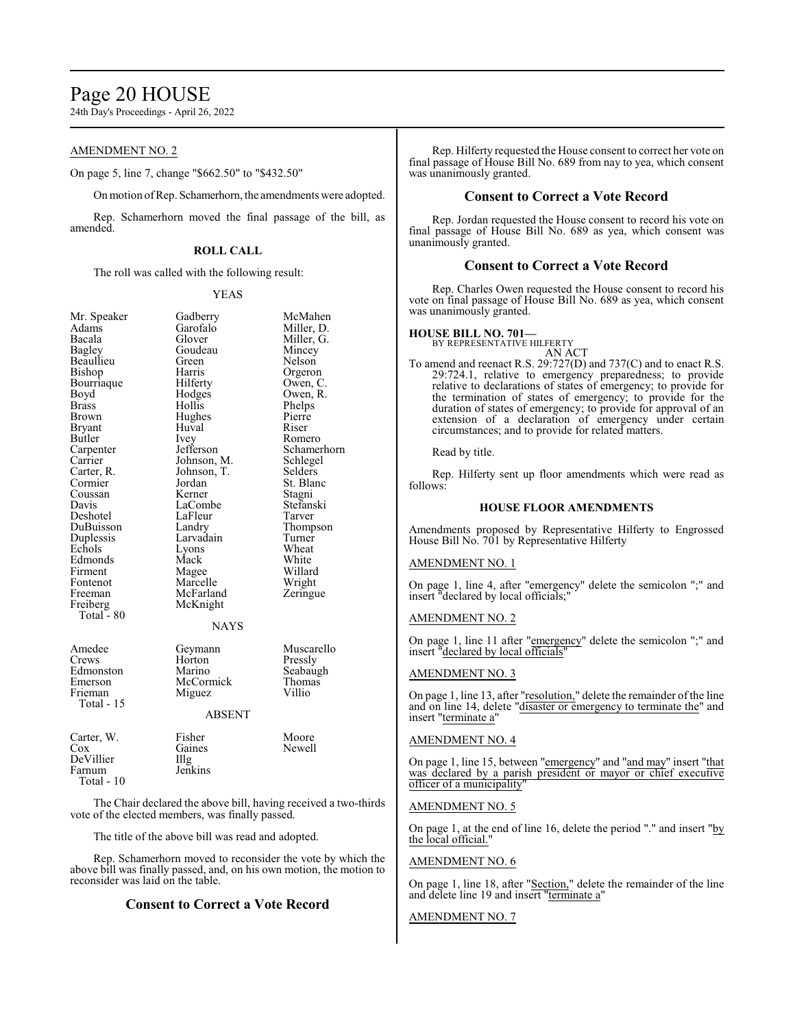# Page 20 HOUSE

24th Day's Proceedings - April 26, 2022

# AMENDMENT NO. 2

On page 5, line 7, change "\$662.50" to "\$432.50"

Onmotion ofRep. Schamerhorn, the amendments were adopted.

Rep. Schamerhorn moved the final passage of the bill, as amended.

# **ROLL CALL**

The roll was called with the following result:

#### YEAS

| Mr. Speaker                                                      | Gadberry                                                            | McMa                                          |
|------------------------------------------------------------------|---------------------------------------------------------------------|-----------------------------------------------|
| Adams                                                            | Garofalo                                                            | Miller,                                       |
| Bacala                                                           | Glover                                                              | Miller,                                       |
| Bagley                                                           | Goudeau                                                             | Mince                                         |
| Beaullieu                                                        | Green                                                               | Nelsor                                        |
| Bishop                                                           | Harris                                                              | Orgerc                                        |
| Bourriaque                                                       | Hilferty                                                            | Owen,                                         |
| Boyd                                                             | Hodges                                                              | Owen,                                         |
| <b>Brass</b>                                                     | Hollis                                                              | Phelps                                        |
| Brown                                                            | Hughes                                                              | Pierre                                        |
| <b>Bryant</b>                                                    | Huval                                                               | Riser                                         |
| Butler                                                           | Ivey                                                                | Romer                                         |
| Carpenter                                                        | Jefferson                                                           | Scham                                         |
| Carrier                                                          | Johnson, M.                                                         | Schleg                                        |
| Carter, R.                                                       | Johnson, T.                                                         | Selder                                        |
| Cormier                                                          | Jordan                                                              | St. Bla                                       |
| Coussan                                                          | Kerner                                                              | Stagni                                        |
| Davis                                                            | LaCombe                                                             | Stefan:                                       |
| Deshotel                                                         | LaFleur                                                             | Tarver                                        |
| DuBuisson                                                        | Landry                                                              | Thomp                                         |
| Duplessis                                                        | Larvadain                                                           | Turner                                        |
| Echols                                                           | Lyons                                                               | Wheat                                         |
| Edmonds                                                          | Mack                                                                | White                                         |
| Firment                                                          | Magee                                                               | Willar                                        |
| Fontenot                                                         | Marcelle                                                            | Wrigh                                         |
| Freeman<br>Freiberg<br>Total $-80$                               | McFarland<br>McKnight<br><b>NAYS</b>                                | Zering                                        |
| Amedee<br>Crews<br>Edmonston<br>Emerson<br>Frieman<br>Total - 15 | Geymann<br>Horton<br>Marino<br>McCormick<br>Miguez<br><b>ABSENT</b> | Musca<br>Pressly<br>Seabau<br>Thoma<br>Villio |
| Carter, W.                                                       | Fisher                                                              | Moore                                         |
| Cox                                                              | Gaines                                                              | Newel                                         |

Mr. Speaker McMahen<br>
Miller, D. arofalo Miller, D.<br>
over Miller, G. over Miller, G.<br>budeau Mincev Pudeau Mincey<br>
References Nelson Nelson arris Orgeron<br>1 Iferty Owen, C Owen, C. bdges Owen, R.<br>bllis Phelps billis Phelps<br>
ghes Pierre ey Romero<br>fferson Schame fferson Schamerhorn<br>hnson. M. Schlegel Schlegel<br>Selders hnson, T.<br>rdan rdan St. Blanc<br>
erner Stagni erner Stagni<br>Combe Stefans Combe Stefanski<br>Fleur Tarver Fleur Tarver<br>
ndrv Thomn Thompson<br>Turner rvadain Turner<br><sub>ons</sub> Wheat agee Willard<br>arcelle Wright arcelle Wright<br>cFarland Zeringu Zeringue cKnight NAYS

| Amedee<br>Crews<br>Edmonston<br>Emerson<br>Frieman | Geymann<br>Horton<br>Marino<br>McCormick<br>Miguez | Muscarello<br>Pressly<br>Seabaugh<br>Thomas<br>Villio |
|----------------------------------------------------|----------------------------------------------------|-------------------------------------------------------|
| Total $-15$                                        | <b>ABSENT</b>                                      |                                                       |
| Cartar W                                           | Ficher                                             | $M_{\Omega}$                                          |

| $-$          | .       | .      |
|--------------|---------|--------|
| Cox          | Gaines  | Newell |
| DeVillier    | Illg    |        |
| Farnum       | Jenkins |        |
| Total - $10$ |         |        |
|              |         |        |

The Chair declared the above bill, having received a two-thirds vote of the elected members, was finally passed.

The title of the above bill was read and adopted.

Rep. Schamerhorn moved to reconsider the vote by which the above bill was finally passed, and, on his own motion, the motion to reconsider was laid on the table.

# **Consent to Correct a Vote Record**

Rep. Hilferty requested the House consent to correct her vote on final passage of House Bill No. 689 from nay to yea, which consent was unanimously granted.

# **Consent to Correct a Vote Record**

Rep. Jordan requested the House consent to record his vote on final passage of House Bill No. 689 as yea, which consent was unanimously granted.

# **Consent to Correct a Vote Record**

Rep. Charles Owen requested the House consent to record his vote on final passage of House Bill No. 689 as yea, which consent was unanimously granted.

# **HOUSE BILL NO. 701—**

BY REPRESENTATIVE HILFERTY AN ACT

To amend and reenact R.S. 29:727(D) and 737(C) and to enact R.S. 29:724.1, relative to emergency preparedness; to provide relative to declarations of states of emergency; to provide for the termination of states of emergency; to provide for the duration of states of emergency; to provide for approval of an extension of a declaration of emergency under certain circumstances; and to provide for related matters.

#### Read by title.

Rep. Hilferty sent up floor amendments which were read as follows:

# **HOUSE FLOOR AMENDMENTS**

Amendments proposed by Representative Hilferty to Engrossed House Bill No. 701 by Representative Hilferty

#### AMENDMENT NO. 1

On page 1, line 4, after "emergency" delete the semicolon ";" and insert "declared by local officials;"

# AMENDMENT NO. 2

On page 1, line 11 after "emergency" delete the semicolon ";" and insert "declared by local officials"

#### AMENDMENT NO. 3

On page 1, line 13, after "resolution," delete the remainder of the line and on line 14, delete "disaster or emergency to terminate the" and insert "terminate a"

# AMENDMENT NO. 4

On page 1, line 15, between "emergency" and "and may" insert "that was declared by a parish president or mayor or chief executive officer of a municipality"

### AMENDMENT NO. 5

On page 1, at the end of line 16, delete the period "." and insert "by the local official."

### AMENDMENT NO. 6

On page 1, line 18, after "Section," delete the remainder of the line and delete line 19 and insert "terminate a"

#### AMENDMENT NO. 7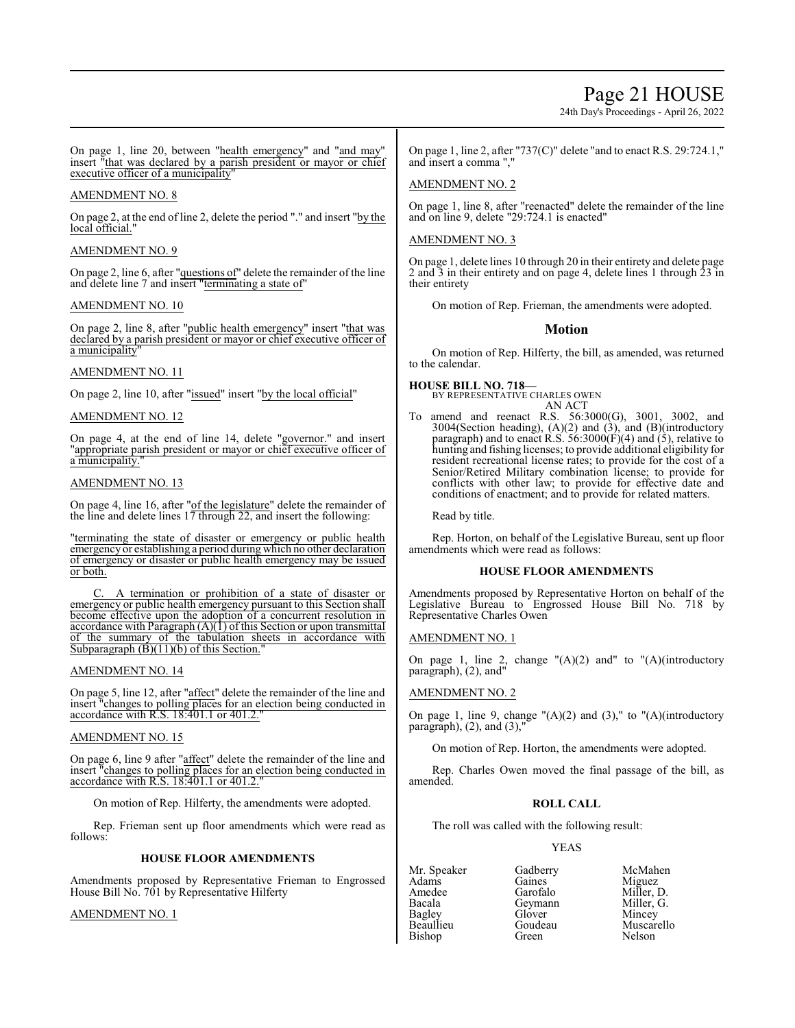# Page 21 HOUSE

24th Day's Proceedings - April 26, 2022

On page 1, line 20, between "health emergency" and "and may" insert "that was declared by a parish president or mayor or chief executive officer of a municipality"

# AMENDMENT NO. 8

On page 2, at the end of line 2, delete the period "." and insert "by the local official."

# AMENDMENT NO. 9

On page 2, line 6, after "questions of" delete the remainder of the line and delete line 7 and insert "terminating a state of"

### AMENDMENT NO. 10

On page 2, line 8, after "public health emergency" insert "that was declared by a parish president or mayor or chief executive officer of a municipality

### AMENDMENT NO. 11

On page 2, line 10, after "issued" insert "by the local official"

### AMENDMENT NO. 12

On page 4, at the end of line 14, delete "governor." and insert "appropriate parish president or mayor or chief executive officer of a municipality.

# AMENDMENT NO. 13

On page 4, line 16, after "of the legislature" delete the remainder of the line and delete lines 17 through 22, and insert the following:

"terminating the state of disaster or emergency or public health emergency or establishing a period during which no other declaration of emergency or disaster or public health emergency may be issued or both.

C. A termination or prohibition of a state of disaster or emergency or public health emergency pursuant to this Section shall become effective upon the adoption of a concurrent resolution in accordance with Paragraph  $(A)(1)$  of this Section or upon transmittal of the summary of the tabulation sheets in accordance with Subparagraph  $(B)(11)(b)$  of this Section.

#### AMENDMENT NO. 14

On page 5, line 12, after "affect" delete the remainder of the line and insert "changes to polling places for an election being conducted in accordance with R.S. 18:401.1 or 401.2."

#### AMENDMENT NO. 15

On page 6, line 9 after "affect" delete the remainder of the line and insert "changes to polling places for an election being conducted in accordance with R.S.  $18:401.1$  or  $401.2$ .

On motion of Rep. Hilferty, the amendments were adopted.

Rep. Frieman sent up floor amendments which were read as follows:

#### **HOUSE FLOOR AMENDMENTS**

Amendments proposed by Representative Frieman to Engrossed House Bill No. 701 by Representative Hilferty

#### AMENDMENT NO. 1

On page 1, line 2, after "737(C)" delete "and to enact R.S. 29:724.1," and insert a comma ","

# AMENDMENT NO. 2

On page 1, line 8, after "reenacted" delete the remainder of the line and on line 9, delete "29:724.1 is enacted"

# AMENDMENT NO. 3

On page 1, delete lines 10 through 20 in their entirety and delete page 2 and 3 in their entirety and on page 4, delete lines 1 through 23 in their entirety

On motion of Rep. Frieman, the amendments were adopted.

# **Motion**

On motion of Rep. Hilferty, the bill, as amended, was returned to the calendar.

# **HOUSE BILL NO. 718—**

BY REPRESENTATIVE CHARLES OWEN

AN ACT To amend and reenact R.S. 56:3000(G), 3001, 3002, and  $3004$ (Section heading),  $(A)(2)$  and  $(\overline{3})$ , and  $(B)$ (introductory paragraph) and to enact R.S.  $56:3000(F)(4)$  and  $(5)$ , relative to hunting and fishing licenses; to provide additional eligibility for resident recreational license rates; to provide for the cost of a Senior/Retired Military combination license; to provide for conflicts with other law; to provide for effective date and conditions of enactment; and to provide for related matters.

Read by title.

Rep. Horton, on behalf of the Legislative Bureau, sent up floor amendments which were read as follows:

#### **HOUSE FLOOR AMENDMENTS**

Amendments proposed by Representative Horton on behalf of the Legislative Bureau to Engrossed House Bill No. 718 by Representative Charles Owen

#### AMENDMENT NO. 1

On page 1, line 2, change  $''(A)(2)$  and" to  $''(A)(introducing$ paragraph), (2), and"

# AMENDMENT NO. 2

On page 1, line 9, change  $(A)(2)$  and  $(3)$ ," to  $(A)(introducing the same equation)$ paragraph),  $(2)$ , and  $(3)$ ,

On motion of Rep. Horton, the amendments were adopted.

Rep. Charles Owen moved the final passage of the bill, as amended.

#### **ROLL CALL**

The roll was called with the following result:

## YEAS

Adams Gaines Miguez Bacala Geymann Miller, G. Bagley Glover<br>Beaullieu Goudeau Bishop

Mr. Speaker Gadberry McMahen<br>Adams Gaines Miguez Amedee Garofalo Miller, D.<br>Bacala Geymann Miller, G. Goudeau Muscarello<br>Green Nelson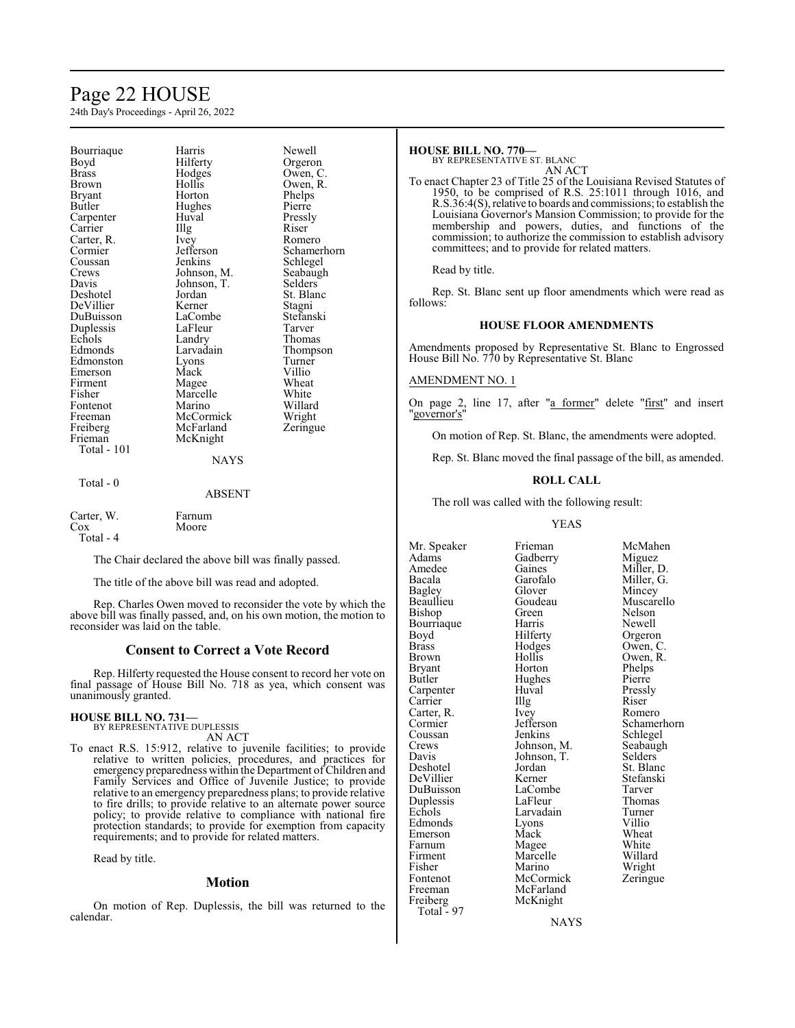# Page 22 HOUSE

24th Day's Proceedings - April 26, 2022

| Bourriaque<br>Boyd<br>Brass<br>Brown<br>Bryant<br>Butler<br>Carpenter<br>Carrier<br>Carter, R.<br>Cormier<br>Coussan<br>Crews<br>Davis<br>Deshotel<br>DeVillier<br>DuBuisson<br>Duplessis<br>Echols<br>Edmonds<br>Edmonston<br>Emerson<br>Firment<br>Fisher | Harris<br>Hilferty<br>Hodges<br>Hollis<br>Horton<br>Hughes<br>Huval<br>Illg<br>Ivey<br>Jefferson<br>Jenkins<br>Johnson, M.<br>Johnson, T.<br>Jordan<br>Kerner<br>LaCombe<br>LaFleur<br>Landry<br>Larvadain<br>Lyons<br>Mack<br>Magee<br>Marcelle | Newell<br>Orgeron<br>Owen, C.<br>Owen, R.<br>Phelps<br>Pierre<br>Pressly<br>Riser<br>Romero<br>Schamerhorn<br>Schlegel<br>Seabaugh<br>Selders<br>St. Blanc<br>Stagni<br>Stefanski<br>Tarver<br>Thomas<br>Thompson<br>Turner<br>Villio<br>Wheat<br>White |
|-------------------------------------------------------------------------------------------------------------------------------------------------------------------------------------------------------------------------------------------------------------|--------------------------------------------------------------------------------------------------------------------------------------------------------------------------------------------------------------------------------------------------|---------------------------------------------------------------------------------------------------------------------------------------------------------------------------------------------------------------------------------------------------------|
|                                                                                                                                                                                                                                                             |                                                                                                                                                                                                                                                  |                                                                                                                                                                                                                                                         |
| Fontenot<br>Freeman<br>Freiberg                                                                                                                                                                                                                             | Marino<br>McCormick<br>McFarland                                                                                                                                                                                                                 | Willard<br>Wright<br>Zeringue                                                                                                                                                                                                                           |
| Frieman<br>Total - 101                                                                                                                                                                                                                                      | McKnight<br><b>NAYS</b>                                                                                                                                                                                                                          |                                                                                                                                                                                                                                                         |
| Total - 0                                                                                                                                                                                                                                                   | ABSENT                                                                                                                                                                                                                                           |                                                                                                                                                                                                                                                         |
| Carter W                                                                                                                                                                                                                                                    | Farnum                                                                                                                                                                                                                                           |                                                                                                                                                                                                                                                         |

Carter, W.<br>Cox Total - 4

The Chair declared the above bill was finally passed.

The title of the above bill was read and adopted.

Moore

Rep. Charles Owen moved to reconsider the vote by which the above bill was finally passed, and, on his own motion, the motion to reconsider was laid on the table.

# **Consent to Correct a Vote Record**

Rep. Hilferty requested the House consent to record her vote on final passage of House Bill No. 718 as yea, which consent was unanimously granted.

# **HOUSE BILL NO. 731—** BY REPRESENTATIVE DUPLESSIS

AN ACT

To enact R.S. 15:912, relative to juvenile facilities; to provide relative to written policies, procedures, and practices for emergency preparedness within the Department of Children and Family Services and Office of Juvenile Justice; to provide relative to an emergency preparedness plans; to provide relative to fire drills; to provide relative to an alternate power source policy; to provide relative to compliance with national fire protection standards; to provide for exemption from capacity requirements; and to provide for related matters.

Read by title.

# **Motion**

On motion of Rep. Duplessis, the bill was returned to the calendar.

# **HOUSE BILL NO. 770—**

BY REPRESENTATIVE ST. BLANC AN ACT

To enact Chapter 23 of Title 25 of the Louisiana Revised Statutes of 1950, to be comprised of R.S. 25:1011 through 1016, and R.S.36:4(S), relative to boards and commissions; to establish the Louisiana Governor's Mansion Commission; to provide for the membership and powers, duties, and functions of the commission; to authorize the commission to establish advisory committees; and to provide for related matters.

Read by title.

Rep. St. Blanc sent up floor amendments which were read as follows:

### **HOUSE FLOOR AMENDMENTS**

Amendments proposed by Representative St. Blanc to Engrossed House Bill No. 770 by Representative St. Blanc

#### AMENDMENT NO. 1

On page 2, line 17, after "a former" delete "first" and insert "governor's"

On motion of Rep. St. Blanc, the amendments were adopted.

Rep. St. Blanc moved the final passage of the bill, as amended.

#### **ROLL CALL**

The roll was called with the following result:

YEAS

Mr. Speaker Frieman McMahen<br>Adams Gadberry Miguez Adams Gadberry<br>Amedee Gaines Amedee Gaines Miller, D.<br>Bacala Garofalo Miller, G. Bagley Glover<br>Beaullieu Goudeau Bishop Green Nelson Bourriaque Harris Newell<br>Boyd Hilferty Orgeron Boyd Hilferty<br>Brass Hodges Brass Hodges Owen, C. Brown Hollis Owen, R.<br>Bryant Horton Phelps Bryant Horton Phelps<br>Butler Hughes Pierre Carpenter Huval Pressl<br>Carrier Huyal Riser Carrier IIIg Riser<br>Carter, R. Ivey Romero Carter, R. Ivey<br>Cormier Jefferson Coussan Jenkins Schlegel<br>Crews Johnson, M. Seabaugh Crews Johnson, M. Seabaugh<br>
Davis Johnson, T. Selders Davis Johnson, T.<br>Deshotel Jordan DeVillier Kerner Stefans<br>DuBuisson LaCombe Tarver DuBuisson LaCombe Tarver<br>
Duplessis LaFleur Thomas Duplessis LaFleur Thoma<br>
Echols Larvadain Turner Edmonds Lyons Villio<br>
Emerson Mack Wheat Emerson Mack Wheat<br>
Farnum Magee White Farnum Magee White<br>
Firment Marcelle Willard Firment Marcelle Willard<br>Fisher Marino Wright Fisher Marino Wright<br>
Fontenot McCormick Zeringue Fontenot McCormick<br>Freeman McFarland Freeman McFarland<br>Freiberg McKnight Total  $-97$ 

Garofalo Miller, G.<br>Glover Mincey Hughes Pierre<br>Huval Pressly Jordan St. Blanc<br>Kerner Stefanski Larvadain Turner<br>
Lyons Villio McKnight

Goudeau Muscarello<br>Green Nelson Cormier Jefferson Schamerhorn<br>
Coussan Jenkins Schlegel

NAYS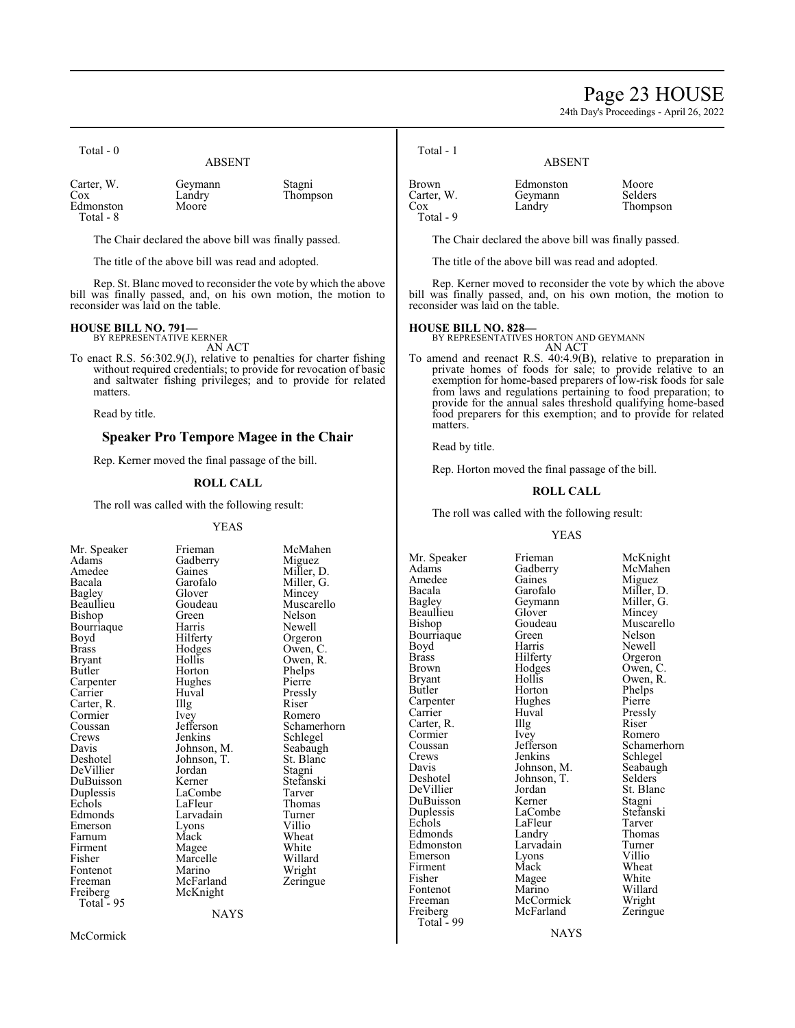# Page 23 HOUSE

24th Day's Proceedings - April 26, 2022

| 10tal - U                                   | <b>ABSENT</b>              |                    |
|---------------------------------------------|----------------------------|--------------------|
| Carter, W.<br>Cox<br>Edmonston<br>Total - 8 | Geymann<br>Landry<br>Moore | Stagni<br>Thompson |

The Chair declared the above bill was finally passed.

The title of the above bill was read and adopted.

Rep. St. Blanc moved to reconsider the vote by which the above bill was finally passed, and, on his own motion, the motion to reconsider was laid on the table.

#### **HOUSE BILL NO. 791—** BY REPRESENTATIVE KERNER

 $T_{\text{rel}} = 1 - 0$ 

AN ACT

To enact R.S. 56:302.9(J), relative to penalties for charter fishing without required credentials; to provide for revocation of basic and saltwater fishing privileges; and to provide for related matters.

Read by title.

### **Speaker Pro Tempore Magee in the Chair**

Rep. Kerner moved the final passage of the bill.

#### **ROLL CALL**

The roll was called with the following result:

#### YEAS

Adams Gadberry<br>Amedee Gaines Bourriaque Harris<br>Boyd Hilferty Carpenter Hughe<br>Carrier Huval Cormier Ivey<br>Coussan Jefferson Freeman McFarland<br>
Freiberg McKnight Total  $-95$ 

Mr. Speaker Frieman McMahen<br>Adams Gadberry Miguez Amedee Gaines Miller, D.<br>Bacala Garofalo Miller, G. Bacala Garofalo Miller, G.<br>Bagley Glover Mincey Bagley Glover Mincey Goudeau Muscarello<br>Green Nelson Bishop Green Nelson<br>Bourriaque Harris Newell Boyd Hilferty Orgeron<br>Brass Hodges Owen, C Brass Hodges Owen, C.<br>Bryant Hollis Owen, R. Bryant Hollis Owen, R. Horton Phelps<br>Hughes Pierre Huval Pressly<br>Illg Riser Carter, R. Illg Riser Cormier Livey Romero Coussan Jefferson Schamerhorn<br>Crews Jenkins Schlegel Crews Jenkins Schlegel<br>Davis Johnson, M. Seabaugh Davis Johnson, M. Seabaugh<br>Deshotel Johnson, T. St. Blanc Johnson, T. St. Blanch<br>Jordan Stagni DeVillier Jordan Stagni DuBuisson Kerner Stefans<br>Duplessis LaCombe Tarver Duplessis LaCombe Tarver Echols LaFleur Thoma<br>
Edmonds Larvadain Turner Larvadain Turner<br>Lyons Villio Emerson Lyons Villio<br>
Farnum Mack Wheat Farnum Mack Wheat<br>Firment Magee White Firment Magee White<br>
Fisher Marcelle Willard Marcelle Willard<br>
Marino Wright Fontenot Marino Wright<br>
Freeman McFarland Zeringue McKnight

NAYS

Total - 1

|                                         | .                              |                              |
|-----------------------------------------|--------------------------------|------------------------------|
| Brown<br>Carter, W.<br>Cox<br>Total - 9 | Edmonston<br>Geymann<br>Landry | Moore<br>Selders<br>Thompson |
|                                         |                                |                              |

The Chair declared the above bill was finally passed.

ABSENT

The title of the above bill was read and adopted.

Rep. Kerner moved to reconsider the vote by which the above bill was finally passed, and, on his own motion, the motion to reconsider was laid on the table.

#### **HOUSE BILL NO. 828—**

BY REPRESENTATIVES HORTON AND GEYMANN

AN ACT To amend and reenact R.S. 40:4.9(B), relative to preparation in private homes of foods for sale; to provide relative to an exemption for home-based preparers of low-risk foods for sale from laws and regulations pertaining to food preparation; to provide for the annual sales threshold qualifying home-based food preparers for this exemption; and to provide for related matters.

Read by title.

Rep. Horton moved the final passage of the bill.

# **ROLL CALL**

The roll was called with the following result:

#### YEAS

Mr. Speaker Frieman McKnight<br>Adams Gadberry McMahen Amedee Gaines<br>Bacala Garofalo Bacala Garofalo Miller, D. Beaullieu Glover<br>Bishop Goudeau Bourriaque Green<br>Boyd Harris Boyd Harris Newell Brass Filerty Orgeron<br>Brown Hodges Owen, C Brown Hodges Owen, C.<br>Bryant Hollis Owen, R. Bryant Hollis Owen, R.<br>Butler Horton Phelps Carpenter Hughes Pierre<br>Carrier Huval Pressly Carrier Huval Pressl<br>Carter, R. Illg Riser Carter, R. Illg Riser Romero Cormier Ivey<br>Coussan Jefferson Crews Jenkins Schlegel<br>
Davis Johnson, M. Seabaugh Davis Johnson, M. Seabaughten Seabaughten Selders<br>Deshotel Johnson, T. Selders Deshotel Johnson, T.<br>DeVillier Jordan DuBuisson Kerner Stagni Duplessis LaCombe Stefans<br>Echols LaFleur Tarver Edmonds Landry Thoma<br>Edmonston Larvadain Turner Edmonston Larvadain Turner<br>Emerson Lyons Villio Emerson Lyons Villio<br>
Firment Mack Wheat Firment Mack Wheat<br>
Fisher Magee White Fontenot Marino Willard<br>Freeman McCormick Wright Freeman McCormick Wright<br>
Freiberg McFarland Zeringue Total  $-99$ 

Horton Phelps<br>Hughes Pierre Jordan St. Blanc<br>Kerner Stagni Example LaFleur Tarver<br>
Example 2011<br>
Landry Thomas Magee White<br>Marino Willard McFarland

Gadberry McMahen<br>Gaines Miguez Geymann Miller, G.<br>Glover Mincey Goudeau Muscarello<br>Green Nelson Coussan Jefferson Schamerhorn<br>Crews Jenkins Schlegel

NAYS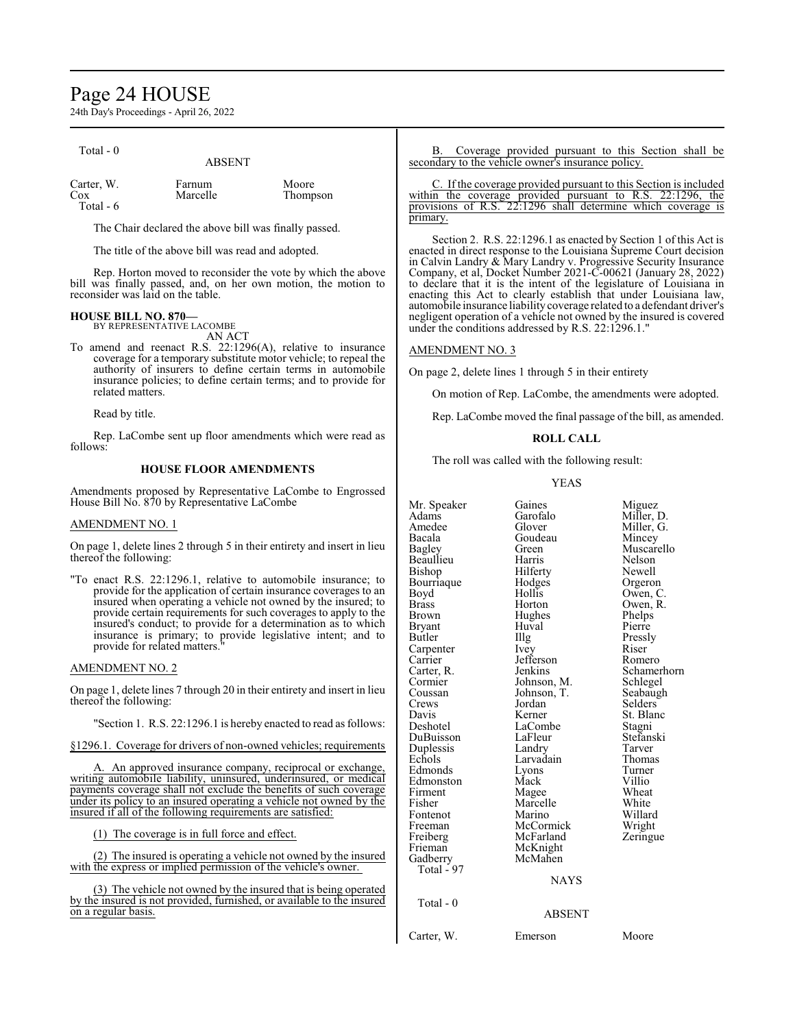# Page 24 HOUSE

24th Day's Proceedings - April 26, 2022

| Total - 0                      | <b>ABSENT</b>      |                   |
|--------------------------------|--------------------|-------------------|
| Carter, W.<br>Cox<br>Total - 6 | Farnum<br>Marcelle | Moore<br>Thompson |

The Chair declared the above bill was finally passed.

The title of the above bill was read and adopted.

Rep. Horton moved to reconsider the vote by which the above bill was finally passed, and, on her own motion, the motion to reconsider was laid on the table.

# **HOUSE BILL NO. 870—**

BY REPRESENTATIVE LACOMBE AN ACT

To amend and reenact R.S. 22:1296(A), relative to insurance coverage for a temporary substitute motor vehicle; to repeal the authority of insurers to define certain terms in automobile insurance policies; to define certain terms; and to provide for related matters.

Read by title.

Rep. LaCombe sent up floor amendments which were read as follows:

# **HOUSE FLOOR AMENDMENTS**

Amendments proposed by Representative LaCombe to Engrossed House Bill No. 870 by Representative LaCombe

#### AMENDMENT NO. 1

On page 1, delete lines 2 through 5 in their entirety and insert in lieu thereof the following:

"To enact R.S. 22:1296.1, relative to automobile insurance; to provide for the application of certain insurance coverages to an insured when operating a vehicle not owned by the insured; to provide certain requirements for such coverages to apply to the insured's conduct; to provide for a determination as to which insurance is primary; to provide legislative intent; and to provide for related matters."

#### AMENDMENT NO. 2

On page 1, delete lines 7 through 20 in their entirety and insert in lieu thereof the following:

"Section 1. R.S. 22:1296.1 is hereby enacted to read as follows:

§1296.1. Coverage for drivers of non-owned vehicles; requirements

A. An approved insurance company, reciprocal or exchange, writing automobile liability, uninsured, underinsured, or medical payments coverage shall not exclude the benefits of such coverage under its policy to an insured operating a vehicle not owned by the insured if all of the following requirements are satisfied:

(1) The coverage is in full force and effect.

(2) The insured is operating a vehicle not owned by the insured with the express or implied permission of the vehicle's owner.

(3) The vehicle not owned by the insured that is being operated by the insured is not provided, furnished, or available to the insured on a regular basis.

B. Coverage provided pursuant to this Section shall be secondary to the vehicle owner's insurance policy.

C. If the coverage provided pursuant to this Section is included within the coverage provided pursuant to R.S. 22:1296, the provisions of R.S. 22:1296 shall determine which coverage is 22:1296 shall determine which coverage is primary.

Section 2. R.S. 22:1296.1 as enacted by Section 1 of this Act is enacted in direct response to the Louisiana Supreme Court decision in Calvin Landry & Mary Landry v. Progressive Security Insurance Company, et al, Docket Number 2021-C-00621 (January 28, 2022) to declare that it is the intent of the legislature of Louisiana in enacting this Act to clearly establish that under Louisiana law, automobile insurance liability coverage related to a defendant driver's negligent operation of a vehicle not owned by the insured is covered under the conditions addressed by R.S. 22:1296.1."

### AMENDMENT NO. 3

On page 2, delete lines 1 through 5 in their entirety

On motion of Rep. LaCombe, the amendments were adopted.

Rep. LaCombe moved the final passage of the bill, as amended.

### **ROLL CALL**

The roll was called with the following result:

#### YEAS

| Mr. Speaker<br>Adams<br>Amedee<br>Bacala<br>Bagley<br>Beaullieu<br>Bishop<br>Bourriaque<br>Boyd<br><b>Brass</b><br>Brown<br><b>Bryant</b><br>Butler<br>Carpenter<br>Carrier<br>Carter, R.<br>Cormier<br>Coussan<br>Crews<br>Davis<br>Deshotel<br>DuBuisson<br>Duplessis<br>Echols<br>Edmonds<br>Edmonston | Gaines<br>Garofalo<br>Glover<br>Goudeau<br>Green<br>Harris<br>Hilferty<br>Hodges<br>Hollis<br>Horton<br>Hughes<br>Huval<br>Illg<br>Ivey<br>Jefferson<br>Jenkins<br>Johnson, M.<br>Johnson, T.<br>Jordan<br>Kerner<br>LaCombe<br>LaFleur<br>Landry<br>Larvadain<br>Lyons<br>Mack | Miguez<br>Miller, D.<br>Miller, G.<br>Mincey<br>Muscarello<br>Nelson<br>Newell<br>Orgeron<br>Owen, C.<br>Owen, R.<br>Phelps<br>Pierre<br>Pressly<br>Riser<br>Romero<br>Schamerhorn<br>Schlegel<br>Seabaugh<br>Selders<br>St. Blanc<br>Stagni<br>Stefanski<br>Tarver<br>Thomas<br>Turner<br>Villio |
|-----------------------------------------------------------------------------------------------------------------------------------------------------------------------------------------------------------------------------------------------------------------------------------------------------------|---------------------------------------------------------------------------------------------------------------------------------------------------------------------------------------------------------------------------------------------------------------------------------|---------------------------------------------------------------------------------------------------------------------------------------------------------------------------------------------------------------------------------------------------------------------------------------------------|
|                                                                                                                                                                                                                                                                                                           |                                                                                                                                                                                                                                                                                 |                                                                                                                                                                                                                                                                                                   |
|                                                                                                                                                                                                                                                                                                           |                                                                                                                                                                                                                                                                                 |                                                                                                                                                                                                                                                                                                   |
|                                                                                                                                                                                                                                                                                                           |                                                                                                                                                                                                                                                                                 |                                                                                                                                                                                                                                                                                                   |
|                                                                                                                                                                                                                                                                                                           |                                                                                                                                                                                                                                                                                 |                                                                                                                                                                                                                                                                                                   |
|                                                                                                                                                                                                                                                                                                           |                                                                                                                                                                                                                                                                                 |                                                                                                                                                                                                                                                                                                   |
|                                                                                                                                                                                                                                                                                                           |                                                                                                                                                                                                                                                                                 |                                                                                                                                                                                                                                                                                                   |
|                                                                                                                                                                                                                                                                                                           |                                                                                                                                                                                                                                                                                 |                                                                                                                                                                                                                                                                                                   |
|                                                                                                                                                                                                                                                                                                           |                                                                                                                                                                                                                                                                                 |                                                                                                                                                                                                                                                                                                   |
|                                                                                                                                                                                                                                                                                                           |                                                                                                                                                                                                                                                                                 |                                                                                                                                                                                                                                                                                                   |
|                                                                                                                                                                                                                                                                                                           |                                                                                                                                                                                                                                                                                 |                                                                                                                                                                                                                                                                                                   |
|                                                                                                                                                                                                                                                                                                           |                                                                                                                                                                                                                                                                                 |                                                                                                                                                                                                                                                                                                   |
|                                                                                                                                                                                                                                                                                                           |                                                                                                                                                                                                                                                                                 |                                                                                                                                                                                                                                                                                                   |
|                                                                                                                                                                                                                                                                                                           |                                                                                                                                                                                                                                                                                 |                                                                                                                                                                                                                                                                                                   |
|                                                                                                                                                                                                                                                                                                           |                                                                                                                                                                                                                                                                                 |                                                                                                                                                                                                                                                                                                   |
|                                                                                                                                                                                                                                                                                                           |                                                                                                                                                                                                                                                                                 |                                                                                                                                                                                                                                                                                                   |
| Firment                                                                                                                                                                                                                                                                                                   | Magee                                                                                                                                                                                                                                                                           | Wheat                                                                                                                                                                                                                                                                                             |
| Fisher                                                                                                                                                                                                                                                                                                    | Marcelle                                                                                                                                                                                                                                                                        | White                                                                                                                                                                                                                                                                                             |
| Fontenot                                                                                                                                                                                                                                                                                                  | Marino                                                                                                                                                                                                                                                                          | Willard                                                                                                                                                                                                                                                                                           |
| Freeman                                                                                                                                                                                                                                                                                                   | McCormick                                                                                                                                                                                                                                                                       | Wright                                                                                                                                                                                                                                                                                            |
| Freiberg                                                                                                                                                                                                                                                                                                  | McFarland                                                                                                                                                                                                                                                                       | Zeringue                                                                                                                                                                                                                                                                                          |
| Frieman                                                                                                                                                                                                                                                                                                   | McKnight                                                                                                                                                                                                                                                                        |                                                                                                                                                                                                                                                                                                   |
| Gadberry                                                                                                                                                                                                                                                                                                  | McMahen                                                                                                                                                                                                                                                                         |                                                                                                                                                                                                                                                                                                   |
| Total - 97                                                                                                                                                                                                                                                                                                |                                                                                                                                                                                                                                                                                 |                                                                                                                                                                                                                                                                                                   |
|                                                                                                                                                                                                                                                                                                           | <b>NAYS</b>                                                                                                                                                                                                                                                                     |                                                                                                                                                                                                                                                                                                   |
| Total - 0                                                                                                                                                                                                                                                                                                 |                                                                                                                                                                                                                                                                                 |                                                                                                                                                                                                                                                                                                   |
|                                                                                                                                                                                                                                                                                                           | <b>ABSENT</b>                                                                                                                                                                                                                                                                   |                                                                                                                                                                                                                                                                                                   |
| Carter, W.                                                                                                                                                                                                                                                                                                | Emerson                                                                                                                                                                                                                                                                         | Moore                                                                                                                                                                                                                                                                                             |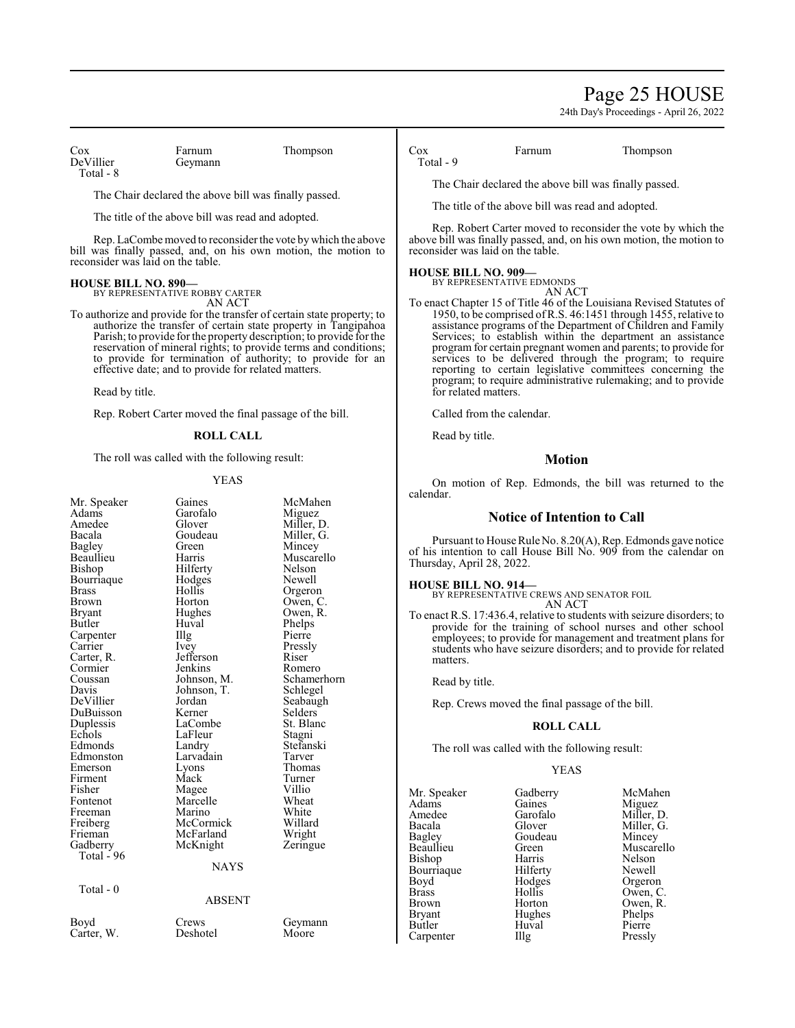# Page 25 HOUSE

24th Day's Proceedings - April 26, 2022

Cox Farnum Thompson<br>DeVillier Geymann Total - 8

Geymann

The Chair declared the above bill was finally passed.

The title of the above bill was read and adopted.

Rep. LaCombe moved to reconsider the vote by which the above bill was finally passed, and, on his own motion, the motion to reconsider was laid on the table.

#### **HOUSE BILL NO. 890—**

BY REPRESENTATIVE ROBBY CARTER AN ACT

To authorize and provide for the transfer of certain state property; to authorize the transfer of certain state property in Tangipahoa Parish; to provide for the property description; to provide for the reservation of mineral rights; to provide terms and conditions; to provide for termination of authority; to provide for an effective date; and to provide for related matters.

Read by title.

Rep. Robert Carter moved the final passage of the bill.

### **ROLL CALL**

The roll was called with the following result:

#### YEAS

| Mr. Speaker   | Gaines        | McMahen     |
|---------------|---------------|-------------|
| Adams         | Garofalo      | Miguez      |
| Amedee        | Glover        | Miller, D.  |
| Bacala        | Goudeau       | Miller, G.  |
| Bagley        | Green         | Mincey      |
| Beaullieu     | Harris        | Muscarello  |
| Bishop        | Hilferty      | Nelson      |
| Bourriaque    | Hodges        | Newell      |
| <b>Brass</b>  | Hollis        | Orgeron     |
| <b>Brown</b>  | Horton        | Owen, C.    |
| <b>Bryant</b> | Hughes        | Owen, R.    |
| <b>Butler</b> | Huval         | Phelps      |
| Carpenter     | Illg          | Pierre      |
| Carrier       | Ivey          | Pressly     |
| Carter, R.    | Jefferson     | Riser       |
| Cormier       | Jenkins       | Romero      |
| Coussan       | Johnson, M.   | Schamerhorn |
| Davis         | Johnson, T.   | Schlegel    |
| DeVillier     | Jordan        | Seabaugh    |
| DuBuisson     | Kerner        | Selders     |
| Duplessis     | LaCombe       | St. Blanc   |
| Echols        | LaFleur       | Stagni      |
| Edmonds       | Landry        | Stefanski   |
| Edmonston     | Larvadain     | Tarver      |
| Emerson       | Lyons         | Thomas      |
| Firment       | Mack          | Turner      |
| Fisher        | Magee         | Villio      |
| Fontenot      | Marcelle      | Wheat       |
| Freeman       | Marino        | White       |
| Freiberg      | McCormick     | Willard     |
| Frieman       | McFarland     | Wright      |
| Gadberry      | McKnight      | Zeringue    |
| Total - 96    |               |             |
|               | NAYS          |             |
| Total - 0     |               |             |
|               | <b>ABSENT</b> |             |
|               |               |             |

Cox Farnum Thompson Total - 9

The Chair declared the above bill was finally passed.

The title of the above bill was read and adopted.

Rep. Robert Carter moved to reconsider the vote by which the above bill was finally passed, and, on his own motion, the motion to reconsider was laid on the table.

### **HOUSE BILL NO. 909—**

BY REPRESENTATIVE EDMONDS AN ACT

To enact Chapter 15 of Title 46 of the Louisiana Revised Statutes of 1950, to be comprised ofR.S. 46:1451 through 1455, relative to assistance programs of the Department of Children and Family Services; to establish within the department an assistance program for certain pregnant women and parents; to provide for services to be delivered through the program; to require reporting to certain legislative committees concerning the program; to require administrative rulemaking; and to provide for related matters.

Called from the calendar.

Read by title.

# **Motion**

On motion of Rep. Edmonds, the bill was returned to the calendar.

### **Notice of Intention to Call**

Pursuant to House Rule No. 8.20(A), Rep. Edmonds gave notice of his intention to call House Bill No. 909 from the calendar on Thursday, April 28, 2022.

**HOUSE BILL NO. 914—** BY REPRESENTATIVE CREWS AND SENATOR FOIL AN ACT

To enact R.S. 17:436.4, relative to students with seizure disorders; to provide for the training of school nurses and other school employees; to provide for management and treatment plans for students who have seizure disorders; and to provide for related matters.

Read by title.

Rep. Crews moved the final passage of the bill.

### **ROLL CALL**

The roll was called with the following result:

#### YEAS

Mr. Speaker Gadberry McMahen<br>Adams Gaines Miguez Adams Gaines Miguez<br>Amedee Garofalo Miller, 1 Amedee Garofalo Miller, D.<br>Bacala Glover Miller, G. Bacala Glover Miller, G.<br>Bagley Goudeau Mincey Bagley Goudeau Mincey Bishop Harris Nelson<br>Bourriaque Hilferty Newell Bourriaque Hilferty Newell<br>Boyd Hodges Orgeron Boyd Hodges<br>Brass Hollis Brass Hollis Owen, C. Brown Horton Owen, R. Bryant Hughes Phelps<br>Butler Huval Pierre Carpenter

Green Muscarello<br>Harris Nelson Huval Pierre<br>Illg Pressly

# Carter, W.

Boyd Crews Geymann<br>Carter. W. Deshotel Moore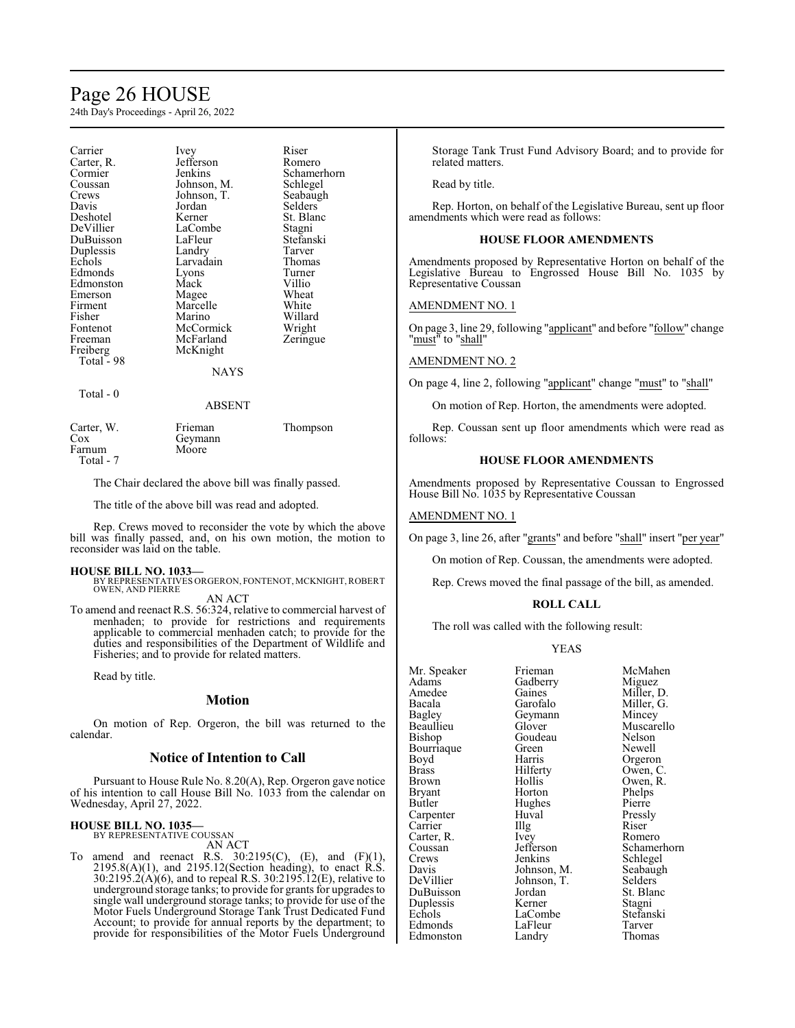# Page 26 HOUSE

24th Day's Proceedings - April 26, 2022

| Carrier<br>Carter, R.<br>Cormier<br>Coussan<br>Crews<br>Davis<br>Deshotel<br>DeVillier<br>DuBuisson<br>Duplessis<br>Echols<br>Edmonds<br>Edmonston<br>Emerson<br>Firment<br>Fisher<br>Fontenot<br>Freeman<br>Freiberg<br>Total - 98<br>$Total - 0$ | Ivey<br>Jefferson<br>Jenkins<br>Johnson, M.<br>Johnson, T.<br>Jordan<br>Kerner<br>LaCombe<br>LaFleur<br>Landry<br>Larvadain<br>Lyons<br>Mack<br>Magee<br>Marcelle<br>Marino<br>McCormick<br>McFarland<br>McKnight<br><b>NAYS</b> | Riser<br>Romero<br>Schamerhorn<br>Schlegel<br>Seabaugh<br>Selders<br>St. Blanc<br>Stagni<br>Stefanski<br>Tarver<br>Thomas<br>Turner<br>Villio<br>Wheat<br>White<br>Willard<br>Wright<br>Zeringue |
|----------------------------------------------------------------------------------------------------------------------------------------------------------------------------------------------------------------------------------------------------|----------------------------------------------------------------------------------------------------------------------------------------------------------------------------------------------------------------------------------|--------------------------------------------------------------------------------------------------------------------------------------------------------------------------------------------------|
| Carter, W.<br>Cox                                                                                                                                                                                                                                  | ABSENT<br>Frieman<br>Geymann                                                                                                                                                                                                     | Thompson                                                                                                                                                                                         |
| Farnum<br>Total - 7                                                                                                                                                                                                                                | Moore                                                                                                                                                                                                                            |                                                                                                                                                                                                  |

The Chair declared the above bill was finally passed.

The title of the above bill was read and adopted.

Rep. Crews moved to reconsider the vote by which the above bill was finally passed, and, on his own motion, the motion to reconsider was laid on the table.

#### **HOUSE BILL NO. 1033—**

BY REPRESENTATIVES ORGERON, FONTENOT, MCKNIGHT, ROBERT<br>OWEN, AND PIERRE

AN ACT

To amend and reenact R.S. 56:324, relative to commercial harvest of menhaden; to provide for restrictions and requirements applicable to commercial menhaden catch; to provide for the duties and responsibilities of the Department of Wildlife and Fisheries; and to provide for related matters.

Read by title.

# **Motion**

On motion of Rep. Orgeron, the bill was returned to the calendar.

#### **Notice of Intention to Call**

Pursuant to House Rule No. 8.20(A), Rep. Orgeron gave notice of his intention to call House Bill No. 1033 from the calendar on Wednesday, April 27, 2022.

#### **HOUSE BILL NO. 1035—** BY REPRESENTATIVE COUSSAN

AN ACT

To amend and reenact R.S.  $30:2195(C)$ , (E), and (F)(1), 2195.8(A)(1), and 2195.12(Section heading), to enact R.S. 30:2195.2(A)(6), and to repeal R.S. 30:2195.12(E), relative to underground storage tanks; to provide for grants for upgrades to single wall underground storage tanks; to provide for use of the Motor Fuels Underground Storage Tank Trust Dedicated Fund Account; to provide for annual reports by the department; to provide for responsibilities of the Motor Fuels Underground Storage Tank Trust Fund Advisory Board; and to provide for related matters.

Read by title.

Rep. Horton, on behalf of the Legislative Bureau, sent up floor amendments which were read as follows:

#### **HOUSE FLOOR AMENDMENTS**

Amendments proposed by Representative Horton on behalf of the Legislative Bureau to Engrossed House Bill No. 1035 by Representative Coussan

#### AMENDMENT NO. 1

On page 3, line 29, following "applicant" and before "follow" change "must" to "shall"

# AMENDMENT NO. 2

On page 4, line 2, following "applicant" change "must" to "shall"

On motion of Rep. Horton, the amendments were adopted.

Rep. Coussan sent up floor amendments which were read as follows:

#### **HOUSE FLOOR AMENDMENTS**

Amendments proposed by Representative Coussan to Engrossed House Bill No. 1035 by Representative Coussan

#### AMENDMENT NO. 1

On page 3, line 26, after "grants" and before "shall" insert "per year"

On motion of Rep. Coussan, the amendments were adopted.

Rep. Crews moved the final passage of the bill, as amended.

# **ROLL CALL**

The roll was called with the following result:

# YEAS

| Mr. Speaker   | Frieman     | McMa              |
|---------------|-------------|-------------------|
| Adams         | Gadberry    | Migue             |
| Amedee        | Gaines      | Miller            |
| Bacala        | Garofalo    | Miller            |
| <b>Bagley</b> | Geymann     | Mince             |
| Beaullieu     | Glover      | Musca             |
| <b>Bishop</b> | Goudeau     | Nelso:            |
| Bourriaque    | Green       | Newe <sup>1</sup> |
| Boyd          | Harris      | Orger             |
| <b>Brass</b>  | Hilferty    | Owen              |
| Brown         | Hollis      | Owen              |
| <b>Bryant</b> | Horton      | Phelp             |
| Butler        | Hughes      | Pierre            |
| Carpenter     | Huval       | Pressl            |
| Carrier       | Illg        | Riser             |
| Carter, R.    | Ivey        | Rome              |
| Coussan       | Jefferson   | Schan             |
| Crews         | Jenkins     | Schleg            |
| Davis         | Johnson, M. | Seaba             |
| DeVillier     | Johnson, T. | Seldei            |
| DuBuisson     | Jordan      | St. Bla           |
| Duplessis     | Kerner      | Stagn:            |
| Echols        | LaCombe     | Stefar            |
| Edmonds       | LaFleur     | Tarve             |
| Edmonston     | Landrv      | Thom              |

McMahen Miguez Miller, D. Miller, G. n Mincey Muscarello Nelson Newell Orgeron Owen, C. Owen, R. Phelps<br>Pierre Pressly<br>Riser Romero Schamerhorn Schlegel<br>M. Seabaug M. Seabaugh<br>T. Selders Selders<sup>7</sup> St. Blanc Duplessis Kerner Stagni Stefanski LaFleur Tarver<br>
Landry Thomas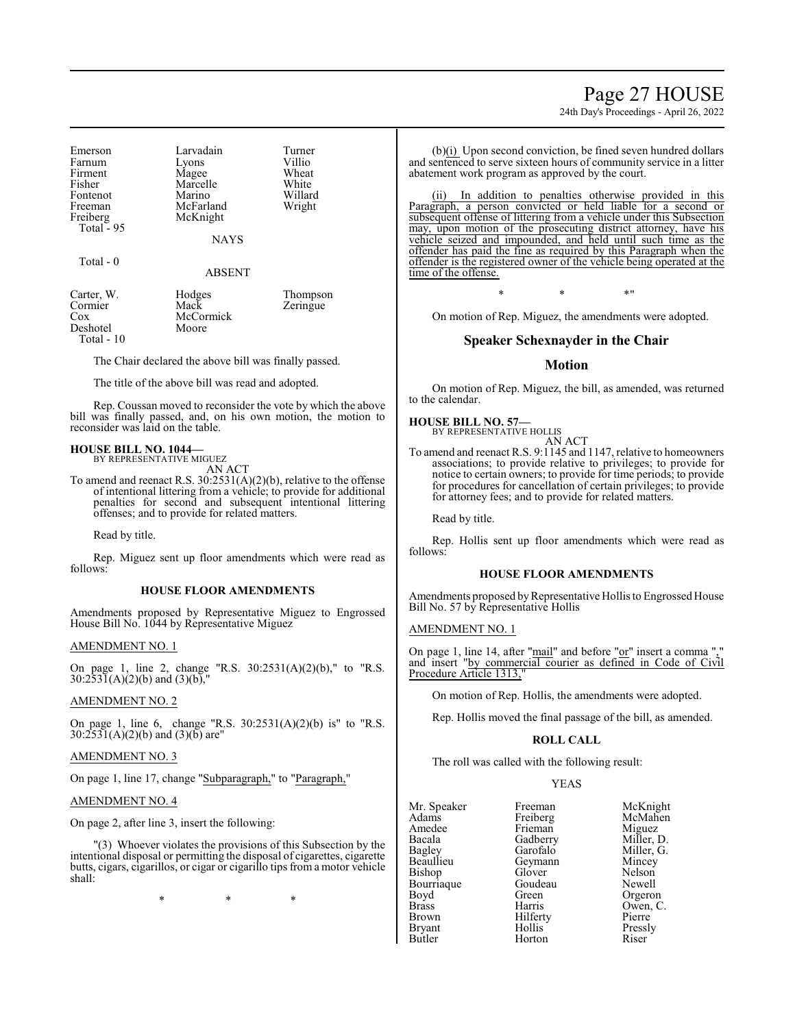Page 27 HOUSE

24th Day's Proceedings - April 26, 2022

| Emerson<br>Farnum<br>Firment<br>Fisher<br>Fontenot<br>Freeman<br>Freiberg | Larvadain<br>Lyons<br>Magee<br>Marcelle<br>Marino<br>McFarland<br>McKnight | Turner<br>Villio<br>Wheat<br>White<br>Willard<br>Wright |
|---------------------------------------------------------------------------|----------------------------------------------------------------------------|---------------------------------------------------------|
| Total $-95$                                                               | <b>NAYS</b>                                                                |                                                         |

#### Total - 0

ABSENT

| Carter, W.   | Hodges    | Thompson |
|--------------|-----------|----------|
| Cormier      | Mack      | Zeringue |
| Cox          | McCormick |          |
| Deshotel     | Moore     |          |
| Total - $10$ |           |          |

The Chair declared the above bill was finally passed.

The title of the above bill was read and adopted.

Rep. Coussan moved to reconsider the vote by which the above bill was finally passed, and, on his own motion, the motion to reconsider was laid on the table.

# **HOUSE BILL NO. 1044—**

BY REPRESENTATIVE MIGUEZ AN ACT

To amend and reenact R.S. 30:2531(A)(2)(b), relative to the offense of intentional littering from a vehicle; to provide for additional penalties for second and subsequent intentional littering offenses; and to provide for related matters.

Read by title.

Rep. Miguez sent up floor amendments which were read as follows:

# **HOUSE FLOOR AMENDMENTS**

Amendments proposed by Representative Miguez to Engrossed House Bill No. 1044 by Representative Miguez

#### AMENDMENT NO. 1

On page 1, line 2, change "R.S. 30:2531(A)(2)(b)," to "R.S.  $30:2531(A)(2)(b)$  and  $(3)(b)$ ,"

### AMENDMENT NO. 2

On page 1, line 6, change "R.S. 30:2531(A)(2)(b) is" to "R.S.  $30:2531(A)(2)(b)$  and  $(3)(b)$  are"

#### AMENDMENT NO. 3

On page 1, line 17, change "Subparagraph," to "Paragraph,"

#### AMENDMENT NO. 4

On page 2, after line 3, insert the following:

"(3) Whoever violates the provisions of this Subsection by the intentional disposal or permitting the disposal of cigarettes, cigarette butts, cigars, cigarillos, or cigar or cigarillo tips from a motor vehicle shall:

\* \* \*

(b)(i) Upon second conviction, be fined seven hundred dollars and sentenced to serve sixteen hours of community service in a litter abatement work program as approved by the court.

In addition to penalties otherwise provided in this Paragraph, a person convicted or held liable for a second or subsequent offense of littering from a vehicle under this Subsection may, upon motion of the prosecuting district attorney, have his vehicle seized and impounded, and held until such time as the offender has paid the fine as required by this Paragraph when the offender is the registered owner of the vehicle being operated at the time of the offense.

\* \* \*"

On motion of Rep. Miguez, the amendments were adopted.

# **Speaker Schexnayder in the Chair**

#### **Motion**

On motion of Rep. Miguez, the bill, as amended, was returned to the calendar.

### **HOUSE BILL NO. 57—**

BY REPRESENTATIVE HOLLIS AN ACT

To amend and reenact R.S. 9:1145 and 1147, relative to homeowners associations; to provide relative to privileges; to provide for notice to certain owners; to provide for time periods; to provide for procedures for cancellation of certain privileges; to provide for attorney fees; and to provide for related matters.

Read by title.

Rep. Hollis sent up floor amendments which were read as follows:

#### **HOUSE FLOOR AMENDMENTS**

Amendments proposed by Representative Hollis to Engrossed House Bill No. 57 by Representative Hollis

#### AMENDMENT NO. 1

On page 1, line 14, after "mail" and before "or" insert a comma "," and insert "by commercial courier as defined in Code of Civil Procedure Article 1313,"

On motion of Rep. Hollis, the amendments were adopted.

Rep. Hollis moved the final passage of the bill, as amended.

#### **ROLL CALL**

The roll was called with the following result:

#### YEAS

| Mr. Speaker   | Freeman  |
|---------------|----------|
| Adams         | Freiberg |
| Amedee        | Frieman  |
| Bacala        | Gadberry |
| Bagley        | Garofalo |
| Beaullieu     | Geymann  |
| Bishop        | Glover   |
| Bourriaque    | Goudeau  |
| Boyd          | Green    |
| <b>Brass</b>  | Harris   |
| <b>Brown</b>  | Hilferty |
| <b>Bryant</b> | Hollis   |
| Butler        | Horton   |

Freeman McKnight<br>
Freiberg McMahen reiberg McMahen<br>Frieman Miguez Frieman Miguez<br>Frieman Miller, 1 Badberry Miller, D.<br>Barofalo Miller, G. Miller, G.<br>Mincey Nelson<br>Newell Freen Orgeron<br>Farris Owen Owen, C.<br>Pierre Pressly<br>Riser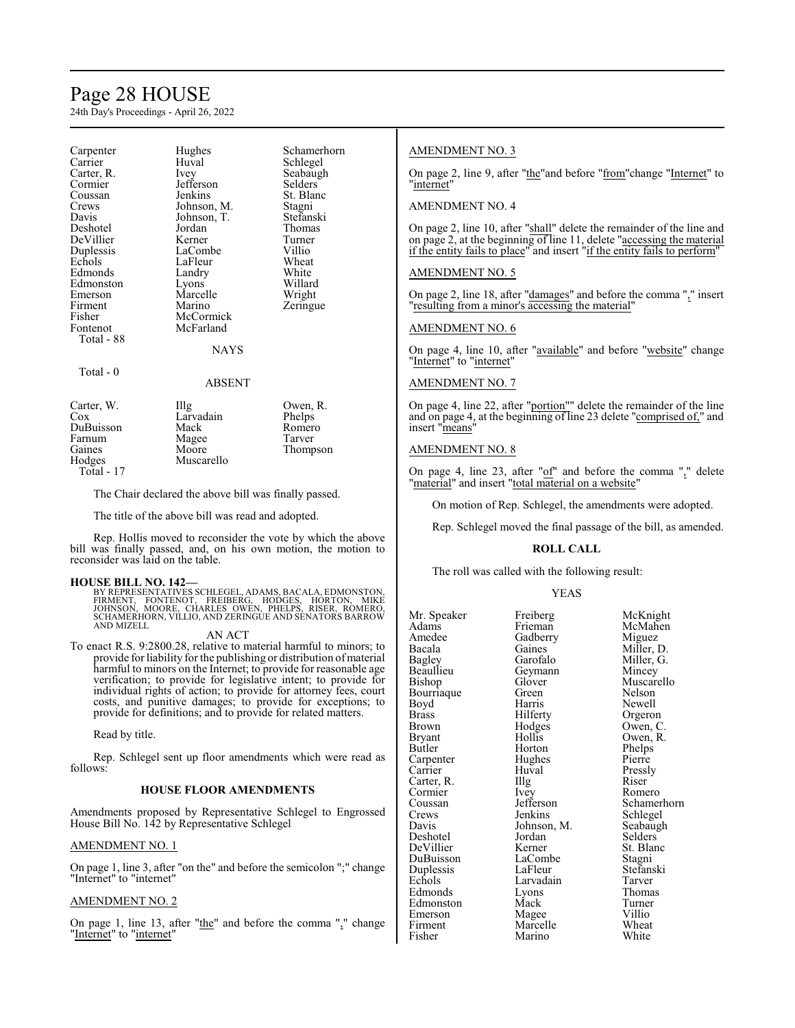# Page 28 HOUSE

24th Day's Proceedings - April 26, 2022

| Carpenter  | Hughes      | Schamerhorn |
|------------|-------------|-------------|
| Carrier    | Huval       | Schlegel    |
| Carter, R. | Ivey        | Seabaugh    |
| Cormier    | Jefferson   | Selders     |
| Coussan    | Jenkins     | St. Blanc   |
| Crews      | Johnson, M. | Stagni      |
| Davis      | Johnson, T. | Stefanski   |
| Deshotel   | Jordan      | Thomas      |
| DeVillier  | Kerner      | Turner      |
| Duplessis  | LaCombe     | Villio      |
| Echols     | LaFleur     | Wheat       |
| Edmonds    | Landry      | White       |
| Edmonston  | Lyons       | Willard     |
| Emerson    | Marcelle    | Wright      |
| Firment    | Marino      | Zeringue    |
| Fisher     | McCormick   |             |
| Fontenot   | McFarland   |             |
| Total - 88 |             |             |
|            | <b>NAYS</b> |             |
| Total - 0  |             |             |
|            | ABSENT      |             |
| Carter, W. | Illg        | Owen, R.    |
| Cox        | Larvadain   | Phelps      |
| DuBuisson  | Mack        | Romero      |
| Farnum     | Magee       | Tarver      |
| Gaines     | Moore       | Thompson    |
| Hodges     | Muscarello  |             |

Total - 17

The Chair declared the above bill was finally passed.

The title of the above bill was read and adopted.

Rep. Hollis moved to reconsider the vote by which the above bill was finally passed, and, on his own motion, the motion to reconsider was laid on the table.

#### **HOUSE BILL NO. 142—**

BY REPRESENTATIVES SCHLEGEL, ADAMS, BACALA, EDMONSTON,<br>FIRMENT, †FONTENOT, †FREIBERG, HODGES, HORTON, MIKE<br>JOHNSON, MOORE, CHARLES OWEN, PHELPS, RISER, ROMERO, SCHAMERHORN, VILLIO, AND ZERINGUE AND SENATORS BARROW AND MIZELL

#### AN ACT

To enact R.S. 9:2800.28, relative to material harmful to minors; to provide for liability for the publishing or distribution of material harmful to minors on the Internet; to provide for reasonable age verification; to provide for legislative intent; to provide for individual rights of action; to provide for attorney fees, court costs, and punitive damages; to provide for exceptions; to provide for definitions; and to provide for related matters.

Read by title.

Rep. Schlegel sent up floor amendments which were read as follows:

#### **HOUSE FLOOR AMENDMENTS**

Amendments proposed by Representative Schlegel to Engrossed House Bill No. 142 by Representative Schlegel

#### AMENDMENT NO. 1

On page 1, line 3, after "on the" and before the semicolon ";" change "Internet" to "internet"

# AMENDMENT NO. 2

On page 1, line 13, after "the" and before the comma "," change "Internet" to "internet"

### AMENDMENT NO. 3

On page 2, line 9, after "the"and before "from"change "Internet" to "internet"

# AMENDMENT NO. 4

On page 2, line 10, after "shall" delete the remainder of the line and on page 2, at the beginning of line 11, delete " $\alpha$  accessing the material if the entity fails to place" and insert "if the entity fails to perform"

#### AMENDMENT NO. 5

On page 2, line 18, after "damages" and before the comma "," insert "resulting from a minor's accessing the material"

### AMENDMENT NO. 6

On page 4, line 10, after "available" and before "website" change "Internet" to "internet"

#### AMENDMENT NO. 7

On page 4, line 22, after "portion"" delete the remainder of the line and on page 4, at the beginning of line 23 delete "comprised of," and insert "means"

### AMENDMENT NO. 8

On page 4, line 23, after " $of$ " and before the comma "," delete "material" and insert "total material on a website"

On motion of Rep. Schlegel, the amendments were adopted.

Rep. Schlegel moved the final passage of the bill, as amended.

#### **ROLL CALL**

The roll was called with the following result:

#### YEAS

| Mr. Speaker | Freiberg    | McKnight   |
|-------------|-------------|------------|
| Adams       | Frieman     | McMahen    |
| Amedee      | Gadberry    | Miguez     |
| Bacala      | Gaines      | Miller, D. |
| Bagley      | Garofalo    | Miller, G. |
| Beaullieu   | Geymann     | Mincey     |
| Bishop      | Glover      | Muscarello |
| Bourriaque  | Green       | Nelson     |
| Boyd        | Harris      | Newell     |
| Brass       | Hilferty    | Orgeron    |
| Brown       | Hodges      | Owen, C.   |
| Bryant      | Hollis      | Owen, R.   |
| Butler      | Horton      | Phelps     |
| Carpenter   | Hughes      | Pierre     |
| Carrier     | Huval       | Pressly    |
| Carter, R.  | Illg        | Riser      |
| Cormier     | Ivey        | Romero     |
| Coussan     | Jefferson   | Schamerho  |
| Crews       | Jenkins     | Schlegel   |
| Davis       | Johnson, M. | Seabaugh   |
| Deshotel    | Jordan      | Selders    |
| DeVillier   | Kerner      | St. Blanc  |
| DuBuisson   | LaCombe     | Stagni     |
| Duplessis   | LaFleur     | Stefanski  |
| Echols      | Larvadain   | Tarver     |
| Edmonds     | Lyons       | Thomas     |
| Edmonston   | Mack        | Turner     |
| Emerson     | Magee       | Villio     |
| Firment     | Marcelle    | Wheat      |
| Fisher      | Marino      | White      |

Ivey Romero<br>Jefferson Schame Jefferson Schamerhorn<br>Jenkins Schlegel Schlegel<br>Seabaugh Marcelle Wheat<br>Marino White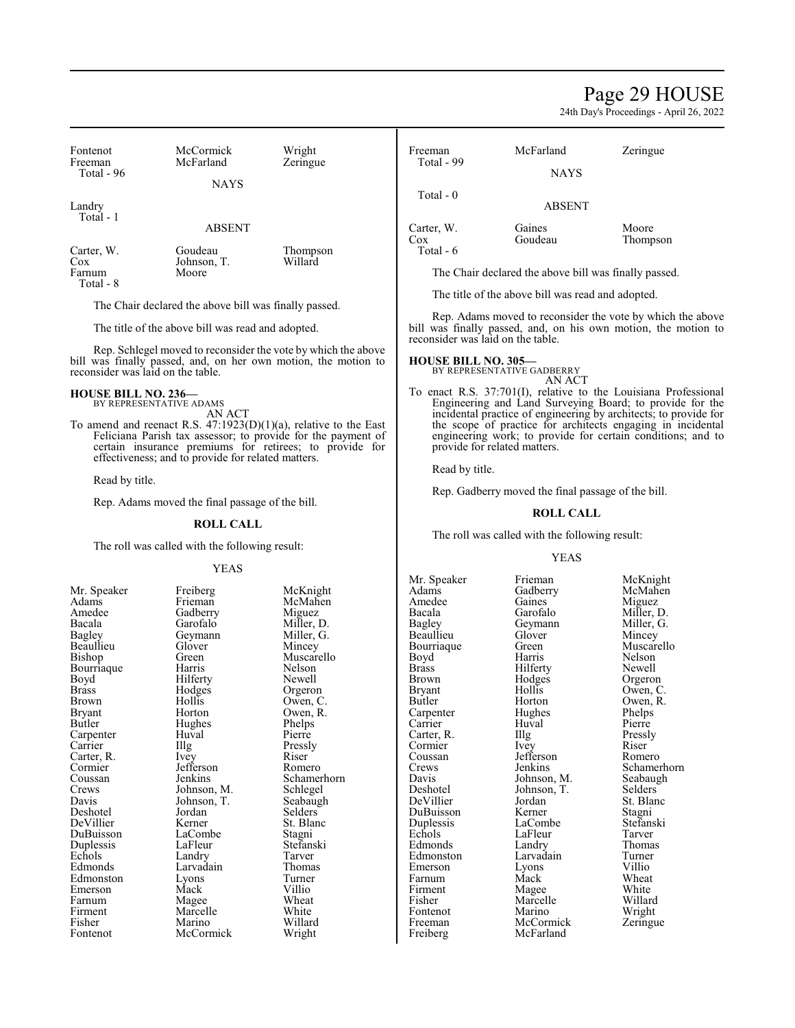# Page 29 HOUSE

24th Day's Proceedings - April 26, 2022

| Fontenot<br>Freeman                                                                                                                                                                                                                                                                                                            | McCormick<br>McFarland                                                                                    | Wright<br>Zeringue                                                                                               | Freeman<br>Total - 99                                                                                                                         | McFarland                                                                                                                                                         | Zeringue                                                                                                                                                                                                                                                                                                                      |  |
|--------------------------------------------------------------------------------------------------------------------------------------------------------------------------------------------------------------------------------------------------------------------------------------------------------------------------------|-----------------------------------------------------------------------------------------------------------|------------------------------------------------------------------------------------------------------------------|-----------------------------------------------------------------------------------------------------------------------------------------------|-------------------------------------------------------------------------------------------------------------------------------------------------------------------|-------------------------------------------------------------------------------------------------------------------------------------------------------------------------------------------------------------------------------------------------------------------------------------------------------------------------------|--|
| Total - 96                                                                                                                                                                                                                                                                                                                     | <b>NAYS</b>                                                                                               |                                                                                                                  |                                                                                                                                               | <b>NAYS</b>                                                                                                                                                       |                                                                                                                                                                                                                                                                                                                               |  |
|                                                                                                                                                                                                                                                                                                                                |                                                                                                           |                                                                                                                  | Total - 0                                                                                                                                     |                                                                                                                                                                   |                                                                                                                                                                                                                                                                                                                               |  |
| Landry<br>Total - 1                                                                                                                                                                                                                                                                                                            |                                                                                                           |                                                                                                                  |                                                                                                                                               | <b>ABSENT</b>                                                                                                                                                     |                                                                                                                                                                                                                                                                                                                               |  |
|                                                                                                                                                                                                                                                                                                                                | <b>ABSENT</b>                                                                                             |                                                                                                                  | Carter, W.<br>Cox                                                                                                                             | Gaines<br>Goudeau                                                                                                                                                 | Moore<br>Thompson                                                                                                                                                                                                                                                                                                             |  |
| Carter, W.<br>Cox                                                                                                                                                                                                                                                                                                              | Goudeau<br>Johnson, T.                                                                                    | Thompson<br>Willard                                                                                              | Total - 6                                                                                                                                     |                                                                                                                                                                   |                                                                                                                                                                                                                                                                                                                               |  |
| Farnum<br>Total - 8                                                                                                                                                                                                                                                                                                            | Moore                                                                                                     |                                                                                                                  |                                                                                                                                               | The Chair declared the above bill was finally passed.                                                                                                             |                                                                                                                                                                                                                                                                                                                               |  |
|                                                                                                                                                                                                                                                                                                                                |                                                                                                           |                                                                                                                  |                                                                                                                                               | The title of the above bill was read and adopted.                                                                                                                 |                                                                                                                                                                                                                                                                                                                               |  |
|                                                                                                                                                                                                                                                                                                                                | The Chair declared the above bill was finally passed.                                                     |                                                                                                                  |                                                                                                                                               |                                                                                                                                                                   |                                                                                                                                                                                                                                                                                                                               |  |
|                                                                                                                                                                                                                                                                                                                                | The title of the above bill was read and adopted.                                                         |                                                                                                                  |                                                                                                                                               | Rep. Adams moved to reconsider the vote by which the above<br>bill was finally passed, and, on his own motion, the motion to<br>reconsider was laid on the table. |                                                                                                                                                                                                                                                                                                                               |  |
| Rep. Schlegel moved to reconsider the vote by which the above<br>bill was finally passed, and, on her own motion, the motion to<br>reconsider was laid on the table.                                                                                                                                                           |                                                                                                           |                                                                                                                  | <b>HOUSE BILL NO. 305-</b><br>BY REPRESENTATIVE GADBERRY<br>AN ACT                                                                            |                                                                                                                                                                   |                                                                                                                                                                                                                                                                                                                               |  |
| <b>HOUSE BILL NO. 236-</b><br>BY REPRESENTATIVE ADAMS<br><b>AN ACT</b><br>To amend and reenact R.S. $47:1923(D)(1)(a)$ , relative to the East<br>Feliciana Parish tax assessor; to provide for the payment of<br>certain insurance premiums for retirees; to provide for<br>effectiveness; and to provide for related matters. |                                                                                                           |                                                                                                                  |                                                                                                                                               | provide for related matters.                                                                                                                                      | To enact R.S. 37:701(I), relative to the Louisiana Professional<br>Engineering and Land Surveying Board; to provide for the<br>incidental practice of engineering by architects; to provide for<br>the scope of practice for architects engaging in incidental<br>engineering work; to provide for certain conditions; and to |  |
|                                                                                                                                                                                                                                                                                                                                |                                                                                                           |                                                                                                                  | Read by title.                                                                                                                                |                                                                                                                                                                   |                                                                                                                                                                                                                                                                                                                               |  |
| Read by title.                                                                                                                                                                                                                                                                                                                 |                                                                                                           |                                                                                                                  | Rep. Gadberry moved the final passage of the bill.<br><b>ROLL CALL</b>                                                                        |                                                                                                                                                                   |                                                                                                                                                                                                                                                                                                                               |  |
|                                                                                                                                                                                                                                                                                                                                | Rep. Adams moved the final passage of the bill.                                                           |                                                                                                                  |                                                                                                                                               |                                                                                                                                                                   |                                                                                                                                                                                                                                                                                                                               |  |
|                                                                                                                                                                                                                                                                                                                                | <b>ROLL CALL</b>                                                                                          |                                                                                                                  |                                                                                                                                               |                                                                                                                                                                   |                                                                                                                                                                                                                                                                                                                               |  |
|                                                                                                                                                                                                                                                                                                                                |                                                                                                           |                                                                                                                  |                                                                                                                                               | The roll was called with the following result:                                                                                                                    |                                                                                                                                                                                                                                                                                                                               |  |
|                                                                                                                                                                                                                                                                                                                                | The roll was called with the following result:                                                            |                                                                                                                  |                                                                                                                                               | <b>YEAS</b>                                                                                                                                                       |                                                                                                                                                                                                                                                                                                                               |  |
|                                                                                                                                                                                                                                                                                                                                | <b>YEAS</b>                                                                                               |                                                                                                                  |                                                                                                                                               |                                                                                                                                                                   |                                                                                                                                                                                                                                                                                                                               |  |
| Mr. Speaker<br>Adams<br>Amedee<br>Bacala<br><b>Bagley</b><br>Beaullieu<br>Bishop<br>Bourriaque<br>Boyd<br><b>Brass</b>                                                                                                                                                                                                         | Freiberg<br>Frieman<br>Gadberry<br>Garofalo<br>Geymann<br>Glover<br>Green<br>Harris<br>Hilferty<br>Hodges | McKnight<br>McMahen<br>Miguez<br>Miller, D.<br>Miller, G.<br>Mincey<br>Muscarello<br>Nelson<br>Newell<br>Orgeron | Mr. Speaker<br><b>Adams</b><br>Amedee<br>Bacala<br>Bagley<br>Beaullieu<br>Bourriaque<br>Boyd<br><b>Brass</b><br><b>Brown</b><br><b>Bryant</b> | Frieman<br>Gadberry<br>Gaines<br>Garofalo<br>Geymann<br>Glover<br>Green<br>Harris<br>Hilferty<br>Hodges<br>Hollis                                                 | McKnight<br>McMahen<br>Miguez<br>Miller, D.<br>Miller, G.<br>Mincey<br>Muscarello<br>Nelson<br>Newell<br>Orgeron<br>Owen, C.                                                                                                                                                                                                  |  |

| лиашь                 |
|-----------------------|
| Amedee                |
| Bacala                |
| <b>Bagley</b>         |
| Beaullieu             |
| Bishop                |
| Bourriaque            |
| Boyd                  |
| Brass                 |
| Brown                 |
| Bryant                |
| Butler                |
| Carpenter             |
|                       |
| Carrier<br>Carter, R. |
| Cormier<br>Coussan    |
|                       |
| Crews                 |
| Davis                 |
| Deshotel              |
| DeVillier             |
| DuBuisson             |
| Duplessis             |
| Echols                |
| Edmonds               |
| Edmonston             |
| Emerson               |
| Farnum                |
| Firment               |
| Fisher                |
| Fontenot              |
|                       |

Hollis Owen, C.<br>Horton Owen, R. Hughes Phelps<br>Huval Pierre Huval<br>Illg The Pressly<br>
Ivey Riser Jefferson<br>Jenkins Johnson, M. Schlegel<br>Johnson, T. Seabaugh Johnson, T. Seabaug<br>Jordan Selders Jordan<br>Kerner LaCombe<br>LaFleur Landry Tarver<br>
Larvadain Thomas Larvadain Thomas<br>Lyons Turner Edmonston Lyons Turner Emerson Mack Villio Franck Willio<br>
Magee Wheat<br>
Marcelle White Marcelle<br>Marino McCormick

Owen, R.<br>Phelps Riser<br>Romero Schamerhorn<br>Schlegel St. Blanc<br>Stagni Stefanski<br>Tarver Willard<br>Wright

Freeman McCormick<br>Freiberg McFarland

Carpenter Hughes Phelps<br>
Carrier Huval Pierre Carrier Huval Pierre<br>Carter, R. Illg Pressly Carter, R. Illg Pressl<br>Cormier Ivey Riser Cormier Ivey Riser Coussan Jefferson Romero Davis Johnson, M. Seabaug<br>Deshotel Johnson, T. Selders DeVillier Jordan St. Blanc<br>DuBuisson Kerner Stagni Duplessis LaCombe Stefans<br>Echols LaFleur Tarver LaFleur Tarver<br>
Landry Thomas Edmonds Landry Thoma<br>Edmonston Larvadain Turner Edmonston Larvadain Turner Emerson Lyons Villio<br>Farnum Mack Wheat Farnum Mack Wheat<br>Firment Mage White Firment Magee White<br>
Fisher Marcelle Willard Marcelle Willard<br>
Marino Wright Fontenot Marino Wright<br>
Freeman McCormick Zeringue McFarland

Butler Horton Owen, R.<br>Carpenter Hughes Phelps Crews Jenkins Schamerhorn<br>
Davis Johnson, M. Seabaugh Johnson, T.<br>Jordan St. Blanc DuBuisson Kerner Stagni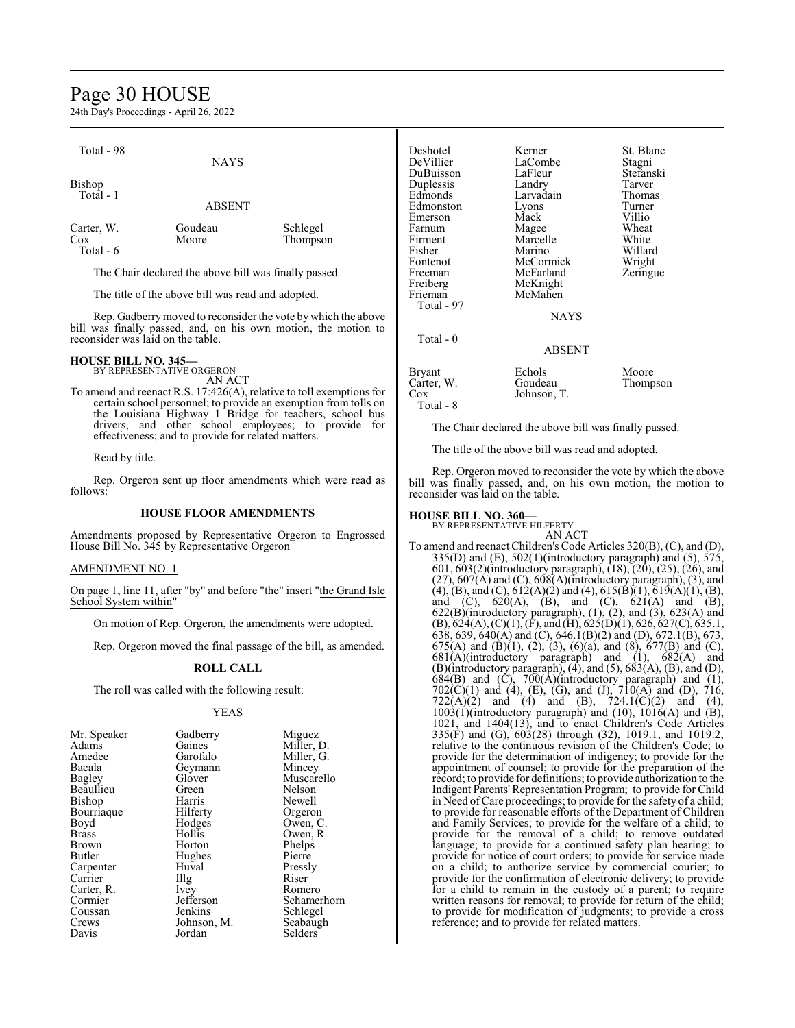# Page 30 HOUSE

24th Day's Proceedings - April 26, 2022

| Total - 98 |                                                       |          | Deshotel  | k |
|------------|-------------------------------------------------------|----------|-----------|---|
|            | <b>NAYS</b>                                           |          | DeVillier |   |
|            |                                                       |          | DuBuisson |   |
| Bishop     |                                                       |          | Duplessis |   |
| Total - 1  |                                                       |          | Edmonds   |   |
|            | <b>ABSENT</b>                                         |          | Edmonston |   |
|            |                                                       |          | Emerson   | N |
| Carter, W. | Goudeau                                               | Schlegel | Farnum    | N |
| Cox        | Moore                                                 | Thompson | Firment   | N |
| Total - 6  |                                                       |          | Fisher    | N |
|            |                                                       |          | Fontenot  | N |
|            | The Chair declared the above bill was finally passed. |          | Freeman   |   |

The title of the above bill was read and adopted.

Rep. Gadberrymoved to reconsider the vote by which the above bill was finally passed, and, on his own motion, the motion to reconsider was laid on the table.

# **HOUSE BILL NO. 345—** BY REPRESENTATIVE ORGERON

AN ACT

To amend and reenact R.S. 17:426(A), relative to toll exemptions for certain school personnel; to provide an exemption from tolls on the Louisiana Highway 1 Bridge for teachers, school bus drivers, and other school employees; to provide for effectiveness; and to provide for related matters.

Read by title.

Rep. Orgeron sent up floor amendments which were read as follows:

#### **HOUSE FLOOR AMENDMENTS**

Amendments proposed by Representative Orgeron to Engrossed House Bill No. 345 by Representative Orgeron

### AMENDMENT NO. 1

On page 1, line 11, after "by" and before "the" insert "the Grand Isle School System within"

On motion of Rep. Orgeron, the amendments were adopted.

Rep. Orgeron moved the final passage of the bill, as amended.

#### **ROLL CALL**

The roll was called with the following result:

#### YEAS

| Mr. Speaker | Gadberry    | Miguez      |
|-------------|-------------|-------------|
| Adams       | Gaines      | Miller, D.  |
| Amedee      | Garofalo    | Miller, G.  |
| Bacala      | Geymann     | Mincey      |
| Bagley      | Glover      | Muscarello  |
| Beaullieu   | Green       | Nelson      |
| Bishop      | Harris      | Newell      |
| Bourriaque  | Hilferty    | Orgeron     |
| Boyd        | Hodges      | Owen, C.    |
| Brass       | Hollis      | Owen, R.    |
| Brown       | Horton      | Phelps      |
| Butler      | Hughes      | Pierre      |
| Carpenter   | Huval       | Pressly     |
| Carrier     | Illg        | Riser       |
| Carter, R.  | Ivey        | Romero      |
| Cormier     | Jefferson   | Schamerhorn |
| Coussan     | Jenkins     | Schlegel    |
| Crews       | Johnson, M. | Seabaugh    |
| Davis       | Jordan      | Selders     |

| Deshotel   | Kerner        | St. Blanc |
|------------|---------------|-----------|
| DeVillier  | LaCombe       | Stagni    |
| DuBuisson  | LaFleur       | Stefanski |
| Duplessis  | Landry        | Tarver    |
| Edmonds    | Larvadain     | Thomas    |
| Edmonston  | Lyons         | Turner    |
| Emerson    | Mack          | Villio    |
| Farnum     | Magee         | Wheat     |
| Firment    | Marcelle      | White     |
| Fisher     | Marino        | Willard   |
| Fontenot   | McCormick     | Wright    |
| Freeman    | McFarland     | Zeringue  |
| Freiberg   | McKnight      |           |
| Frieman    | McMahen       |           |
| Total - 97 |               |           |
|            | <b>NAYS</b>   |           |
| Total - 0  |               |           |
|            | <b>ABSENT</b> |           |
| Bryant     | Echols        | Moore     |
| Carter, W. | Goudeau       | Thompson  |
| Cox        | Johnson, T.   |           |
| Total - 8  |               |           |

The Chair declared the above bill was finally passed.

The title of the above bill was read and adopted.

Rep. Orgeron moved to reconsider the vote by which the above bill was finally passed, and, on his own motion, the motion to reconsider was laid on the table.

# **HOUSE BILL NO. 360—** BY REPRESENTATIVE HILFERTY

AN ACT To amend and reenact Children's Code Articles 320(B), (C), and (D), 335(D) and (E), 502(1)(introductory paragraph) and (5),  $\overline{575}$ , 601, 603(2)(introductory paragraph), (18), (20), (25), (26), and  $(27)$ ,  $607(A)$  and  $(C)$ ,  $608(A)$ (introductory paragraph),  $(3)$ , and  $(4)$ ,  $(B)$ , and  $(C)$ ,  $612(A)(2)$  and  $(4)$ ,  $615(B)(1)$ ,  $619(A)(1)$ ,  $(B)$ , and (C),  $620(A)$ , (B), and (C),  $621(A)$  and (B),  $622(B)$ (introductory paragraph),  $(1)$ ,  $(2)$ , and  $(3)$ ,  $623(A)$  and  $(B)$ , 624(A),  $(C)(1)$ ,  $(F)$ , and  $(H)$ , 625(D)(1), 626, 627(C), 635.1, 638, 639, 640(A) and (C), 646.1(B)(2) and (D), 672.1(B), 673, 675(A) and (B)(1), (2), (3), (6)(a), and (8), 677(B) and (C),  $681(A)$ (introductory paragraph) and (1),  $682(A)$  and  $(B)($  introductory paragraph),  $(4)$ , and  $(5)$ ,  $683(A)$ ,  $(B)$ , and  $(D)$ ,  $684(B)$  and  $(\dot{C})$ ,  $700(\dot{A})$ (introductory paragraph) and  $(1)$ ,  $702(C)(1)$  and (4), (E), (G), and (J),  $710(A)$  and (D),  $716$ ,  $722(A)(2)$  and  $(4)$  and  $(B)$ ,  $724.1(C)(2)$  and  $(4)$ ,  $1003(1)$ (introductory paragraph) and  $(10)$ ,  $1016(A)$  and  $(B)$ , 1021, and 1404(13), and to enact Children's Code Articles 335(F) and (G), 603(28) through (32), 1019.1, and 1019.2, relative to the continuous revision of the Children's Code; to provide for the determination of indigency; to provide for the appointment of counsel; to provide for the preparation of the record; to provide for definitions; to provide authorization to the Indigent Parents' Representation Program; to provide for Child in Need ofCare proceedings; to provide for the safety of a child; to provide for reasonable efforts of the Department of Children and Family Services; to provide for the welfare of a child; to provide for the removal of a child; to remove outdated language; to provide for a continued safety plan hearing; to provide for notice of court orders; to provide for service made on a child; to authorize service by commercial courier; to provide for the confirmation of electronic delivery; to provide for a child to remain in the custody of a parent; to require written reasons for removal; to provide for return of the child; to provide for modification of judgments; to provide a cross reference; and to provide for related matters.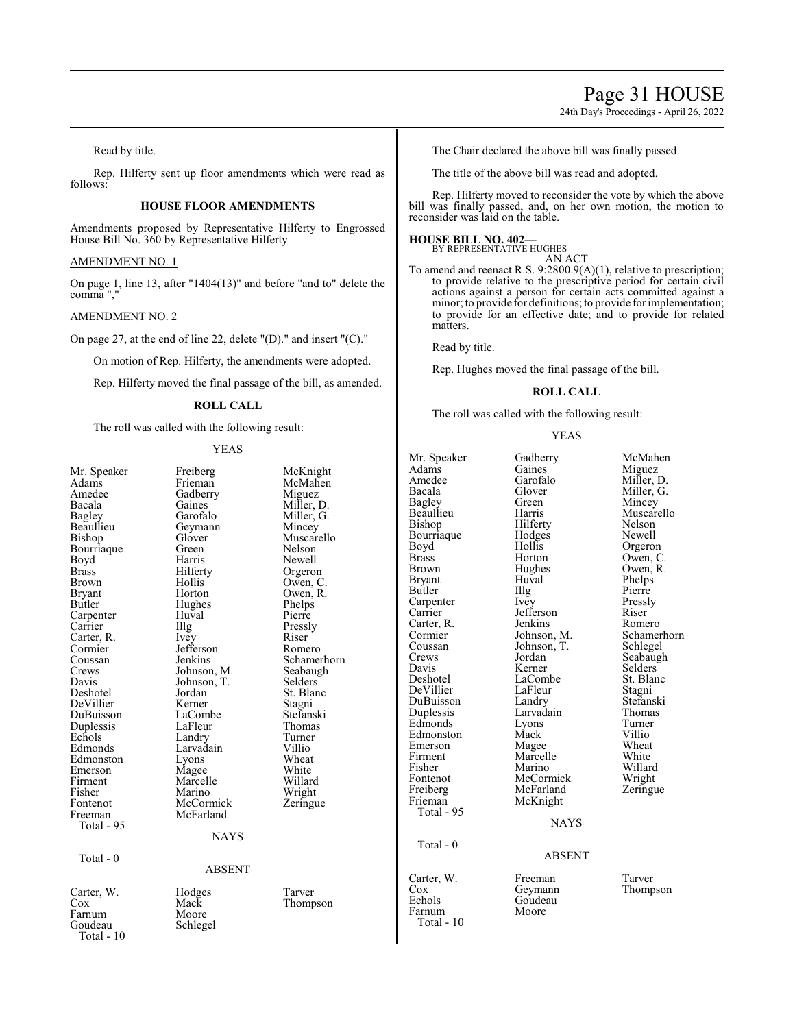# Page 31 HOUSE

24th Day's Proceedings - April 26, 2022

Read by title.

Rep. Hilferty sent up floor amendments which were read as follows:

# **HOUSE FLOOR AMENDMENTS**

Amendments proposed by Representative Hilferty to Engrossed House Bill No. 360 by Representative Hilferty

#### AMENDMENT NO. 1

On page 1, line 13, after "1404(13)" and before "and to" delete the comma ","

#### AMENDMENT NO. 2

On page 27, at the end of line 22, delete "(D)." and insert "(C)."

On motion of Rep. Hilferty, the amendments were adopted.

Rep. Hilferty moved the final passage of the bill, as amended.

# **ROLL CALL**

The roll was called with the following result:

# YEAS

|               |                   |             | Mr. Speaker   |
|---------------|-------------------|-------------|---------------|
| Mr. Speaker   | Freiberg          | McKnight    | Adams         |
| Adams         | Frieman           | McMahen     | Amedee        |
| Amedee        | Gadberry          | Miguez      | Bacala        |
| Bacala        | Gaines            | Miller, D.  | Bagley        |
| Bagley        | Garofalo          | Miller, G.  | Beaullieu     |
| Beaullieu     | Geymann           | Mincey      | Bishop        |
| Bishop        | Glover            | Muscarello  | Bourriaque    |
| Bourriaque    | Green             | Nelson      | Boyd          |
| Boyd          | Harris            | Newell      | <b>Brass</b>  |
| Brass         | Hilferty          | Orgeron     | Brown         |
| Brown         | Hollis            | Owen, C.    | <b>Bryant</b> |
| <b>Bryant</b> | Horton            | Owen, R.    | Butler        |
| Butler        | Hughes            | Phelps      | Carpenter     |
| Carpenter     | Huval             | Pierre      | Carrier       |
| Carrier       | $\prod_{i=1}^{n}$ | Pressly     | Carter, R.    |
| Carter, R.    | Ivey              | Riser       | Cormier       |
| Cormier       | Jefferson         | Romero      | Coussan       |
| Coussan       | Jenkins           | Schamerhorn | Crews         |
| Crews         | Johnson, M.       | Seabaugh    | Davis         |
| Davis         | Johnson, T.       | Selders     | Deshotel      |
| Deshotel      | Jordan            | St. Blanc   | DeVillier     |
| DeVillier     | Kerner            | Stagni      | DuBuisson     |
| DuBuisson     | LaCombe           | Stefanski   | Duplessis     |
| Duplessis     | LaFleur           | Thomas      | Edmonds       |
| Echols        | Landry            | Turner      | Edmonston     |
| Edmonds       | Larvadain         | Villio      | Emerson       |
| Edmonston     | Lyons             | Wheat       | Firment       |
| Emerson       | Magee             | White       | Fisher        |
| Firment       | Marcelle          | Willard     | Fontenot      |
| Fisher        | Marino            | Wright      | Freiberg      |
| Fontenot      | McCormick         | Zeringue    | Frieman       |
| Freeman       | McFarland         |             | Total - 95    |
| Total - 95    |                   |             |               |
|               | <b>NAYS</b>       |             |               |
|               |                   |             | Total - 0     |
| Total - $0$   |                   |             |               |
|               | <b>ABSENT</b>     |             |               |
|               |                   |             | Carter, W.    |
| Carter, W.    | Hodges            | Tarver      | Cox           |
| Cox           | Mack              | Thompson    | Echols        |
| Farnum        | Moore             |             | Farnum        |
| Goudeau       | Schlegel          |             | Total - 10    |
| Total - 10    |                   |             |               |
|               |                   |             |               |

The Chair declared the above bill was finally passed.

The title of the above bill was read and adopted.

Rep. Hilferty moved to reconsider the vote by which the above bill was finally passed, and, on her own motion, the motion to reconsider was laid on the table.

# **HOUSE BILL NO. 402—** BY REPRESENTATIVE HUGHES

AN ACT

To amend and reenact R.S. 9:2800.9(A)(1), relative to prescription; to provide relative to the prescriptive period for certain civil actions against a person for certain acts committed against a minor; to provide for definitions; to provide for implementation; to provide for an effective date; and to provide for related matters.

Read by title.

Rep. Hughes moved the final passage of the bill.

### **ROLL CALL**

The roll was called with the following result:

#### YEAS

| Mr. Speaker      | Gadberry        | McMahen     |
|------------------|-----------------|-------------|
| Adams            | Gaines          | Miguez      |
| Amedee           | Garofalo        | Miller, D.  |
| Bacala           | Glover          | Miller, G.  |
| Bagley           | Green           | Mincey      |
| Beaullieu        | Harris          | Muscarello  |
| Bishop           | Hilferty        | Nelson      |
| Bourriaque       | Hodges          | Newell      |
| Boyd             | Hollis          | Orgeron     |
| Brass            | Horton          | Owen, C.    |
| Brown            |                 | Owen, R.    |
|                  | Hughes<br>Huval | Phelps      |
| Bryant<br>Butler | Illg            | Pierre      |
|                  |                 |             |
| Carpenter        | Ivey            | Pressly     |
| Carrier          | Jefferson       | Riser       |
| Carter, R.       | Jenkins         | Romero      |
| Cormier          | Johnson, M.     | Schamerhorn |
| Coussan          | Johnson, T.     | Schlegel    |
| Crews            | Jordan          | Seabaugh    |
| Davis            | Kerner          | Selders     |
| Deshotel         | LaCombe         | St. Blanc   |
| DeVillier        | LaFleur         | Stagni      |
| DuBuisson        | Landry          | Stefanski   |
| Duplessis        | Larvadain       | Thomas      |
| Edmonds          | Lyons           | Turner      |
| Edmonston        | Mack            | Villio      |
| Emerson          | Magee           | Wheat       |
| Firment          | Marcelle        | White       |
| Fisher           | Marino          | Willard     |
| Fontenot         | McCormick       | Wright      |
| Freiberg         | McFarland       | Zeringue    |
| Frieman          | McKnight        |             |
| Total - 95       |                 |             |
|                  | <b>NAYS</b>     |             |
| Total - 0        |                 |             |
|                  | <b>ABSENT</b>   |             |
| Carter, W.       | Freeman         | Tarver      |
| $\cos$           | Geymann         | Thompson    |
| Echols           | Goudeau         |             |
| Farnum           | Moore           |             |
|                  |                 |             |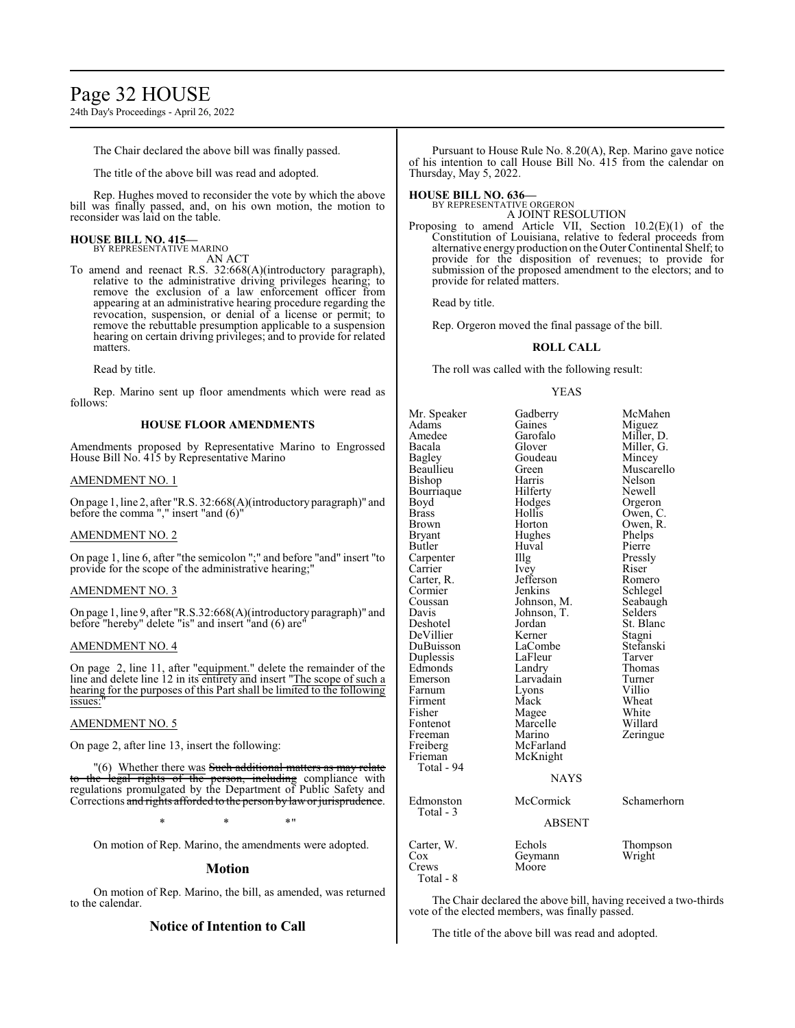24th Day's Proceedings - April 26, 2022

The Chair declared the above bill was finally passed.

The title of the above bill was read and adopted.

Rep. Hughes moved to reconsider the vote by which the above bill was finally passed, and, on his own motion, the motion to reconsider was laid on the table.

# **HOUSE BILL NO. 415—**

BY REPRESENTATIVE MARINO

- AN ACT To amend and reenact R.S. 32:668(A)(introductory paragraph), relative to the administrative driving privileges hearing; to remove the exclusion of a law enforcement officer from
	- appearing at an administrative hearing procedure regarding the revocation, suspension, or denial of a license or permit; to remove the rebuttable presumption applicable to a suspension hearing on certain driving privileges; and to provide for related matters.

Read by title.

Rep. Marino sent up floor amendments which were read as follows:

#### **HOUSE FLOOR AMENDMENTS**

Amendments proposed by Representative Marino to Engrossed House Bill No. 415 by Representative Marino

#### AMENDMENT NO. 1

On page 1, line 2, after "R.S. 32:668(A)(introductory paragraph)" and before the comma "," insert "and (6)"

### AMENDMENT NO. 2

On page 1, line 6, after "the semicolon ";" and before "and" insert "to provide for the scope of the administrative hearing;

#### AMENDMENT NO. 3

On page 1, line 9, after "R.S.32:668(A)(introductory paragraph)" and before "hereby" delete "is" and insert "and (6) are"

#### AMENDMENT NO. 4

On page 2, line 11, after "equipment." delete the remainder of the line and delete line 12 in its entirety and insert "The scope of such a hearing for the purposes of this Part shall be limited to the following issues:

#### AMENDMENT NO. 5

On page 2, after line 13, insert the following:

"(6) Whether there was Such additional matters as may relate to the legal rights of the person, including compliance with regulations promulgated by the Department of Public Safety and Corrections and rights afforded to the person by lawor jurisprudence.

 $*$  \*  $*$  \*

On motion of Rep. Marino, the amendments were adopted.

#### **Motion**

On motion of Rep. Marino, the bill, as amended, was returned to the calendar.

# **Notice of Intention to Call**

Pursuant to House Rule No. 8.20(A), Rep. Marino gave notice of his intention to call House Bill No. 415 from the calendar on Thursday, May 5, 2022.

#### **HOUSE BILL NO. 636—**

BY REPRESENTATIVE ORGERON A JOINT RESOLUTION

Proposing to amend Article VII, Section 10.2(E)(1) of the Constitution of Louisiana, relative to federal proceeds from alternative energy production on the Outer Continental Shelf; to provide for the disposition of revenues; to provide for submission of the proposed amendment to the electors; and to provide for related matters.

Read by title.

Rep. Orgeron moved the final passage of the bill.

#### **ROLL CALL**

The roll was called with the following result:

#### YEAS

| Mr. Speaker   | Gadberry      | McMahen     |
|---------------|---------------|-------------|
| Adams         | Gaines        | Miguez      |
| Amedee        | Garofalo      | Miller, D.  |
| Bacala        | Glover        | Miller, G.  |
| Bagley        | Goudeau       | Mincey      |
| Beaullieu     | Green         | Muscarello  |
| Bishop        | Harris        | Nelson      |
| Bourriaque    | Hilferty      | Newell      |
| Boyd          | Hodges        | Orgeron     |
| <b>Brass</b>  | Hollis        | Owen, C.    |
| Brown         | Horton        | Owen, R.    |
| <b>Bryant</b> | Hughes        | Phelps      |
| Butler        | Huval         | Pierre      |
| Carpenter     | Illg          | Pressly     |
| Carrier       | Ivey          | Riser       |
| Carter, R.    | Jefferson     | Romero      |
| Cormier       | Jenkins       | Schlegel    |
| Coussan       | Johnson, M.   | Seabaugh    |
| Davis         | Johnson, T.   | Selders     |
| Deshotel      | Jordan        | St. Blanc   |
| DeVillier     | Kerner        | Stagni      |
| DuBuisson     | LaCombe       | Stefanski   |
| Duplessis     | LaFleur       | Tarver      |
| Edmonds       | Landry        | Thomas      |
| Emerson       | Larvadain     | Turner      |
| Farnum        | Lyons         | Villio      |
| Firment       | Mack          | Wheat       |
| Fisher        | Magee         | White       |
| Fontenot      | Marcelle      | Willard     |
| Freeman       | Marino        | Zeringue    |
| Freiberg      | McFarland     |             |
| Frieman       | McKnight      |             |
| Total - 94    |               |             |
|               | <b>NAYS</b>   |             |
| Edmonston     | McCormick     | Schamerhorn |
| Total - 3     | <b>ABSENT</b> |             |
|               |               |             |
| Carter, W.    | Echols        | Thompson    |
| Cox           | Geymann       | Wright      |
| Crews         | Moore         |             |
| Total - 8     |               |             |

The Chair declared the above bill, having received a two-thirds vote of the elected members, was finally passed.

The title of the above bill was read and adopted.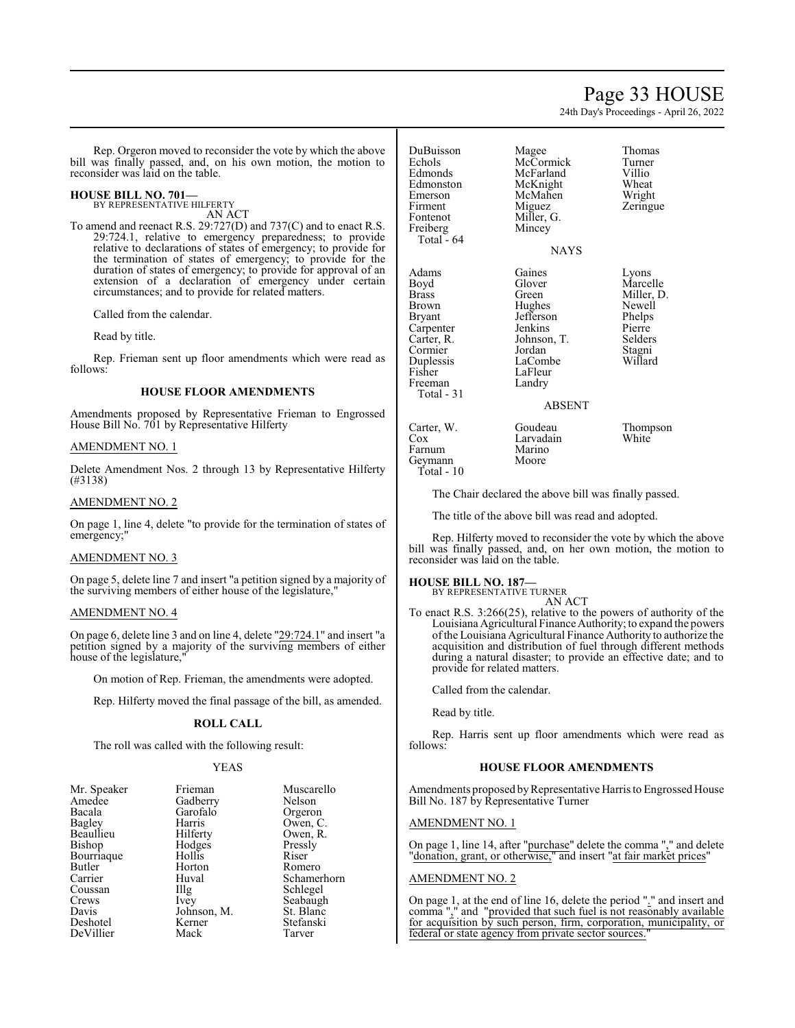# Page 33 HOUSE

24th Day's Proceedings - April 26, 2022

Rep. Orgeron moved to reconsider the vote by which the above bill was finally passed, and, on his own motion, the motion to reconsider was laid on the table.

# **HOUSE BILL NO. 701—**

BY REPRESENTATIVE HILFERTY AN ACT

To amend and reenact R.S. 29:727(D) and 737(C) and to enact R.S. 29:724.1, relative to emergency preparedness; to provide relative to declarations of states of emergency; to provide for the termination of states of emergency; to provide for the duration of states of emergency; to provide for approval of an extension of a declaration of emergency under certain circumstances; and to provide for related matters.

Called from the calendar.

Read by title.

Rep. Frieman sent up floor amendments which were read as follows:

### **HOUSE FLOOR AMENDMENTS**

Amendments proposed by Representative Frieman to Engrossed House Bill No. 701 by Representative Hilferty

### AMENDMENT NO. 1

Delete Amendment Nos. 2 through 13 by Representative Hilferty (#3138)

### AMENDMENT NO. 2

On page 1, line 4, delete "to provide for the termination of states of emergency;"

#### AMENDMENT NO. 3

On page 5, delete line 7 and insert "a petition signed by a majority of the surviving members of either house of the legislature,"

#### AMENDMENT NO. 4

On page 6, delete line 3 and on line 4, delete "29:724.1" and insert "a petition signed by a majority of the surviving members of either house of the legislature,

On motion of Rep. Frieman, the amendments were adopted.

Rep. Hilferty moved the final passage of the bill, as amended.

# **ROLL CALL**

The roll was called with the following result:

# YEAS

| Mr. Speaker   | Frieman     | Muscarello  |
|---------------|-------------|-------------|
| Amedee        | Gadberry    | Nelson      |
| Bacala        | Garofalo    | Orgeron     |
| <b>Bagley</b> | Harris      | Owen, C.    |
| Beaullieu     | Hilferty    | Owen, R.    |
| Bishop        | Hodges      | Pressly     |
| Bourriaque    | Hollis      | Riser       |
| Butler        | Horton      | Romero      |
| Carrier       | Huval       | Schamerhorn |
| Coussan       | Illg        | Schlegel    |
| Crews         | Ivey        | Seabaugh    |
| Davis         | Johnson, M. | St. Blanc   |
| Deshotel      | Kerner      | Stefanski   |
| DeVillier     | Mack        | Tarver      |

DuBuisson Magee Thomas Echols McCormick Turner<br>Edmonds McFarland Villio Edmonston McKnight Wheat<br>Emerson McMahen Wright Emerson McMahen<br>Firment Miguez Fontenot Miller, G.<br>Freiberg Mincey Freiberg Mincey Total - 64 Adams Gaines Lyons<br>
Boyd Glover Marce Boyd Glover Marcelle<br>Brass Green Miller, D Brass Green Miller, D.<br>Brown Hughes Newell Brown Hughes Newell<br>Bryant Jefferson Phelps Carpenter Jenkins Pierre<br>Carter, R. Johnson, T. Selders Cormier Jordan Stagni Duplessis LaCombe<br>
Fisher LaFleur Freeman Total - 31

McFarland Villio<br>
McKnight Wheat

LaFleur<br>Landry

Zeringue

**NAYS** 

Jefferson Phelps<br>Jenkins Pierre Johnson, T. Selders<br>Jordan Stagni

# ABSENT

Carter, W. Goudeau Thompson<br>
Cox Larvadain White Larvadain<br>Marino Farnum Marino<br>Geymann Moore

The Chair declared the above bill was finally passed.

The title of the above bill was read and adopted.

Rep. Hilferty moved to reconsider the vote by which the above bill was finally passed, and, on her own motion, the motion to reconsider was laid on the table.

# **HOUSE BILL NO. 187—**

Geymann Total - 10

> BY REPRESENTATIVE TURNER AN ACT

To enact R.S. 3:266(25), relative to the powers of authority of the Louisiana Agricultural Finance Authority; to expand the powers ofthe Louisiana Agricultural Finance Authority to authorize the acquisition and distribution of fuel through different methods during a natural disaster; to provide an effective date; and to provide for related matters.

Called from the calendar.

Read by title.

Rep. Harris sent up floor amendments which were read as follows:

#### **HOUSE FLOOR AMENDMENTS**

Amendments proposed by Representative Harris to Engrossed House Bill No. 187 by Representative Turner

#### AMENDMENT NO. 1

On page 1, line 14, after "purchase" delete the comma "," and delete "donation, grant, or otherwise," and insert "at fair market prices"

#### AMENDMENT NO. 2

On page 1, at the end of line 16, delete the period "." and insert and comma "," and "provided that such fuel is not reasonably available for acquisition by such person, firm, corporation, municipality, or federal or state agency from private sector sources.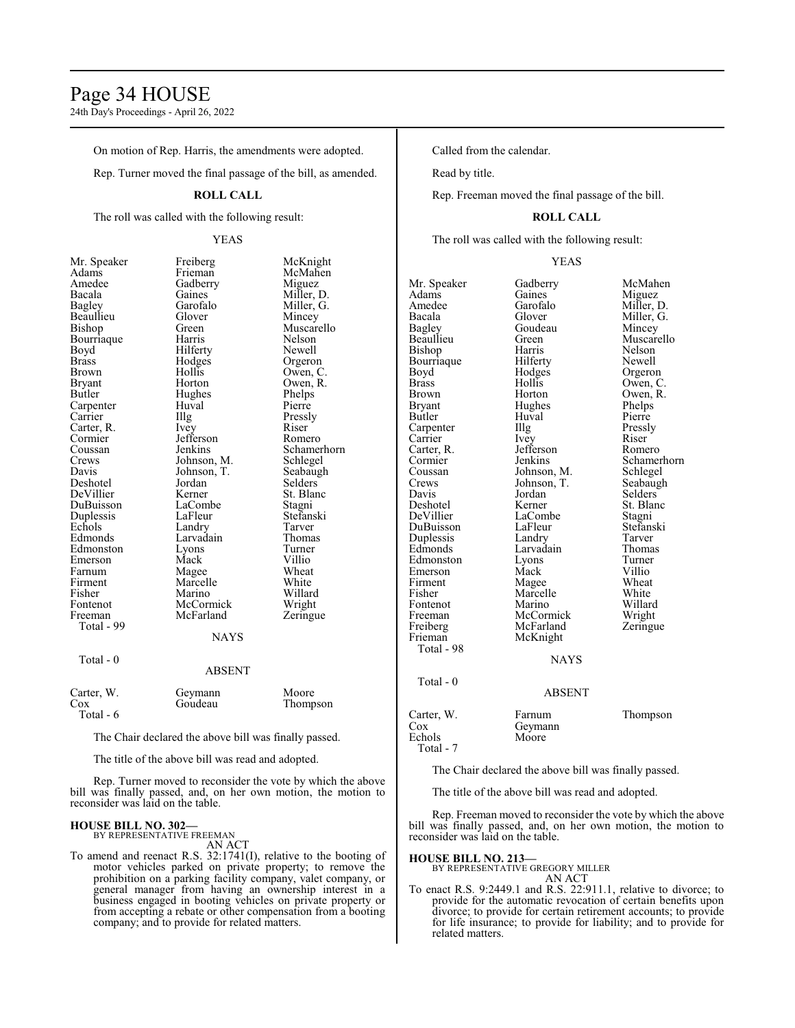# Page 34 HOUSE

24th Day's Proceedings - April 26, 2022

On motion of Rep. Harris, the amendments were adopted.

Rep. Turner moved the final passage of the bill, as amended.

#### **ROLL CALL**

The roll was called with the following result:

### YEAS

Amedee Gadberry<br>Bacala Gaines Brass Hodges<br>Brown Hollis Carpenter Huv<br>Carrier Huy Cormier Jefferson<br>Coussan Jenkins Total - 99 Total - 0

Mr. Speaker Freiberg McKnight Adams Frieman McMahen<br>Amedee Gadberry Miguez Bacala Gaines Miller, D.<br>Bagley Garofalo Miller, G. Garofalo Miller, G.<br>Glover Mincey Beaullieu Glover Mincey<br>Bishop Green Muscare Green Muscarello<br>Harris Nelson Bourriaque Harris Nelson Boyd Hilferty Newell<br>Brass Hodges Orgeron Brown Hollis Owen, C.<br>Bryant Horton Owen, R. Bryant Horton Owen, R.<br>Butler Hughes Phelps Hughes Phelps<br>Huval Pierre The Pressly<br>
Ivey Riser Carter, R. Ivey Riser Cormier Befferson Romero Coussan Jenkins Schamerhorn<br>Crews Johnson, M. Schlegel Crews Johnson, M. Schlegel<br>Davis Johnson, T. Seabaugh Johnson, T. Seabaug<br>Jordan Selders Deshotel Jordan Selders DeVillier Kerner St. Blanch<br>
DuBuisson LaCombe Stagni DuBuisson LaCombe Stagni<br>
Duplessis LaFleur Stefanski Duplessis LaFleur Stefans<br>
Echols Landry Tarver Echols Landry Tarver<br>
Edmonds Larvadain Thomas Larvadain Thoma<br>Lyons Turner Edmonston Lyons Turner<br>
Emerson Mack Villio Emerson Mack Villio<br>
Farnum Magee Wheat Farnum Magee Wheat<br>Firment Marcelle White Firment Marcelle White<br>
Fisher Marino Willard Fisher Marino Willard<br>Fontenot McCormick Wright Fontenot McCormick Wright<br>
Freeman McFarland Zeringue McFarland **NAYS** ABSENT

| Carter, W. | Geymann | Moore    |
|------------|---------|----------|
| Cox        | Goudeau | Thompson |
| Total - 6  |         |          |

The Chair declared the above bill was finally passed.

The title of the above bill was read and adopted.

Rep. Turner moved to reconsider the vote by which the above bill was finally passed, and, on her own motion, the motion to reconsider was laid on the table.

#### **HOUSE BILL NO. 302—** BY REPRESENTATIVE FREEMAN

AN ACT

To amend and reenact R.S. 32:1741(I), relative to the booting of motor vehicles parked on private property; to remove the prohibition on a parking facility company, valet company, or general manager from having an ownership interest in a business engaged in booting vehicles on private property or from accepting a rebate or other compensation from a booting company; and to provide for related matters.

Called from the calendar.

Read by title.

Rep. Freeman moved the final passage of the bill.

### **ROLL CALL**

The roll was called with the following result:

| Mr. Speaker  | Gadberry      | McMahen    |
|--------------|---------------|------------|
| Adams        | Gaines        | Miguez     |
| Amedee       | Garofalo      | Miller, D. |
| Bacala       | Glover        | Miller, G. |
| Bagley       | Goudeau       | Mincey     |
| Beaullieu    | Green         | Muscarello |
| Bishop       | Harris        | Nelson     |
| Bourriaque   | Hilferty      | Newell     |
| Boyd         | Hodges        | Orgeron    |
| <b>Brass</b> | Hollis        | Owen, C.   |
| <b>Brown</b> | Horton        | Owen, R.   |
| Bryant       | Hughes        | Phelps     |
| Butler       | Huval         | Pierre     |
| Carpenter    | Illg          | Pressly    |
| Carrier      | Ivey          | Riser      |
| Carter, R.   | Jefferson     | Romero     |
| Cormier      | Jenkins       | Schamerho  |
| Coussan      | Johnson, M.   | Schlegel   |
| Crews        | Johnson, T.   | Seabaugh   |
| Davis        | Jordan        | Selders    |
| Deshotel     | Kerner        | St. Blanc  |
| DeVillier    | LaCombe       | Stagni     |
| DuBuisson    | LaFleur       | Stefanski  |
| Duplessis    | Landry        | Tarver     |
| Edmonds      | Larvadain     | Thomas     |
| Edmonston    | Lyons         | Turner     |
| Emerson      | Mack          | Villio     |
| Firment      | Magee         | Wheat      |
| Fisher       | Marcelle      | White      |
| Fontenot     | Marino        | Willard    |
| Freeman      | McCormick     | Wright     |
| Freiberg     | McFarland     | Zeringue   |
| Frieman      | McKnight      |            |
| Total - 98   |               |            |
|              | <b>NAYS</b>   |            |
| Total - 0    |               |            |
|              | <b>ABSENT</b> |            |
| Carter, W.   | Farnum        | Thompson   |
| Cox          | Geymann       |            |
| Echols       | Moore         |            |
|              |               |            |

Miller, D. Pressly<br>Riser R<sub>omero</sub> Schamerhorn<br>M. Schlegel Schlegel Seabaugh Selders<sup>'</sup> St. Blanc Stagni Thomas Turner Villio Wheat<br>White Kanada Willard<br>Fontenot Maright

Carter, W. Farnum Thompson Total - 7

The Chair declared the above bill was finally passed.

The title of the above bill was read and adopted.

Rep. Freeman moved to reconsider the vote by which the above bill was finally passed, and, on her own motion, the motion to reconsider was laid on the table.

#### **HOUSE BILL NO. 213—**

BY REPRESENTATIVE GREGORY MILLER AN ACT

To enact R.S. 9:2449.1 and R.S. 22:911.1, relative to divorce; to provide for the automatic revocation of certain benefits upon divorce; to provide for certain retirement accounts; to provide for life insurance; to provide for liability; and to provide for related matters.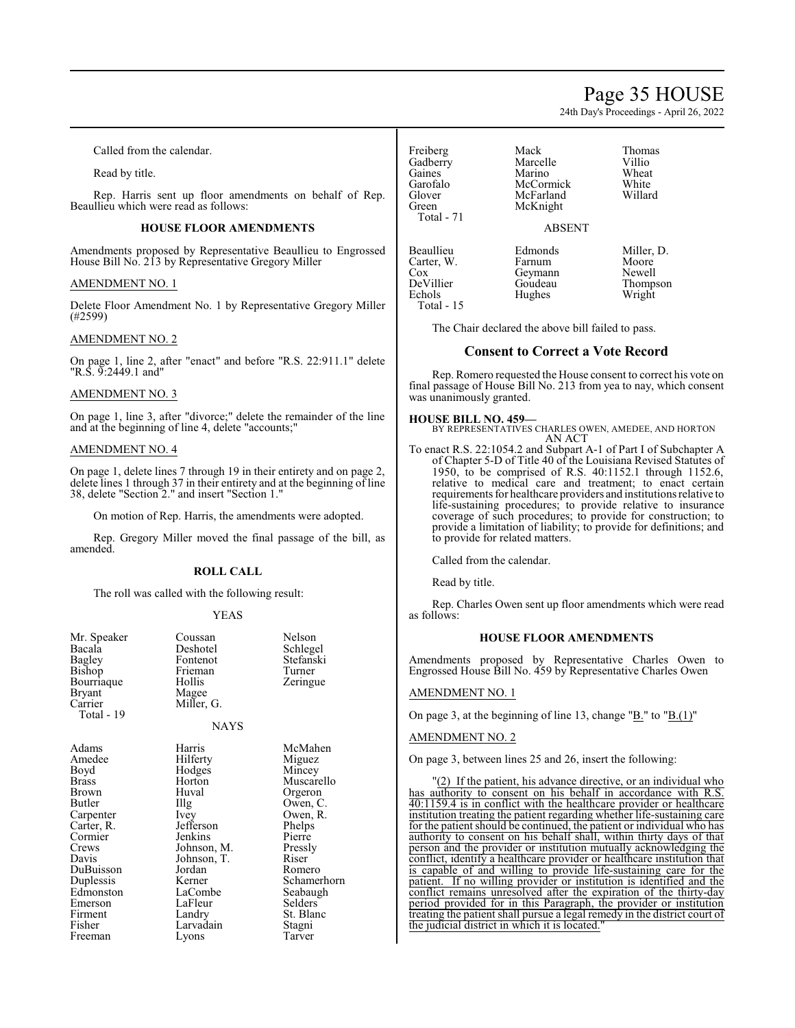# Page 35 HOUSE

24th Day's Proceedings - April 26, 2022

Called from the calendar.

Read by title.

Rep. Harris sent up floor amendments on behalf of Rep. Beaullieu which were read as follows:

# **HOUSE FLOOR AMENDMENTS**

Amendments proposed by Representative Beaullieu to Engrossed House Bill No. 213 by Representative Gregory Miller

### AMENDMENT NO. 1

Delete Floor Amendment No. 1 by Representative Gregory Miller (#2599)

# AMENDMENT NO. 2

On page 1, line 2, after "enact" and before "R.S. 22:911.1" delete "R.S. 9:2449.1 and"

# AMENDMENT NO. 3

On page 1, line 3, after "divorce;" delete the remainder of the line and at the beginning of line 4, delete "accounts;"

# AMENDMENT NO. 4

On page 1, delete lines 7 through 19 in their entirety and on page 2, delete lines 1 through 37 in their entirety and at the beginning of line 38, delete "Section 2." and insert "Section 1."

On motion of Rep. Harris, the amendments were adopted.

Rep. Gregory Miller moved the final passage of the bill, as amended.

#### **ROLL CALL**

The roll was called with the following result:

#### YEAS

| Mr. Speaker<br>Bacala<br>Bagley<br>Bishop<br>Bourriaque<br><b>Bryant</b><br>Carrier<br>Total - 19 | Coussan<br>Deshotel<br>Fontenot<br>Frieman<br>Hollis<br>Magee<br>Miller, G.<br><b>NAYS</b> | Nelson<br>Schlegel<br>Stefanski<br>Turner<br>Zeringue |
|---------------------------------------------------------------------------------------------------|--------------------------------------------------------------------------------------------|-------------------------------------------------------|
| Adams                                                                                             | Harris                                                                                     | McMahen                                               |
| Amedee                                                                                            | Hilferty                                                                                   | Miguez                                                |
| Boyd                                                                                              | Hodges                                                                                     | Mincey                                                |
| <b>Brass</b>                                                                                      | Horton                                                                                     | Muscarello                                            |
| Brown                                                                                             | Huval                                                                                      | Orgeron                                               |
| Butler                                                                                            | Illg                                                                                       | Owen, C.                                              |
| Carpenter                                                                                         | Ivey                                                                                       | Owen, R.                                              |
| Carter, R.                                                                                        | Jefferson                                                                                  | Phelps                                                |
| Cormier                                                                                           | Jenkins                                                                                    | Pierre                                                |
| Crews                                                                                             | Johnson, M.                                                                                | Pressly                                               |
| Davis                                                                                             | Johnson, T.                                                                                | Riser                                                 |
| DuBuisson                                                                                         | Jordan                                                                                     | Romero                                                |
| Duplessis                                                                                         | Kerner                                                                                     | Schamerhorn                                           |
| Edmonston                                                                                         | LaCombe                                                                                    | Seabaugh                                              |
| Emerson                                                                                           | LaFleur                                                                                    | Selders                                               |
| Firment                                                                                           | Landry                                                                                     | St. Blanc                                             |
| Fisher                                                                                            | Larvadain                                                                                  | Stagni                                                |
| Freeman                                                                                           | Lyons                                                                                      | Tarver                                                |

Freiberg Mack Thomas<br>
Gadberry Marcelle Villio Gadberry Marcelle Villio<br>Gaines Marino Wheat Gaines Marino Wheat Garofalo McCormick White<br>Glover McFarland Willard Glover McFarland<br>Green McKnight Total - 71

McKnight

#### ABSENT

Beaullieu Edmonds Miller, D.<br>Carter W. Farnum Moore Carter, W. Farnum Moore<br>Cox Geymann Newell Cox Geymann<br>DeVillier Goudeau DeVillier Goudeau Thompson Total - 15

The Chair declared the above bill failed to pass.

Hughes

### **Consent to Correct a Vote Record**

Rep. Romero requested the House consent to correct his vote on final passage of House Bill No. 213 from yea to nay, which consent was unanimously granted.

**HOUSE BILL NO. 459—** BY REPRESENTATIVES CHARLES OWEN, AMEDEE, AND HORTON AN ACT

To enact R.S. 22:1054.2 and Subpart A-1 of Part I of Subchapter A of Chapter 5-D of Title 40 of the Louisiana Revised Statutes of 1950, to be comprised of R.S. 40:1152.1 through 1152.6, relative to medical care and treatment; to enact certain requirements for healthcare providers and institutions relative to life-sustaining procedures; to provide relative to insurance coverage of such procedures; to provide for construction; to provide a limitation of liability; to provide for definitions; and to provide for related matters.

Called from the calendar.

Read by title.

Rep. Charles Owen sent up floor amendments which were read as follows:

#### **HOUSE FLOOR AMENDMENTS**

Amendments proposed by Representative Charles Owen to Engrossed House Bill No. 459 by Representative Charles Owen

# AMENDMENT NO. 1

On page 3, at the beginning of line 13, change "B." to "B.(1)"

#### AMENDMENT NO. 2

On page 3, between lines 25 and 26, insert the following:

 $(2)$  If the patient, his advance directive, or an individual who has authority to consent on his behalf in accordance with R.S. 40:1159.4 is in conflict with the healthcare provider or healthcare institution treating the patient regarding whether life-sustaining care for the patient should be continued, the patient or individual who has authority to consent on his behalf shall, within thirty days of that person and the provider or institution mutually acknowledging the conflict, identify a healthcare provider or healthcare institution that is capable of and willing to provide life-sustaining care for the patient. If no willing provider or institution is identified and the conflict remains unresolved after the expiration of the thirty-day period provided for in this Paragraph, the provider or institution treating the patient shall pursue a legal remedy in the district court of the judicial district in which it is located."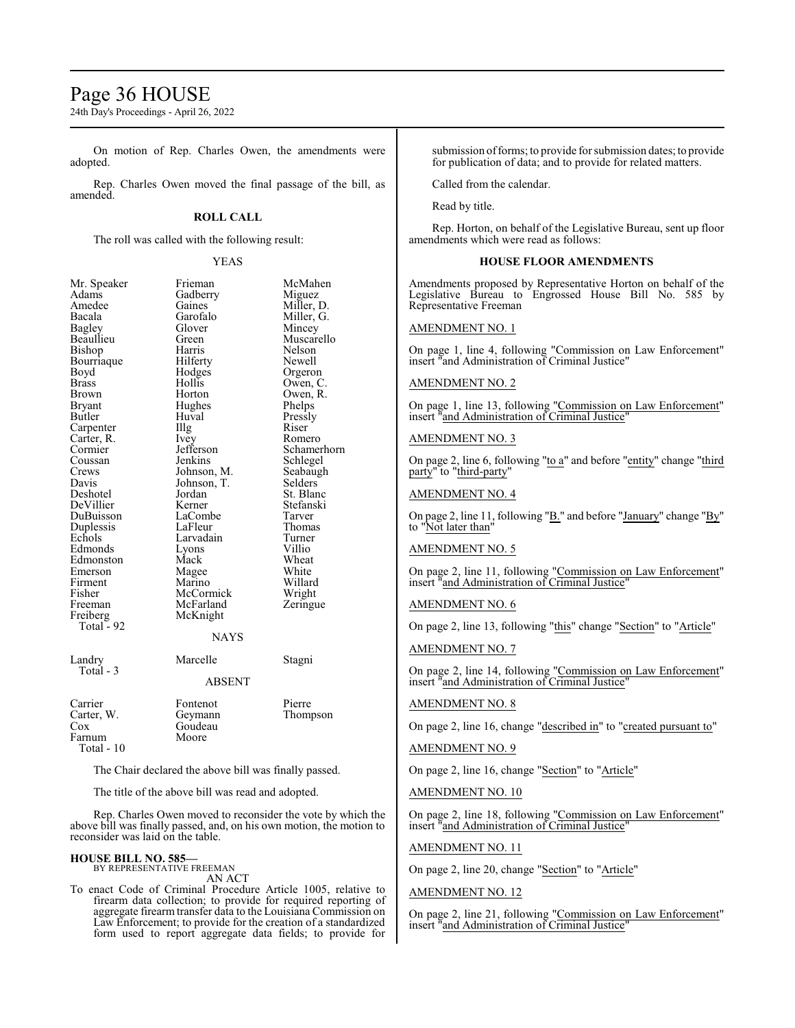# Page 36 HOUSE

24th Day's Proceedings - April 26, 2022

On motion of Rep. Charles Owen, the amendments were adopted.

Rep. Charles Owen moved the final passage of the bill, as amended.

#### **ROLL CALL**

The roll was called with the following result:

#### YEAS

| Mr. Speaker  | Frieman       | McMahen     |
|--------------|---------------|-------------|
| Adams        | Gadberry      | Miguez      |
| Amedee       | Gaines        | Miller, D.  |
| Bacala       | Garofalo      | Miller, G.  |
| Bagley       | Glover        | Mincey      |
| Beaullieu    | Green         | Muscarello  |
| Bishop       | Harris        | Nelson      |
| Bourriaque   | Hilferty      | Newell      |
| Boyd         | Hodges        | Orgeron     |
| <b>Brass</b> | Hollis        | Owen, C.    |
| Brown        | Horton        | Owen, R.    |
| Bryant       | Hughes        | Phelps      |
| Butler       | Huval         | Pressly     |
| Carpenter    | Illg          | Riser       |
| Carter, R.   | Ivey          | Romero      |
| Cormier      | Jefferson     | Schamerhorn |
| Coussan      | Jenkins       | Schlegel    |
| Crews        | Johnson, M.   | Seabaugh    |
| Davis        | Johnson, T.   | Selders     |
| Deshotel     | Jordan        | St. Blanc   |
| DeVillier    | Kerner        | Stefanski   |
| DuBuisson    | LaCombe       | Tarver      |
| Duplessis    | LaFleur       | Thomas      |
| Echols       | Larvadain     | Turner      |
| Edmonds      | Lyons         | Villio      |
| Edmonston    | Mack          | Wheat       |
| Emerson      | Magee         | White       |
| Firment      | Marino        | Willard     |
| Fisher       | McCormick     | Wright      |
| Freeman      | McFarland     | Zeringue    |
| Freiberg     | McKnight      |             |
| Total - 92   |               |             |
|              | <b>NAYS</b>   |             |
| Landry       | Marcelle      | Stagni      |
| Total - 3    |               |             |
|              | <b>ABSENT</b> |             |
| Carrier      | Fontenot      | Pierre      |
| Carter, W.   | Geymann       | Thompson    |
| Cox          | Goudeau       |             |
| Farnum       | Moore         |             |
| $Total - 10$ |               |             |

The Chair declared the above bill was finally passed.

The title of the above bill was read and adopted.

Rep. Charles Owen moved to reconsider the vote by which the above bill was finally passed, and, on his own motion, the motion to reconsider was laid on the table.

# **HOUSE BILL NO. 585—**

BY REPRESENTATIVE FREEMAN AN ACT

To enact Code of Criminal Procedure Article 1005, relative to firearm data collection; to provide for required reporting of aggregate firearm transfer data to the Louisiana Commission on Law Enforcement; to provide for the creation of a standardized form used to report aggregate data fields; to provide for

submission of forms; to provide for submission dates; to provide for publication of data; and to provide for related matters.

Called from the calendar.

Read by title.

Rep. Horton, on behalf of the Legislative Bureau, sent up floor amendments which were read as follows:

# **HOUSE FLOOR AMENDMENTS**

Amendments proposed by Representative Horton on behalf of the Legislative Bureau to Engrossed House Bill No. 585 by Representative Freeman

#### AMENDMENT NO. 1

On page 1, line 4, following "Commission on Law Enforcement" insert "and Administration of Criminal Justice"

#### AMENDMENT NO. 2

On page 1, line 13, following "Commission on Law Enforcement" insert "and Administration of Criminal Justice"

#### AMENDMENT NO. 3

On page 2, line 6, following "to a" and before "entity" change "third party" to "third-party"

#### AMENDMENT NO. 4

On page 2, line 11, following "B." and before "January" change "By" to "Not later than"

#### AMENDMENT NO. 5

On page 2, line 11, following "Commission on Law Enforcement" insert "and Administration of Criminal Justice"

#### AMENDMENT NO. 6

On page 2, line 13, following "this" change "Section" to "Article"

#### AMENDMENT NO. 7

On page 2, line 14, following "Commission on Law Enforcement" insert "and Administration of Criminal Justice"

# AMENDMENT NO. 8

On page 2, line 16, change "described in" to "created pursuant to"

#### AMENDMENT NO. 9

On page 2, line 16, change "Section" to "Article"

### AMENDMENT NO. 10

On page 2, line 18, following "Commission on Law Enforcement" insert "and Administration of Criminal Justice"

## AMENDMENT NO. 11

On page 2, line 20, change "Section" to "Article"

#### AMENDMENT NO. 12

On page 2, line 21, following "Commission on Law Enforcement" insert "and Administration of Criminal Justice"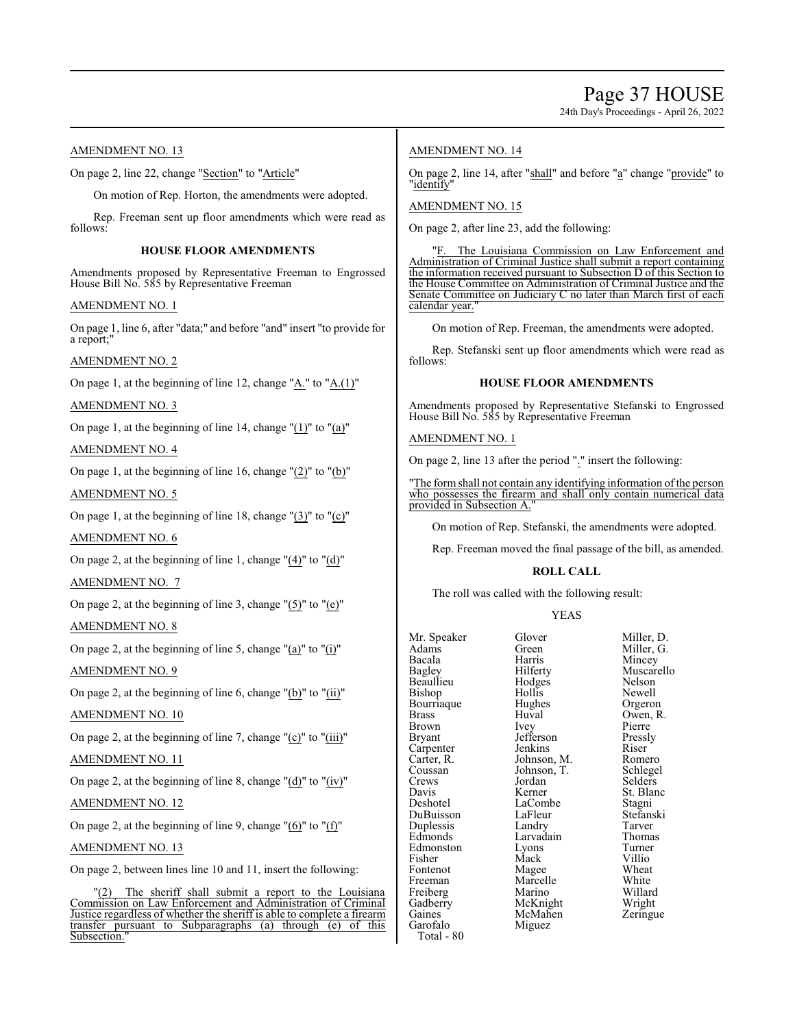24th Day's Proceedings - April 26, 2022

# AMENDMENT NO. 13

On page 2, line 22, change "Section" to "Article"

On motion of Rep. Horton, the amendments were adopted.

Rep. Freeman sent up floor amendments which were read as follows:

# **HOUSE FLOOR AMENDMENTS**

Amendments proposed by Representative Freeman to Engrossed House Bill No. 585 by Representative Freeman

#### AMENDMENT NO. 1

On page 1, line 6, after "data;" and before "and" insert "to provide for a report;"

# AMENDMENT NO. 2

On page 1, at the beginning of line 12, change " $\underline{A}$ ." to " $\underline{A}$ .(1)"

AMENDMENT NO. 3

On page 1, at the beginning of line 14, change "(1)" to "(a)"

# AMENDMENT NO. 4

On page 1, at the beginning of line 16, change "(2)" to "(b)"

### AMENDMENT NO. 5

On page 1, at the beginning of line 18, change  $\Gamma(3)$ " to  $\Gamma(c)$ "

### AMENDMENT NO. 6

On page 2, at the beginning of line 1, change  $(4)$ " to  $(4)$ "

#### AMENDMENT NO. 7

On page 2, at the beginning of line 3, change "(5)" to "(e)"

# AMENDMENT NO. 8

On page 2, at the beginning of line 5, change "(a)" to "(i)"

#### AMENDMENT NO. 9

On page 2, at the beginning of line 6, change " $(b)$ " to " $(ii)$ "

# AMENDMENT NO. 10

On page 2, at the beginning of line 7, change "(c)" to "(iii)"

### AMENDMENT NO. 11

On page 2, at the beginning of line 8, change " $(d)$ " to " $(iv)$ "

#### AMENDMENT NO. 12

On page 2, at the beginning of line 9, change  $"(6)"$  to  $"(f)"$ 

#### AMENDMENT NO. 13

On page 2, between lines line 10 and 11, insert the following:

"(2) The sheriff shall submit a report to the Louisiana Commission on Law Enforcement and Administration of Criminal Justice regardless of whether the sheriff is able to complete a firearm transfer pursuant to Subparagraphs (a) through (e) of this Subsection.

# AMENDMENT NO. 14

On page 2, line 14, after "shall" and before "a" change "provide" to "identify"

# AMENDMENT NO. 15

On page 2, after line 23, add the following:

The Louisiana Commission on Law Enforcement and Administration of Criminal Justice shall submit a report containing the information received pursuant to Subsection D of this Section to the House Committee on Administration of Criminal Justice and the Senate Committee on Judiciary C no later than March first of each calendar year.

On motion of Rep. Freeman, the amendments were adopted.

Rep. Stefanski sent up floor amendments which were read as follows:

# **HOUSE FLOOR AMENDMENTS**

Amendments proposed by Representative Stefanski to Engrossed House Bill No. 585 by Representative Freeman

#### AMENDMENT NO. 1

On page 2, line 13 after the period "." insert the following:

"The form shall not contain any identifying information of the person who possesses the firearm and shall only contain numerical data provided in Subsection A.

On motion of Rep. Stefanski, the amendments were adopted.

Rep. Freeman moved the final passage of the bill, as amended.

#### **ROLL CALL**

The roll was called with the following result:

#### YEAS

| Mr. Speaker | Glover      | Miller |
|-------------|-------------|--------|
| Adams       | Green       | Miller |
| Bacala      | Harris      | Mince  |
| Bagley      | Hilferty    | Musc   |
| Beaullieu   | Hodges      | Nelso  |
| Bishop      | Hollis      | Newe   |
| Bourriaque  | Hughes      | Orger  |
| Brass       | Huval       | Owen   |
| Brown       | Ivey        | Pierre |
| Bryant      | Jefferson   | Pressl |
| Carpenter   | Jenkins     | Riser  |
| Carter, R.  | Johnson, M. | Rome   |
| Coussan     | Johnson, T. | Schle  |
| Crews       | Jordan      | Seldei |
| Davis       | Kerner      | St. Bl |
| Deshotel    | LaCombe     | Stagn  |
| DuBuisson   | LaFleur     | Stefar |
| Duplessis   | Landry      | Tarve  |
| Edmonds     | Larvadain   | Thom   |
| Edmonston   | Lyons       | Turne  |
| Fisher      | Mack        | Villio |
| Fontenot    | Magee       | Whea   |
| Freeman     | Marcelle    | White  |
| Freiberg    | Marino      | Willar |
| Gadberry    | McKnight    | Wrigh  |
| Gaines      | McMahen     | Zering |
| Garofalo    | Miguez      |        |
| $\Omega$    |             |        |

Glover Miller, D.<br>Green Miller, G. Green Miller, G.<br>Harris Mincey Harris Mincey<br>Hilferty Muscare Muscarello<br>Nelson Hollis Newell<br>Hughes Orgero Hughes Orgeron<br>Huval Owen, R Huval Owen, R.<br>Ivey Pierre Pierre<br>Pressly Jefferson Pressl<br>Jenkins Riser Jenkins Riser<br>Johnson, M. Romero Johnson, M. Romero<br>Johnson, T. Schlegel Jordan Selders<br>Kerner St. Blan St. Blanc<br>Stagni Stefanski<br>Tarver Landry Tarver<br>
Larvadain Thomas Lyons Turner<br>
Mack Villio Magee Wheat<br>
Marcelle White Marcelle White<br>Marino Willard Marino Willard<br>
McKnight Wright McKnight<br>
McMahen Zeringue

Total - 80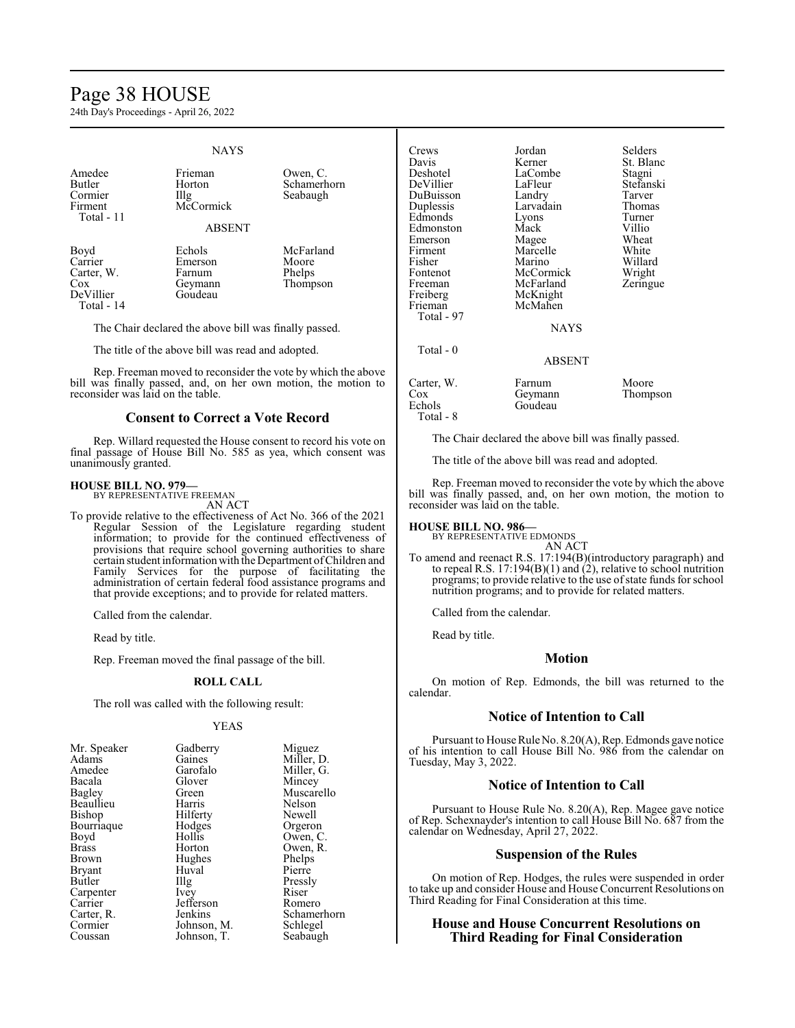# Page 38 HOUSE

24th Day's Proceedings - April 26, 2022

### **NAYS**

| Amedee<br>Butler<br>Cormier<br>Firment<br>Total - 11            | Frieman<br>Horton<br>$\prod$ llg<br>McCormick<br><b>ABSENT</b> | Owen, C.<br>Schamerhorn<br>Seabaugh      |
|-----------------------------------------------------------------|----------------------------------------------------------------|------------------------------------------|
| Boyd<br>Carrier<br>Carter, W.<br>Cox<br>DeVillier<br>Total - 14 | Echols<br>Emerson<br>Farnum<br>Geymann<br>Goudeau              | McFarland<br>Moore<br>Phelps<br>Thompson |

The Chair declared the above bill was finally passed.

The title of the above bill was read and adopted.

Rep. Freeman moved to reconsider the vote by which the above bill was finally passed, and, on her own motion, the motion to reconsider was laid on the table.

# **Consent to Correct a Vote Record**

Rep. Willard requested the House consent to record his vote on final passage of House Bill No. 585 as yea, which consent was unanimously granted.

#### **HOUSE BILL NO. 979—** BY REPRESENTATIVE FREEMAN

AN ACT

To provide relative to the effectiveness of Act No. 366 of the 2021 Regular Session of the Legislature regarding student information; to provide for the continued effectiveness of provisions that require school governing authorities to share certain student information with the Department ofChildren and Family Services for the purpose of facilitating the administration of certain federal food assistance programs and that provide exceptions; and to provide for related matters.

Called from the calendar.

Read by title.

Rep. Freeman moved the final passage of the bill.

#### **ROLL CALL**

The roll was called with the following result:

#### YEAS

| Mr. Speaker   | Gadberry    | Miguez      |
|---------------|-------------|-------------|
| Adams         | Gaines      | Miller, D.  |
| Amedee        | Garofalo    | Miller, G.  |
| Bacala        | Glover      | Mincey      |
| Bagley        | Green       | Muscarello  |
| Beaullieu     | Harris      | Nelson      |
| Bishop        | Hilferty    | Newell      |
| Bourriaque    | Hodges      | Orgeron     |
| Boyd          | Hollis      | Owen, C.    |
| <b>Brass</b>  | Horton      | Owen, R.    |
| Brown         | Hughes      | Phelps      |
| <b>Bryant</b> | Huval       | Pierre      |
| Butler        | Illg        | Pressly     |
| Carpenter     | Ivey        | Riser       |
| Carrier       | Jefferson   | Romero      |
| Carter, R.    | Jenkins     | Schamerhorn |
| Cormier       | Johnson, M. | Schlegel    |
| Coussan       | Johnson, T. | Seabaugh    |

| Crews      | Jordan    | Selders   |
|------------|-----------|-----------|
| Davis      | Kerner    | St. Blanc |
| Deshotel   | LaCombe   | Stagni    |
| DeVillier  | LaFleur   | Stefanski |
| DuBuisson  | Landry    | Tarver    |
| Duplessis  | Larvadain | Thomas    |
| Edmonds    | Lyons     | Turner    |
| Edmonston  | Mack      | Villio    |
| Emerson    | Magee     | Wheat     |
| Firment    | Marcelle  | White     |
| Fisher     | Marino    | Willard   |
| Fontenot   | McCormick | Wright    |
| Freeman    | McFarland | Zeringue  |
| Freiberg   | McKnight  |           |
| Frieman    | McMahen   |           |
| Total - 97 |           |           |
|            | NAYS      |           |
| Total - 0  |           |           |
|            | ABSENT    |           |
| Carter, W. | Farnum    | Moore     |
| Cox        | Geymann   | Thompson  |
| Echols     | Goudeau   |           |
| Total - 8  |           |           |

The Chair declared the above bill was finally passed.

The title of the above bill was read and adopted.

Rep. Freeman moved to reconsider the vote by which the above bill was finally passed, and, on her own motion, the motion to reconsider was laid on the table.

# **HOUSE BILL NO. 986—** BY REPRESENTATIVE EDMONDS

AN ACT

To amend and reenact R.S. 17:194(B)(introductory paragraph) and to repeal R.S. 17:194(B)(1) and (2), relative to school nutrition programs; to provide relative to the use of state funds for school nutrition programs; and to provide for related matters.

Called from the calendar.

Read by title.

#### **Motion**

On motion of Rep. Edmonds, the bill was returned to the calendar.

### **Notice of Intention to Call**

Pursuant to House Rule No. 8.20(A), Rep. Edmonds gave notice of his intention to call House Bill No. 986 from the calendar on Tuesday, May 3, 2022.

#### **Notice of Intention to Call**

Pursuant to House Rule No. 8.20(A), Rep. Magee gave notice of Rep. Schexnayder's intention to call House Bill No. 687 from the calendar on Wednesday, April 27, 2022.

### **Suspension of the Rules**

On motion of Rep. Hodges, the rules were suspended in order to take up and consider House and House Concurrent Resolutions on Third Reading for Final Consideration at this time.

### **House and House Concurrent Resolutions on Third Reading for Final Consideration**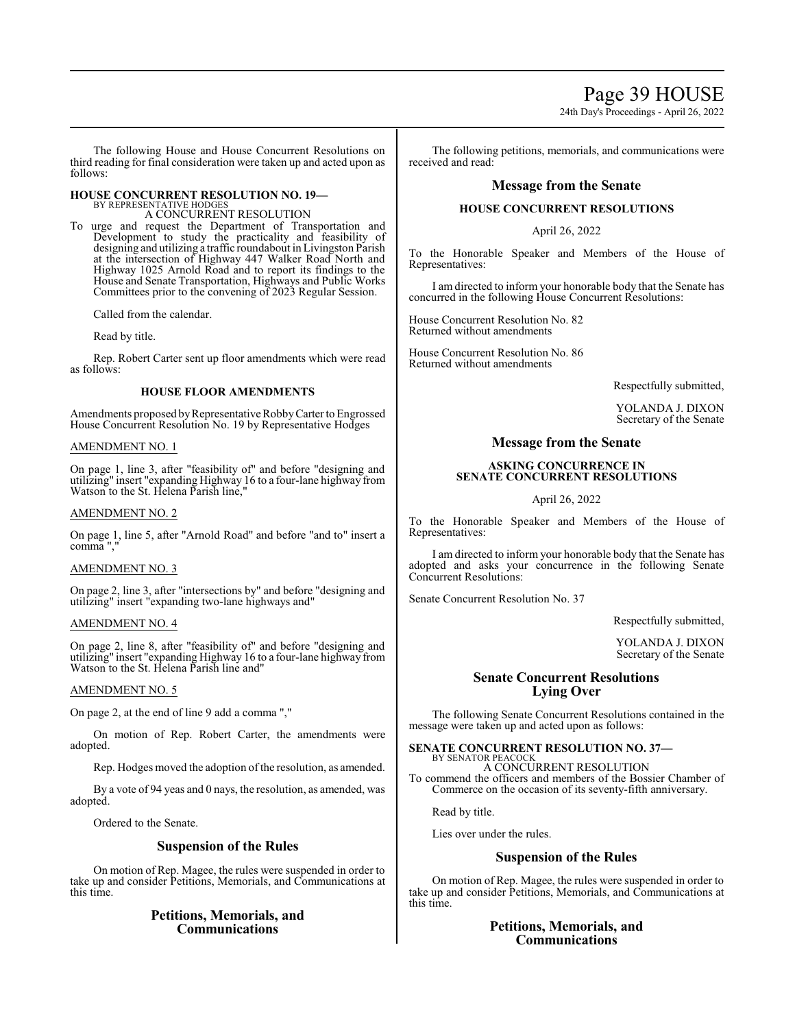# Page 39 HOUSE

24th Day's Proceedings - April 26, 2022

The following House and House Concurrent Resolutions on third reading for final consideration were taken up and acted upon as follows:

# **HOUSE CONCURRENT RESOLUTION NO. 19—**

BY REPRESENTATIVE HODGES A CONCURRENT RESOLUTION

To urge and request the Department of Transportation and Development to study the practicality and feasibility of designing and utilizing a traffic roundabout in Livingston Parish at the intersection of Highway 447 Walker Road North and Highway 1025 Arnold Road and to report its findings to the House and Senate Transportation, Highways and Public Works Committees prior to the convening of 2023 Regular Session.

Called from the calendar.

Read by title.

Rep. Robert Carter sent up floor amendments which were read as follows:

### **HOUSE FLOOR AMENDMENTS**

Amendments proposed by Representative Robby Carter to Engrossed House Concurrent Resolution No. 19 by Representative Hodges

#### AMENDMENT NO. 1

On page 1, line 3, after "feasibility of" and before "designing and utilizing" insert "expanding Highway 16 to a four-lane highway from Watson to the St. Helena Parish line,"

#### AMENDMENT NO. 2

On page 1, line 5, after "Arnold Road" and before "and to" insert a comma ","

#### AMENDMENT NO. 3

On page 2, line 3, after "intersections by" and before "designing and utilizing" insert "expanding two-lane highways and"

#### AMENDMENT NO. 4

On page 2, line 8, after "feasibility of" and before "designing and utilizing" insert "expanding Highway 16 to a four-lane highway from Watson to the St. Helena Parish line and"

#### AMENDMENT NO. 5

On page 2, at the end of line 9 add a comma ","

On motion of Rep. Robert Carter, the amendments were adopted.

Rep. Hodges moved the adoption of the resolution, as amended.

By a vote of 94 yeas and 0 nays, the resolution, as amended, was adopted.

Ordered to the Senate.

# **Suspension of the Rules**

On motion of Rep. Magee, the rules were suspended in order to take up and consider Petitions, Memorials, and Communications at this time.

# **Petitions, Memorials, and Communications**

The following petitions, memorials, and communications were received and read:

# **Message from the Senate**

### **HOUSE CONCURRENT RESOLUTIONS**

April 26, 2022

To the Honorable Speaker and Members of the House of Representatives:

I am directed to inform your honorable body that the Senate has concurred in the following House Concurrent Resolutions:

House Concurrent Resolution No. 82 Returned without amendments

House Concurrent Resolution No. 86 Returned without amendments

Respectfully submitted,

YOLANDA J. DIXON Secretary of the Senate

# **Message from the Senate**

# **ASKING CONCURRENCE IN SENATE CONCURRENT RESOLUTIONS**

April 26, 2022

To the Honorable Speaker and Members of the House of Representatives:

I am directed to inform your honorable body that the Senate has adopted and asks your concurrence in the following Senate Concurrent Resolutions:

Senate Concurrent Resolution No. 37

Respectfully submitted,

YOLANDA J. DIXON Secretary of the Senate

# **Senate Concurrent Resolutions Lying Over**

The following Senate Concurrent Resolutions contained in the message were taken up and acted upon as follows:

**SENATE CONCURRENT RESOLUTION NO. 37—** BY SENATOR PEACOC

A CONCURRENT RESOLUTION To commend the officers and members of the Bossier Chamber of Commerce on the occasion of its seventy-fifth anniversary.

Read by title.

Lies over under the rules.

### **Suspension of the Rules**

On motion of Rep. Magee, the rules were suspended in order to take up and consider Petitions, Memorials, and Communications at this time.

# **Petitions, Memorials, and Communications**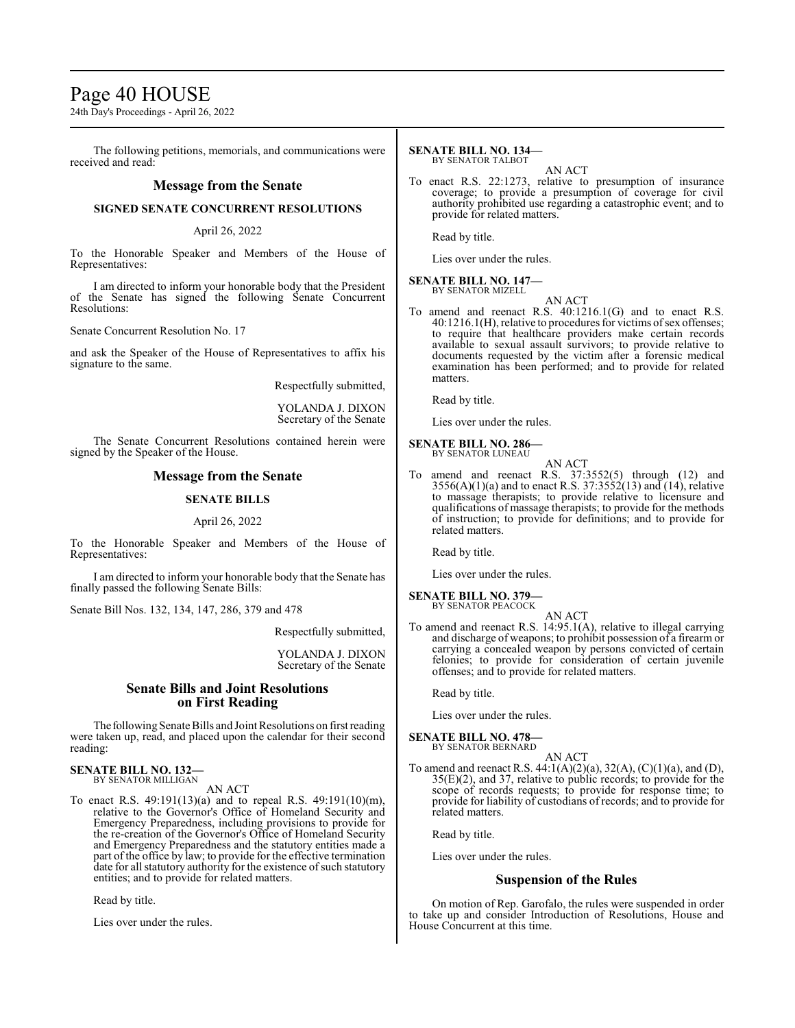# Page 40 HOUSE

24th Day's Proceedings - April 26, 2022

The following petitions, memorials, and communications were received and read:

# **Message from the Senate**

#### **SIGNED SENATE CONCURRENT RESOLUTIONS**

#### April 26, 2022

To the Honorable Speaker and Members of the House of Representatives:

I am directed to inform your honorable body that the President of the Senate has signed the following Senate Concurrent Resolutions:

Senate Concurrent Resolution No. 17

and ask the Speaker of the House of Representatives to affix his signature to the same.

Respectfully submitted,

YOLANDA J. DIXON Secretary of the Senate

The Senate Concurrent Resolutions contained herein were signed by the Speaker of the House.

# **Message from the Senate**

### **SENATE BILLS**

#### April 26, 2022

To the Honorable Speaker and Members of the House of Representatives:

I am directed to inform your honorable body that the Senate has finally passed the following Senate Bills:

Senate Bill Nos. 132, 134, 147, 286, 379 and 478

Respectfully submitted,

YOLANDA J. DIXON Secretary of the Senate

### **Senate Bills and Joint Resolutions on First Reading**

The following Senate Bills and Joint Resolutions on first reading were taken up, read, and placed upon the calendar for their second reading:

#### **SENATE BILL NO. 132—** BY SENATOR MILLIGAN

AN ACT

To enact R.S. 49:191(13)(a) and to repeal R.S. 49:191(10)(m), relative to the Governor's Office of Homeland Security and Emergency Preparedness, including provisions to provide for the re-creation of the Governor's Office of Homeland Security and Emergency Preparedness and the statutory entities made a part of the office by law; to provide for the effective termination date for all statutory authority for the existence of such statutory entities; and to provide for related matters.

Read by title.

Lies over under the rules.

#### **SENATE BILL NO. 134—** BY SENATOR TALBOT

AN ACT

To enact R.S. 22:1273, relative to presumption of insurance coverage; to provide a presumption of coverage for civil authority prohibited use regarding a catastrophic event; and to provide for related matters.

Read by title.

Lies over under the rules.

#### **SENATE BILL NO. 147—** BY SENATOR MIZELL

AN ACT

To amend and reenact R.S. 40:1216.1(G) and to enact R.S. 40:1216.1(H), relative to procedures for victims of sex offenses; to require that healthcare providers make certain records available to sexual assault survivors; to provide relative to documents requested by the victim after a forensic medical examination has been performed; and to provide for related matters.

Read by title.

Lies over under the rules.

#### **SENATE BILL NO. 286—** BY SENATOR LUNEAU

- AN ACT To amend and reenact R.S. 37:3552(5) through (12) and  $3556(A)(1)(a)$  and to enact R.S.  $37:3552(13)$  and  $(14)$ , relative to massage therapists; to provide relative to licensure and
- qualifications of massage therapists; to provide for the methods of instruction; to provide for definitions; and to provide for related matters.

Read by title.

Lies over under the rules.

#### **SENATE BILL NO. 379—** BY SENATOR PEACOCK

- AN ACT
- To amend and reenact R.S. 14:95.1(A), relative to illegal carrying and discharge of weapons; to prohibit possession of a firearm or carrying a concealed weapon by persons convicted of certain felonies; to provide for consideration of certain juvenile offenses; and to provide for related matters.

Read by title.

Lies over under the rules.

#### **SENATE BILL NO. 478—** BY SENATOR BERNARD

AN ACT

To amend and reenact R.S. 44:1(A)(2)(a), 32(A), (C)(1)(a), and (D), 35(E)(2), and 37, relative to public records; to provide for the scope of records requests; to provide for response time; to provide for liability of custodians of records; and to provide for related matters.

Read by title.

Lies over under the rules.

# **Suspension of the Rules**

On motion of Rep. Garofalo, the rules were suspended in order to take up and consider Introduction of Resolutions, House and House Concurrent at this time.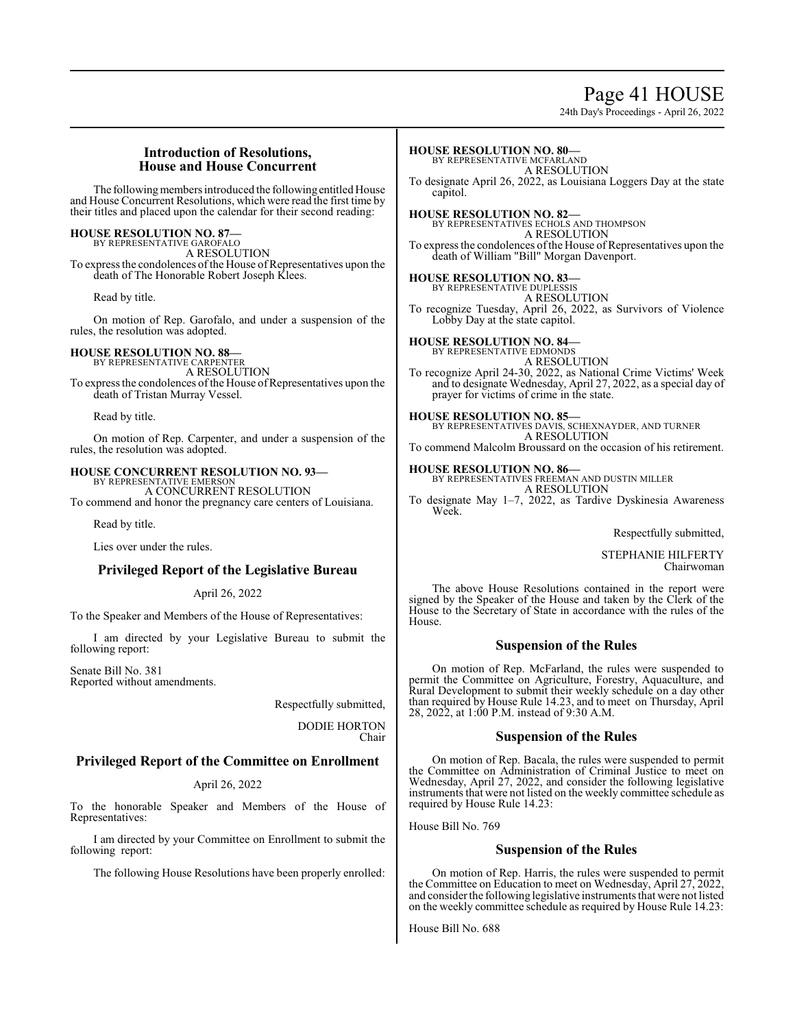# Page 41 HOUSE

24th Day's Proceedings - April 26, 2022

# **Introduction of Resolutions, House and House Concurrent**

The following members introduced the following entitled House and House Concurrent Resolutions, which were read the first time by their titles and placed upon the calendar for their second reading:

# **HOUSE RESOLUTION NO. 87—** BY REPRESENTATIVE GAROFALO

A RESOLUTION To express the condolences of the House of Representatives upon the death of The Honorable Robert Joseph Klees.

Read by title.

On motion of Rep. Garofalo, and under a suspension of the rules, the resolution was adopted.

# **HOUSE RESOLUTION NO. 88—**

BY REPRESENTATIVE CARPENTER A RESOLUTION To express the condolences of the House of Representatives upon the death of Tristan Murray Vessel.

Read by title.

On motion of Rep. Carpenter, and under a suspension of the rules, the resolution was adopted.

# **HOUSE CONCURRENT RESOLUTION NO. 93—**

BY REPRESENTATIVE EMERSON A CONCURRENT RESOLUTION To commend and honor the pregnancy care centers of Louisiana.

Read by title.

Lies over under the rules.

# **Privileged Report of the Legislative Bureau**

April 26, 2022

To the Speaker and Members of the House of Representatives:

I am directed by your Legislative Bureau to submit the following report:

Senate Bill No. 381 Reported without amendments.

> Respectfully submitted, DODIE HORTON Chair

# **Privileged Report of the Committee on Enrollment**

#### April 26, 2022

To the honorable Speaker and Members of the House of Representatives:

I am directed by your Committee on Enrollment to submit the following report:

The following House Resolutions have been properly enrolled:

BY REPRESENTATIVE MCFARLAND A RESOLUTION To designate April 26, 2022, as Louisiana Loggers Day at the state capitol.

**HOUSE RESOLUTION NO. 80—**

**HOUSE RESOLUTION NO. 82—** BY REPRESENTATIVES ECHOLS AND THOMPSON A RESOLUTION To express the condolences of the House of Representatives upon the death of William "Bill" Morgan Davenport.

**HOUSE RESOLUTION NO. 83—** BY REPRESENTATIVE DUPLESSIS A RESOLUTION To recognize Tuesday, April 26, 2022, as Survivors of Violence Lobby Day at the state capitol.

**HOUSE RESOLUTION NO. 84—** BY REPRESENTATIVE EDMONDS A RESOLUTION To recognize April 24-30, 2022, as National Crime Victims' Week and to designate Wednesday, April 27, 2022, as a special day of prayer for victims of crime in the state.

**HOUSE RESOLUTION NO. 85—**<br>BY REPRESENTATIVES DAVIS, SCHEXNAYDER, AND TURNER<br>A RESOLUTION

To commend Malcolm Broussard on the occasion of his retirement.

**HOUSE RESOLUTION NO. 86—** BY REPRESENTATIVES FREEMAN AND DUSTIN MILLER A RESOLUTION

To designate May 1–7, 2022, as Tardive Dyskinesia Awareness Week.

Respectfully submitted,

STEPHANIE HILFERTY Chairwoman

The above House Resolutions contained in the report were signed by the Speaker of the House and taken by the Clerk of the House to the Secretary of State in accordance with the rules of the House.

# **Suspension of the Rules**

On motion of Rep. McFarland, the rules were suspended to permit the Committee on Agriculture, Forestry, Aquaculture, and Rural Development to submit their weekly schedule on a day other than required by House Rule 14.23, and to meet on Thursday, April 28, 2022, at 1:00 P.M. instead of 9:30 A.M.

# **Suspension of the Rules**

On motion of Rep. Bacala, the rules were suspended to permit the Committee on Administration of Criminal Justice to meet on Wednesday, April 27, 2022, and consider the following legislative instruments that were not listed on the weekly committee schedule as required by House Rule 14.23:

House Bill No. 769

# **Suspension of the Rules**

On motion of Rep. Harris, the rules were suspended to permit the Committee on Education to meet on Wednesday, April 27, 2022, and consider the following legislative instruments that were not listed on the weekly committee schedule as required by House Rule 14.23:

House Bill No. 688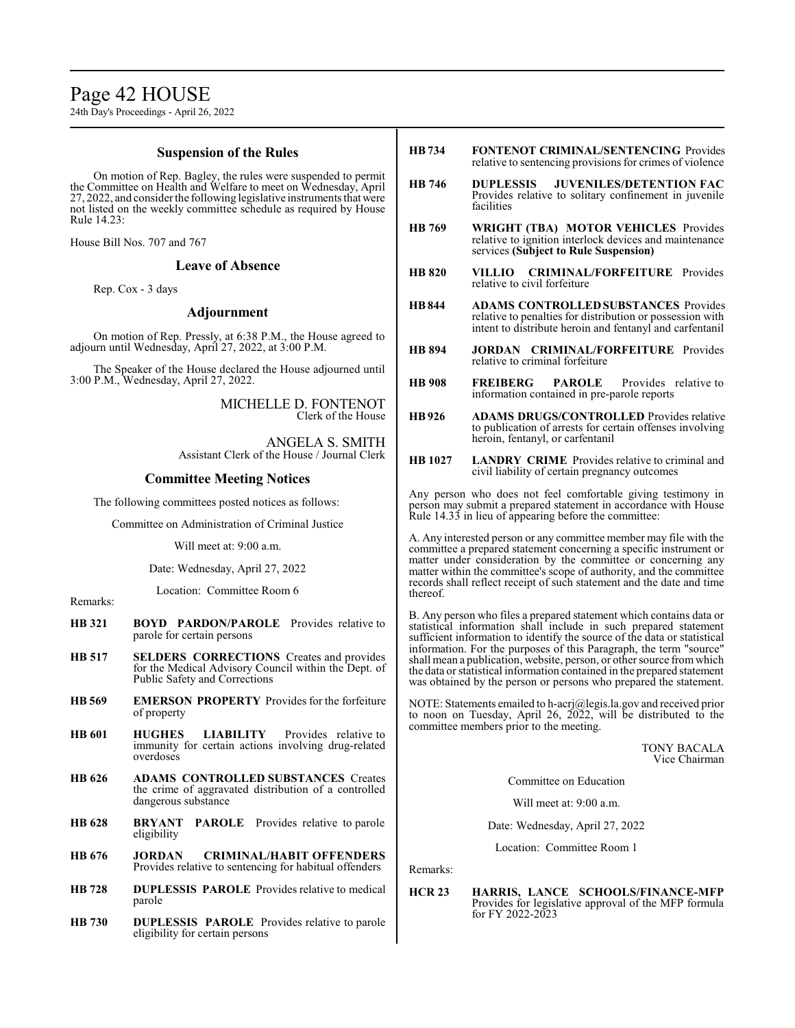# Page 42 HOUSE

24th Day's Proceedings - April 26, 2022

# **Suspension of the Rules**

On motion of Rep. Bagley, the rules were suspended to permit the Committee on Health and Welfare to meet on Wednesday, April 27, 2022, and consider the following legislative instruments that were not listed on the weekly committee schedule as required by House Rule 14.23:

House Bill Nos. 707 and 767

### **Leave of Absence**

Rep. Cox - 3 days

# **Adjournment**

On motion of Rep. Pressly, at 6:38 P.M., the House agreed to adjourn until Wednesday, April 27, 2022, at 3:00 P.M.

The Speaker of the House declared the House adjourned until 3:00 P.M., Wednesday, April 27, 2022.

> MICHELLE D. FONTENOT Clerk of the House

ANGELA S. SMITH Assistant Clerk of the House / Journal Clerk

# **Committee Meeting Notices**

The following committees posted notices as follows:

Committee on Administration of Criminal Justice

Will meet at: 9:00 a.m.

Date: Wednesday, April 27, 2022

Location: Committee Room 6

Remarks:

- **HB 321 BOYD PARDON/PAROLE** Provides relative to parole for certain persons
- **HB 517 SELDERS CORRECTIONS** Creates and provides for the Medical Advisory Council within the Dept. of Public Safety and Corrections
- **HB 569 EMERSON PROPERTY** Provides for the forfeiture of property
- **HB 601 HUGHES LIABILITY** Provides relative to immunity for certain actions involving drug-related overdoses
- **HB 626 ADAMS CONTROLLED SUBSTANCES** Creates the crime of aggravated distribution of a controlled dangerous substance
- **HB 628 BRYANT PAROLE** Provides relative to parole eligibility
- **HB 676 JORDAN CRIMINAL/HABIT OFFENDERS**  Provides relative to sentencing for habitual offenders
- **HB 728 DUPLESSIS PAROLE** Provides relative to medical parole
- **HB 730 DUPLESSIS PAROLE** Provides relative to parole eligibility for certain persons
- **HB734 FONTENOT CRIMINAL/SENTENCING** Provides relative to sentencing provisions for crimes of violence
- **HB 746 DUPLESSIS JUVENILES/DETENTION FAC**  Provides relative to solitary confinement in juvenile facilities
- **HB 769 WRIGHT (TBA) MOTOR VEHICLES** Provides relative to ignition interlock devices and maintenance services **(Subject to Rule Suspension)**
- **HB 820 VILLIO CRIMINAL/FORFEITURE** Provides relative to civil forfeiture
- **HB844 ADAMS CONTROLLED SUBSTANCES** Provides relative to penalties for distribution or possession with intent to distribute heroin and fentanyl and carfentanil
- **HB 894 JORDAN CRIMINAL/FORFEITURE** Provides relative to criminal forfeiture
- **HB 908 FREIBERG PAROLE** Provides relative to information contained in pre-parole reports
- **HB926 ADAMS DRUGS/CONTROLLED** Provides relative to publication of arrests for certain offenses involving heroin, fentanyl, or carfentanil
- **HB 1027 LANDRY CRIME** Provides relative to criminal and civil liability of certain pregnancy outcomes

Any person who does not feel comfortable giving testimony in person may submit a prepared statement in accordance with House Rule 14.33 in lieu of appearing before the committee:

A. Any interested person or any committee member may file with the committee a prepared statement concerning a specific instrument or matter under consideration by the committee or concerning any matter within the committee's scope of authority, and the committee records shall reflect receipt of such statement and the date and time thereof.

B. Any person who files a prepared statement which contains data or statistical information shall include in such prepared statement sufficient information to identify the source of the data or statistical information. For the purposes of this Paragraph, the term "source" shall mean a publication, website, person, or other source fromwhich the data or statistical information contained in the prepared statement was obtained by the person or persons who prepared the statement.

NOTE: Statements emailed to h-acrj@legis.la.gov and received prior to noon on Tuesday, April 26,  $2022$ , will be distributed to the committee members prior to the meeting.

> TONY BACALA Vice Chairman

Committee on Education

Will meet at: 9:00 a.m.

Date: Wednesday, April 27, 2022

Location: Committee Room 1

Remarks:

#### **HCR 23 HARRIS, LANCE SCHOOLS/FINANCE-MFP**  Provides for legislative approval of the MFP formula for FY 2022-2023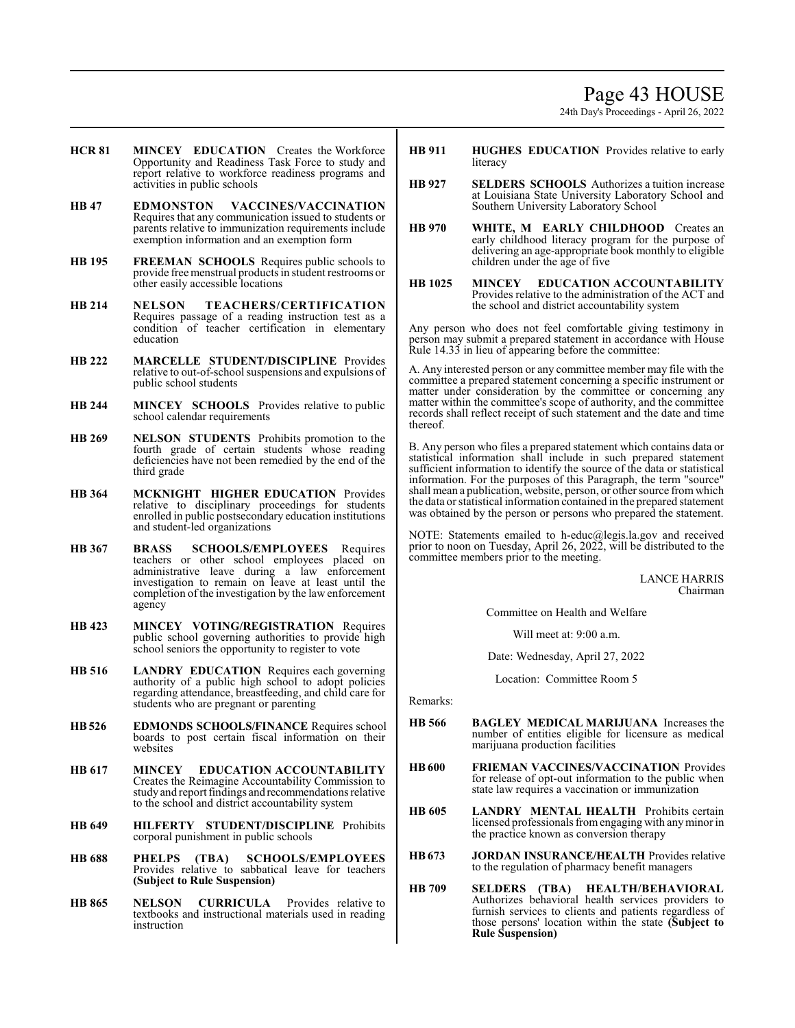# Page 43 HOUSE

24th Day's Proceedings - April 26, 2022

- **HCR 81 MINCEY EDUCATION** Creates the Workforce Opportunity and Readiness Task Force to study and report relative to workforce readiness programs and activities in public schools
- **HB 47 EDMONSTON VACCINES/VACCINATION**  Requires that any communication issued to students or parents relative to immunization requirements include exemption information and an exemption form
- **HB 195 FREEMAN SCHOOLS** Requires public schools to provide free menstrual products in student restrooms or other easily accessible locations
- **HB 214 NELSON TEACHERS/CERTIFICATION**  Requires passage of a reading instruction test as a condition of teacher certification in elementary education
- **HB 222 MARCELLE STUDENT/DISCIPLINE** Provides relative to out-of-school suspensions and expulsions of public school students
- **HB 244 MINCEY SCHOOLS** Provides relative to public school calendar requirements
- **HB 269 NELSON STUDENTS** Prohibits promotion to the fourth grade of certain students whose reading deficiencies have not been remedied by the end of the third grade
- **HB 364 MCKNIGHT HIGHER EDUCATION** Provides relative to disciplinary proceedings for students enrolled in public postsecondary education institutions and student-led organizations
- **HB 367 BRASS SCHOOLS/EMPLOYEES** Requires teachers or other school employees placed on administrative leave during a law enforcement investigation to remain on leave at least until the completion of the investigation by the law enforcement agency
- **HB 423 MINCEY VOTING/REGISTRATION** Requires public school governing authorities to provide high school seniors the opportunity to register to vote
- **HB 516 LANDRY EDUCATION** Requires each governing authority of a public high school to adopt policies regarding attendance, breastfeeding, and child care for students who are pregnant or parenting
- **HB526 EDMONDS SCHOOLS/FINANCE** Requires school boards to post certain fiscal information on their websites
- **HB 617 MINCEY EDUCATION ACCOUNTABILITY**  Creates the Reimagine Accountability Commission to study and report findings and recommendations relative to the school and district accountability system
- **HB 649 HILFERTY STUDENT/DISCIPLINE** Prohibits corporal punishment in public schools
- **HB 688 PHELPS (TBA) SCHOOLS/EMPLOYEES**  Provides relative to sabbatical leave for teachers **(Subject to Rule Suspension)**
- **HB 865 NELSON CURRICULA** Provides relative to textbooks and instructional materials used in reading instruction
- **HB 911 HUGHES EDUCATION** Provides relative to early literacy
- **HB 927 SELDERS SCHOOLS** Authorizes a tuition increase at Louisiana State University Laboratory School and Southern University Laboratory School
- **HB 970 WHITE, M EARLY CHILDHOOD** Creates an early childhood literacy program for the purpose of delivering an age-appropriate book monthly to eligible children under the age of five
- **HB 1025 MINCEY EDUCATION ACCOUNTABILITY**  Provides relative to the administration of the ACT and the school and district accountability system

Any person who does not feel comfortable giving testimony in person may submit a prepared statement in accordance with House Rule 14.33 in lieu of appearing before the committee:

A. Any interested person or any committee member may file with the committee a prepared statement concerning a specific instrument or matter under consideration by the committee or concerning any matter within the committee's scope of authority, and the committee records shall reflect receipt of such statement and the date and time thereof.

B. Any person who files a prepared statement which contains data or statistical information shall include in such prepared statement sufficient information to identify the source of the data or statistical information. For the purposes of this Paragraph, the term "source" shall mean a publication, website, person, or other source fromwhich the data or statistical information contained in the prepared statement was obtained by the person or persons who prepared the statement.

NOTE: Statements emailed to h-educ@legis.la.gov and received prior to noon on Tuesday, April 26, 2022, will be distributed to the committee members prior to the meeting.

> LANCE HARRIS Chairman

Committee on Health and Welfare

Will meet at: 9:00 a.m.

Date: Wednesday, April 27, 2022

Location: Committee Room 5

Remarks:

- **HB 566 BAGLEY MEDICAL MARIJUANA** Increases the number of entities eligible for licensure as medical marijuana production facilities
- **HB600 FRIEMAN VACCINES/VACCINATION** Provides for release of opt-out information to the public when state law requires a vaccination or immunization
- **HB 605 LANDRY MENTAL HEALTH** Prohibits certain licensed professionals fromengaging with anyminor in the practice known as conversion therapy
- **HB673 JORDAN INSURANCE/HEALTH** Provides relative to the regulation of pharmacy benefit managers
- **HB 709 SELDERS (TBA) HEALTH/BEHAVIORAL**  Authorizes behavioral health services providers to furnish services to clients and patients regardless of those persons' location within the state **(Subject to Rule Suspension)**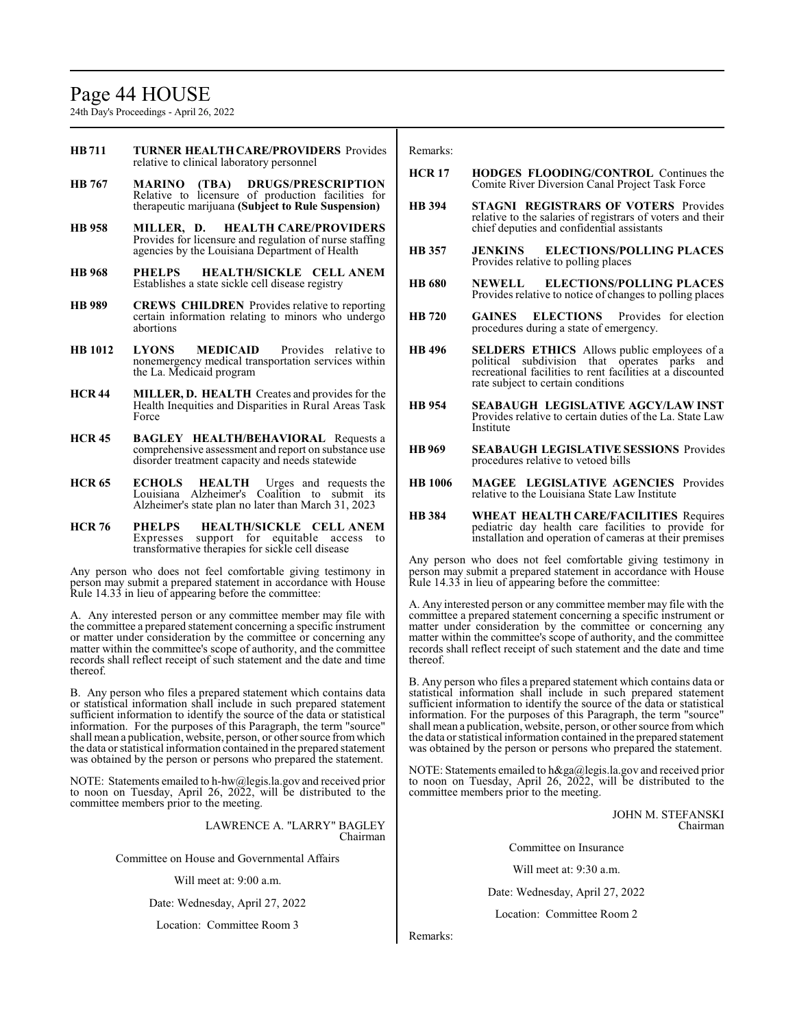# Page 44 HOUSE

24th Day's Proceedings - April 26, 2022

- **HB711 TURNER HEALTH CARE/PROVIDERS** Provides relative to clinical laboratory personnel
- **HB 767 MARINO (TBA) DRUGS/PRESCRIPTION**  Relative to licensure of production facilities for therapeutic marijuana **(Subject to Rule Suspension)**
- **HB 958 MILLER, D. HEALTH CARE/PROVIDERS**  Provides for licensure and regulation of nurse staffing agencies by the Louisiana Department of Health
- **HB 968 PHELPS HEALTH/SICKLE CELL ANEM** Establishes a state sickle cell disease registry
- **HB 989 CREWS CHILDREN** Provides relative to reporting certain information relating to minors who undergo abortions
- **HB 1012 LYONS MEDICAID** Provides relative to nonemergency medical transportation services within the La. Medicaid program
- **HCR 44 MILLER, D. HEALTH** Creates and provides for the Health Inequities and Disparities in Rural Areas Task Force
- **HCR 45 BAGLEY HEALTH/BEHAVIORAL** Requests a comprehensive assessment and report on substance use disorder treatment capacity and needs statewide
- **HCR 65 ECHOLS HEALTH** Urges and requests the Louisiana Alzheimer's Coalition to submit its Alzheimer's state plan no later than March 31, 2023
- **HCR 76 PHELPS HEALTH/SICKLE CELL ANEM** Expresses support for equitable access to transformative therapies for sickle cell disease

Any person who does not feel comfortable giving testimony in person may submit a prepared statement in accordance with House Rule 14.33 in lieu of appearing before the committee:

A. Any interested person or any committee member may file with the committee a prepared statement concerning a specific instrument or matter under consideration by the committee or concerning any matter within the committee's scope of authority, and the committee records shall reflect receipt of such statement and the date and time thereof.

B. Any person who files a prepared statement which contains data or statistical information shall include in such prepared statement sufficient information to identify the source of the data or statistical information. For the purposes of this Paragraph, the term "source" shall mean a publication, website, person, or other source fromwhich the data or statistical information contained in the prepared statement was obtained by the person or persons who prepared the statement.

NOTE: Statements emailed to h-hw@legis.la.gov and received prior to noon on Tuesday, April 26, 2022, will be distributed to the committee members prior to the meeting.

> LAWRENCE A. "LARRY" BAGLEY Chairman

Committee on House and Governmental Affairs

Will meet at: 9:00 a.m.

Date: Wednesday, April 27, 2022

Location: Committee Room 3

Remarks:

- **HCR 17 HODGES FLOODING/CONTROL** Continues the Comite River Diversion Canal Project Task Force
- **HB 394 STAGNI REGISTRARS OF VOTERS** Provides relative to the salaries of registrars of voters and their chief deputies and confidential assistants
- **HB 357 JENKINS ELECTIONS/POLLING PLACES**  Provides relative to polling places
- **HB 680 NEWELL ELECTIONS/POLLING PLACES**  Provides relative to notice of changes to polling places
- **HB 720 GAINES ELECTIONS** Provides for election procedures during a state of emergency.
- **HB 496 SELDERS ETHICS** Allows public employees of a political subdivision that operates parks and recreational facilities to rent facilities at a discounted rate subject to certain conditions
- **HB 954 SEABAUGH LEGISLATIVE AGCY/LAW INST**  Provides relative to certain duties of the La. State Law Institute
- **HB 969 SEABAUGH LEGISLATIVE SESSIONS** Provides procedures relative to vetoed bills
- **HB 1006 MAGEE LEGISLATIVE AGENCIES** Provides relative to the Louisiana State Law Institute
- **HB 384 WHEAT HEALTH CARE/FACILITIES** Requires pediatric day health care facilities to provide for installation and operation of cameras at their premises

Any person who does not feel comfortable giving testimony in person may submit a prepared statement in accordance with House Rule 14.33 in lieu of appearing before the committee:

A. Any interested person or any committee member may file with the committee a prepared statement concerning a specific instrument or matter under consideration by the committee or concerning any matter within the committee's scope of authority, and the committee records shall reflect receipt of such statement and the date and time thereof.

B. Any person who files a prepared statement which contains data or statistical information shall include in such prepared statement sufficient information to identify the source of the data or statistical information. For the purposes of this Paragraph, the term "source" shall mean a publication, website, person, or other source fromwhich the data or statistical information contained in the prepared statement was obtained by the person or persons who prepared the statement.

NOTE: Statements emailed to h&ga@legis.la.gov and received prior to noon on Tuesday, April 26, 2022, will be distributed to the committee members prior to the meeting.

> JOHN M. STEFANSKI Chairman

Committee on Insurance

Will meet at: 9:30 a.m.

Date: Wednesday, April 27, 2022

Location: Committee Room 2

Remarks: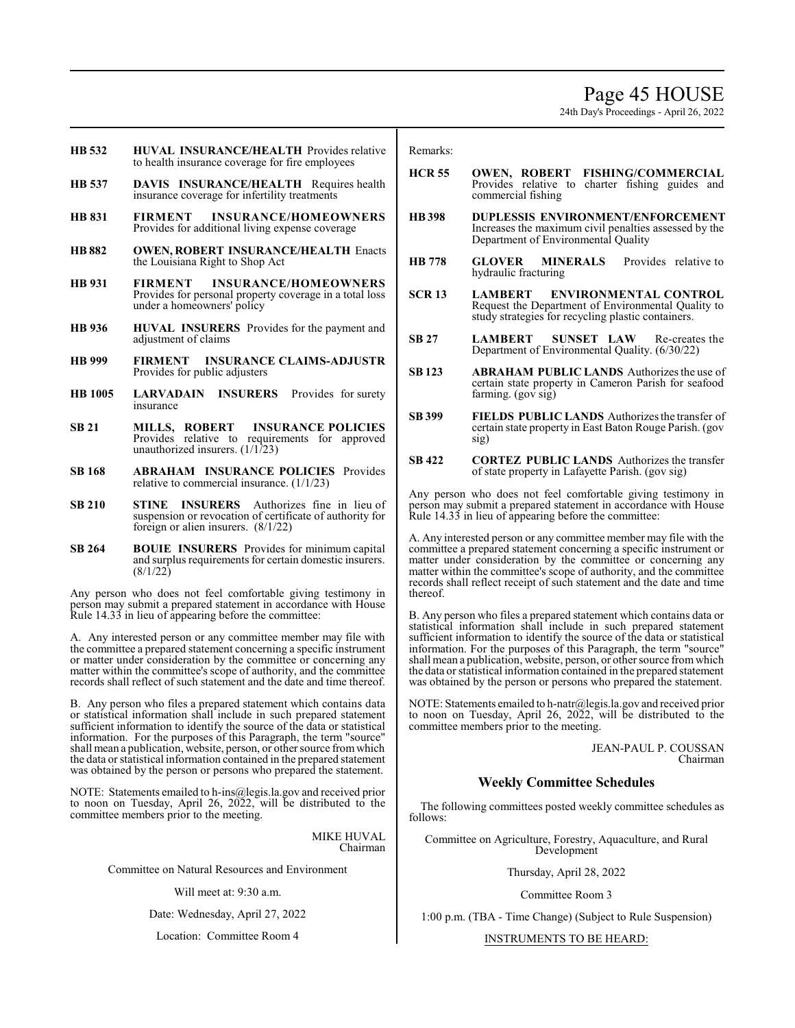# Page 45 HOUSE

24th Day's Proceedings - April 26, 2022

- **HB 532 HUVAL INSURANCE/HEALTH** Provides relative to health insurance coverage for fire employees
- **HB 537 DAVIS INSURANCE/HEALTH** Requires health insurance coverage for infertility treatments
- **HB 831 FIRMENT INSURANCE/HOMEOWNERS**  Provides for additional living expense coverage
- **HB 882 OWEN, ROBERT INSURANCE/HEALTH** Enacts the Louisiana Right to Shop Act
- **HB 931 FIRMENT INSURANCE/HOMEOWNERS**  Provides for personal property coverage in a total loss under a homeowners' policy
- **HB 936 HUVAL INSURERS** Provides for the payment and adjustment of claims
- **HB 999 FIRMENT INSURANCE CLAIMS-ADJUSTR**  Provides for public adjusters
- **HB 1005 LARVADAIN INSURERS** Provides for surety insurance
- **SB 21 MILLS, ROBERT INSURANCE POLICIES**  Provides relative to requirements for approved unauthorized insurers. (1/1/23)
- **SB 168 ABRAHAM INSURANCE POLICIES** Provides relative to commercial insurance. (1/1/23)
- **SB 210 STINE INSURERS** Authorizes fine in lieu of suspension or revocation of certificate of authority for foreign or alien insurers. (8/1/22)
- **SB 264 BOUIE INSURERS** Provides for minimum capital and surplus requirements for certain domestic insurers. (8/1/22)

Any person who does not feel comfortable giving testimony in person may submit a prepared statement in accordance with House Rule 14.33 in lieu of appearing before the committee:

A. Any interested person or any committee member may file with the committee a prepared statement concerning a specific instrument or matter under consideration by the committee or concerning any matter within the committee's scope of authority, and the committee records shall reflect of such statement and the date and time thereof.

B. Any person who files a prepared statement which contains data or statistical information shall include in such prepared statement sufficient information to identify the source of the data or statistical information. For the purposes of this Paragraph, the term "source" shall mean a publication, website, person, or other source from which the data or statistical information contained in the prepared statement was obtained by the person or persons who prepared the statement.

NOTE: Statements emailed to h-ins@legis.la.gov and received prior to noon on Tuesday, April 26, 2022, will be distributed to the committee members prior to the meeting.

> MIKE HUVAL Chairman

Committee on Natural Resources and Environment

Will meet at: 9:30 a.m.

Date: Wednesday, April 27, 2022

Location: Committee Room 4

Remarks:

- **HCR 55 OWEN, ROBERT FISHING/COMMERCIAL**  Provides relative to charter fishing guides and commercial fishing
- **HB398 DUPLESSIS ENVIRONMENT/ENFORCEMENT** Increases the maximum civil penalties assessed by the Department of Environmental Quality
- **HB 778 GLOVER MINERALS** Provides relative to hydraulic fracturing
- **SCR 13 LAMBERT ENVIRONMENTAL CONTROL**  Request the Department of Environmental Quality to study strategies for recycling plastic containers.
- **SB 27 LAMBERT SUNSET LAW** Re-creates the Department of Environmental Quality. (6/30/22)
- **SB 123 ABRAHAM PUBLIC LANDS** Authorizes the use of certain state property in Cameron Parish for seafood farming. (gov sig)
- **SB 399 FIELDS PUBLIC LANDS** Authorizes the transfer of certain state property in East Baton Rouge Parish. (gov sig)
- **SB 422 CORTEZ PUBLIC LANDS** Authorizes the transfer of state property in Lafayette Parish. (gov sig)

Any person who does not feel comfortable giving testimony in person may submit a prepared statement in accordance with House Rule 14.33 in lieu of appearing before the committee:

A. Any interested person or any committee member may file with the committee a prepared statement concerning a specific instrument or matter under consideration by the committee or concerning any matter within the committee's scope of authority, and the committee records shall reflect receipt of such statement and the date and time thereof.

B. Any person who files a prepared statement which contains data or statistical information shall include in such prepared statement sufficient information to identify the source of the data or statistical information. For the purposes of this Paragraph, the term "source" shall mean a publication, website, person, or other source fromwhich the data or statistical information contained in the prepared statement was obtained by the person or persons who prepared the statement.

NOTE: Statements emailed to h-natr@legis.la.gov and received prior to noon on Tuesday, April 26, 2022, will be distributed to the committee members prior to the meeting.

> JEAN-PAUL P. COUSSAN Chairman

# **Weekly Committee Schedules**

The following committees posted weekly committee schedules as follows:

Committee on Agriculture, Forestry, Aquaculture, and Rural Development

Thursday, April 28, 2022

Committee Room 3

1:00 p.m. (TBA - Time Change) (Subject to Rule Suspension)

INSTRUMENTS TO BE HEARD: